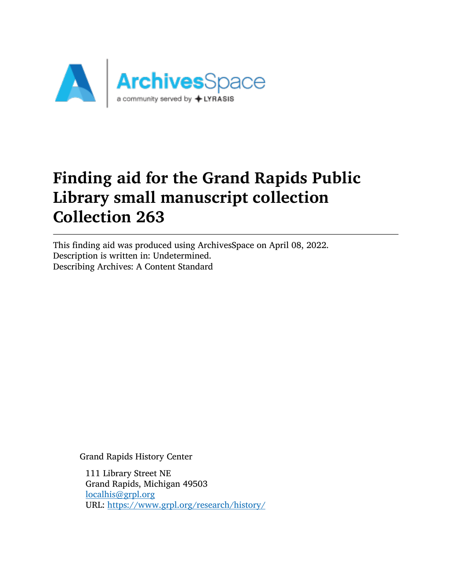

# Finding aid for the Grand Rapids Public Library small manuscript collection Collection 263

This finding aid was produced using ArchivesSpace on April 08, 2022. Description is written in: Undetermined. Describing Archives: A Content Standard

Grand Rapids History Center

111 Library Street NE Grand Rapids, Michigan 49503 [localhis@grpl.org](mailto:localhis@grpl.org) URL: <https://www.grpl.org/research/history/>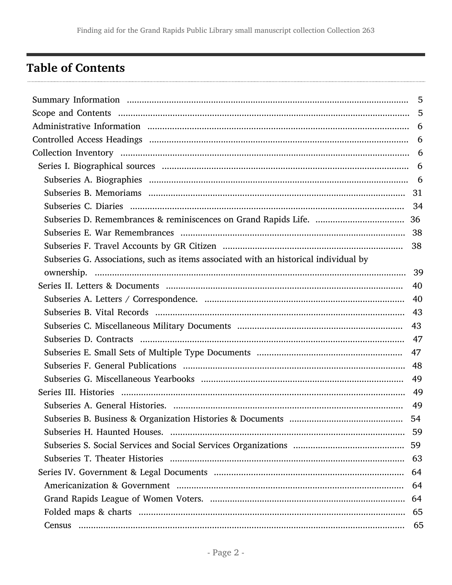## <span id="page-1-0"></span>**Table of Contents**

| Subseries G. Associations, such as items associated with an historical individual by |    |
|--------------------------------------------------------------------------------------|----|
|                                                                                      |    |
|                                                                                      | 40 |
|                                                                                      |    |
|                                                                                      |    |
|                                                                                      |    |
|                                                                                      |    |
|                                                                                      |    |
|                                                                                      |    |
|                                                                                      |    |
|                                                                                      |    |
|                                                                                      | 49 |
|                                                                                      | 54 |
|                                                                                      |    |
|                                                                                      | 59 |
|                                                                                      |    |
|                                                                                      | 64 |
|                                                                                      | 64 |
|                                                                                      | 64 |
|                                                                                      |    |
|                                                                                      | 65 |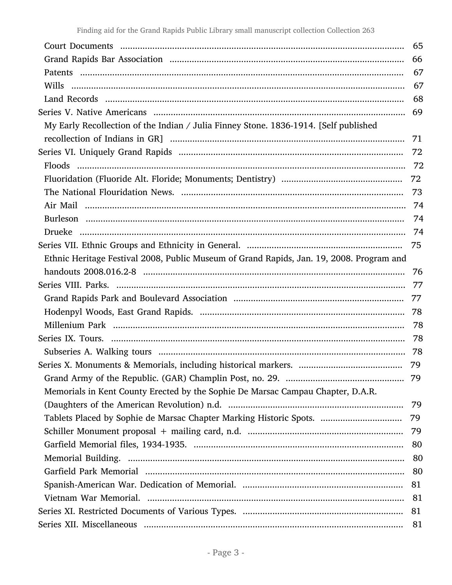| 66<br>69<br>My Early Recollection of the Indian / Julia Finney Stone. 1836-1914. [Self published | 67<br>67<br>68 |
|--------------------------------------------------------------------------------------------------|----------------|
|                                                                                                  |                |
|                                                                                                  |                |
|                                                                                                  |                |
|                                                                                                  |                |
|                                                                                                  |                |
|                                                                                                  |                |
| 71                                                                                               |                |
| 72                                                                                               |                |
|                                                                                                  |                |
| 72                                                                                               |                |
| 73                                                                                               |                |
|                                                                                                  |                |
|                                                                                                  | 74             |
|                                                                                                  |                |
| 75                                                                                               |                |
| Ethnic Heritage Festival 2008, Public Museum of Grand Rapids, Jan. 19, 2008. Program and         |                |
| -76                                                                                              |                |
| 77                                                                                               |                |
| 77                                                                                               |                |
|                                                                                                  |                |
|                                                                                                  |                |
|                                                                                                  |                |
|                                                                                                  |                |
| 79                                                                                               |                |
| 79                                                                                               |                |
| Memorials in Kent County Erected by the Sophie De Marsac Campau Chapter, D.A.R.                  |                |
| 79                                                                                               |                |
| Tablets Placed by Sophie de Marsac Chapter Marking Historic Spots.<br>79                         |                |
| 79                                                                                               |                |
| 80                                                                                               |                |
|                                                                                                  | 80             |
| 80                                                                                               |                |
| 81                                                                                               |                |
| 81                                                                                               |                |
| 81                                                                                               |                |
| 81                                                                                               |                |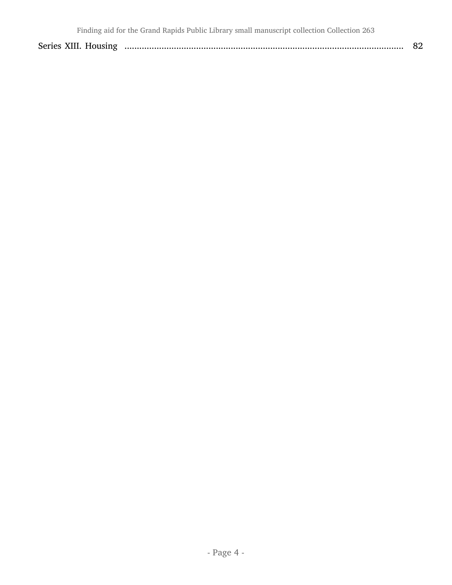| Series XIII. Housing |  |  |
|----------------------|--|--|
|----------------------|--|--|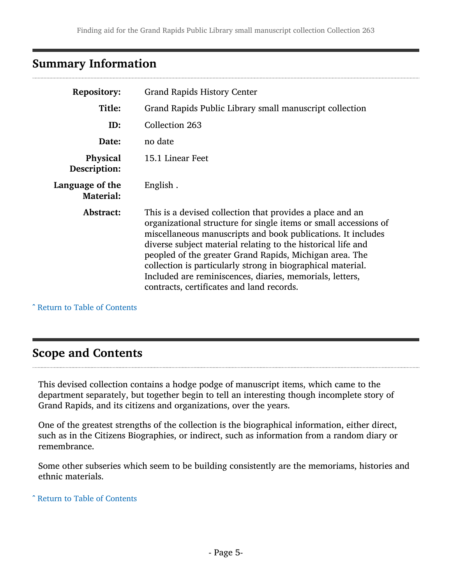### <span id="page-4-0"></span>Summary Information

| <b>Repository:</b>                  | <b>Grand Rapids History Center</b>                                                                                                                                                                                                                                                                                                                                                                                                                                                               |  |  |
|-------------------------------------|--------------------------------------------------------------------------------------------------------------------------------------------------------------------------------------------------------------------------------------------------------------------------------------------------------------------------------------------------------------------------------------------------------------------------------------------------------------------------------------------------|--|--|
| Title:                              | Grand Rapids Public Library small manuscript collection                                                                                                                                                                                                                                                                                                                                                                                                                                          |  |  |
| ID:                                 | Collection 263                                                                                                                                                                                                                                                                                                                                                                                                                                                                                   |  |  |
| no date<br>Date:                    |                                                                                                                                                                                                                                                                                                                                                                                                                                                                                                  |  |  |
| <b>Physical</b><br>Description:     | 15.1 Linear Feet                                                                                                                                                                                                                                                                                                                                                                                                                                                                                 |  |  |
| Language of the<br><b>Material:</b> | English.                                                                                                                                                                                                                                                                                                                                                                                                                                                                                         |  |  |
| Abstract:                           | This is a devised collection that provides a place and an<br>organizational structure for single items or small accessions of<br>miscellaneous manuscripts and book publications. It includes<br>diverse subject material relating to the historical life and<br>peopled of the greater Grand Rapids, Michigan area. The<br>collection is particularly strong in biographical material.<br>Included are reminiscences, diaries, memorials, letters,<br>contracts, certificates and land records. |  |  |

^ [Return to Table of Contents](#page-1-0)

### <span id="page-4-1"></span>Scope and Contents

This devised collection contains a hodge podge of manuscript items, which came to the department separately, but together begin to tell an interesting though incomplete story of Grand Rapids, and its citizens and organizations, over the years.

One of the greatest strengths of the collection is the biographical information, either direct, such as in the Citizens Biographies, or indirect, such as information from a random diary or remembrance.

Some other subseries which seem to be building consistently are the memoriams, histories and ethnic materials.

^ [Return to Table of Contents](#page-1-0)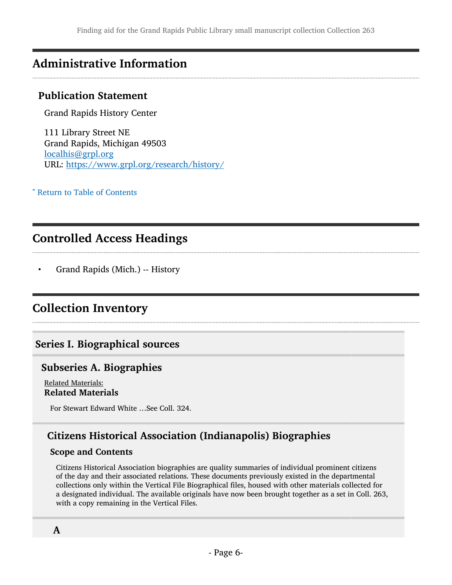### <span id="page-5-0"></span>Administrative Information

#### Publication Statement

Grand Rapids History Center

111 Library Street NE Grand Rapids, Michigan 49503 [localhis@grpl.org](mailto:localhis@grpl.org) URL: <https://www.grpl.org/research/history/>

^ [Return to Table of Contents](#page-1-0)

### <span id="page-5-1"></span>Controlled Access Headings

• Grand Rapids (Mich.) -- History

### <span id="page-5-2"></span>Collection Inventory

#### <span id="page-5-3"></span>Series I. Biographical sources

#### <span id="page-5-4"></span>Subseries A. Biographies

Related Materials: Related Materials

For Stewart Edward White …See Coll. 324.

### Citizens Historical Association (Indianapolis) Biographies

#### Scope and Contents

Citizens Historical Association biographies are quality summaries of individual prominent citizens of the day and their associated relations. These documents previously existed in the departmental collections only within the Vertical File Biographical files, housed with other materials collected for a designated individual. The available originals have now been brought together as a set in Coll. 263, with a copy remaining in the Vertical Files.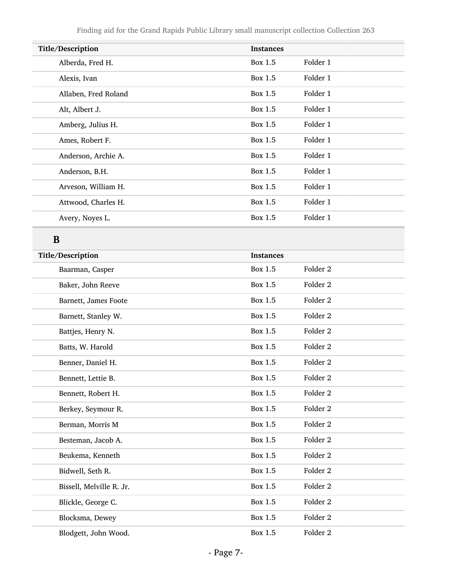| Title/Description    | <b>Instances</b> |          |
|----------------------|------------------|----------|
| Alberda, Fred H.     | Box 1.5          | Folder 1 |
| Alexis, Ivan         | Box 1.5          | Folder 1 |
| Allaben, Fred Roland | Box 1.5          | Folder 1 |
| Alt, Albert J.       | Box 1.5          | Folder 1 |
| Amberg, Julius H.    | Box 1.5          | Folder 1 |
| Ames, Robert F.      | Box 1.5          | Folder 1 |
| Anderson, Archie A.  | Box 1.5          | Folder 1 |
| Anderson, B.H.       | Box 1.5          | Folder 1 |
| Arveson, William H.  | Box 1.5          | Folder 1 |
| Attwood, Charles H.  | Box 1.5          | Folder 1 |
| Avery, Noyes L.      | Box 1.5          | Folder 1 |
|                      |                  |          |

## B

| Title/Description        | <b>Instances</b> |                     |
|--------------------------|------------------|---------------------|
| Baarman, Casper          | <b>Box 1.5</b>   | Folder <sub>2</sub> |
| Baker, John Reeve        | <b>Box 1.5</b>   | Folder <sub>2</sub> |
| Barnett, James Foote     | <b>Box 1.5</b>   | Folder <sub>2</sub> |
| Barnett, Stanley W.      | Box 1.5          | Folder <sub>2</sub> |
| Battjes, Henry N.        | Box 1.5          | Folder <sub>2</sub> |
| Batts, W. Harold         | <b>Box 1.5</b>   | Folder <sub>2</sub> |
| Benner, Daniel H.        | <b>Box 1.5</b>   | Folder <sub>2</sub> |
| Bennett, Lettie B.       | <b>Box 1.5</b>   | Folder <sub>2</sub> |
| Bennett, Robert H.       | <b>Box 1.5</b>   | Folder <sub>2</sub> |
| Berkey, Seymour R.       | <b>Box 1.5</b>   | Folder <sub>2</sub> |
| Berman, Morris M         | <b>Box 1.5</b>   | Folder <sub>2</sub> |
| Besteman, Jacob A.       | <b>Box 1.5</b>   | Folder 2            |
| Beukema, Kenneth         | <b>Box 1.5</b>   | Folder <sub>2</sub> |
| Bidwell, Seth R.         | <b>Box 1.5</b>   | Folder <sub>2</sub> |
| Bissell, Melville R. Jr. | <b>Box 1.5</b>   | Folder <sub>2</sub> |
| Blickle, George C.       | <b>Box 1.5</b>   | Folder <sub>2</sub> |
| Blocksma, Dewey          | <b>Box 1.5</b>   | Folder <sub>2</sub> |
| Blodgett, John Wood.     | <b>Box 1.5</b>   | Folder <sub>2</sub> |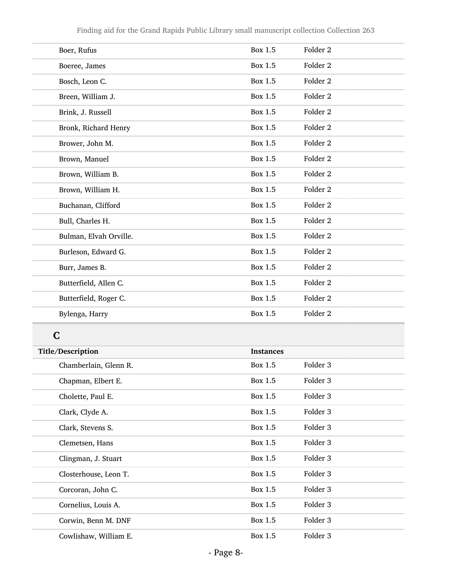| Boer, Rufus            | <b>Box 1.5</b> | Folder <sub>2</sub> |
|------------------------|----------------|---------------------|
| Boeree, James          | <b>Box 1.5</b> | Folder <sub>2</sub> |
| Bosch, Leon C.         | Box 1.5        | Folder <sub>2</sub> |
| Breen, William J.      | <b>Box 1.5</b> | Folder 2            |
| Brink, J. Russell      | <b>Box 1.5</b> | Folder <sub>2</sub> |
| Bronk, Richard Henry   | <b>Box 1.5</b> | Folder <sub>2</sub> |
| Brower, John M.        | <b>Box 1.5</b> | Folder <sub>2</sub> |
| Brown, Manuel          | <b>Box 1.5</b> | Folder <sub>2</sub> |
| Brown, William B.      | <b>Box 1.5</b> | Folder <sub>2</sub> |
| Brown, William H.      | Box 1.5        | Folder 2            |
| Buchanan, Clifford     | <b>Box 1.5</b> | Folder <sub>2</sub> |
| Bull, Charles H.       | <b>Box 1.5</b> | Folder <sub>2</sub> |
| Bulman, Elvah Orville. | <b>Box 1.5</b> | Folder <sub>2</sub> |
| Burleson, Edward G.    | <b>Box 1.5</b> | Folder <sub>2</sub> |
| Burr, James B.         | Box 1.5        | Folder 2            |
| Butterfield, Allen C.  | <b>Box 1.5</b> | Folder <sub>2</sub> |
| Butterfield, Roger C.  | <b>Box 1.5</b> | Folder 2            |
| Bylenga, Harry         | Box 1.5        | Folder <sub>2</sub> |

| Title/Description     | <b>Instances</b> |          |
|-----------------------|------------------|----------|
| Chamberlain, Glenn R. | Box 1.5          | Folder 3 |
| Chapman, Elbert E.    | Box 1.5          | Folder 3 |
| Cholette, Paul E.     | Box 1.5          | Folder 3 |
| Clark, Clyde A.       | Box 1.5          | Folder 3 |
| Clark, Stevens S.     | Box 1.5          | Folder 3 |
| Clemetsen, Hans       | Box 1.5          | Folder 3 |
| Clingman, J. Stuart   | Box 1.5          | Folder 3 |
| Closterhouse, Leon T. | Box 1.5          | Folder 3 |
| Corcoran, John C.     | Box 1.5          | Folder 3 |
| Cornelius, Louis A.   | Box 1.5          | Folder 3 |
| Corwin, Benn M. DNF   | Box 1.5          | Folder 3 |
| Cowlishaw, William E. | Box 1.5          | Folder 3 |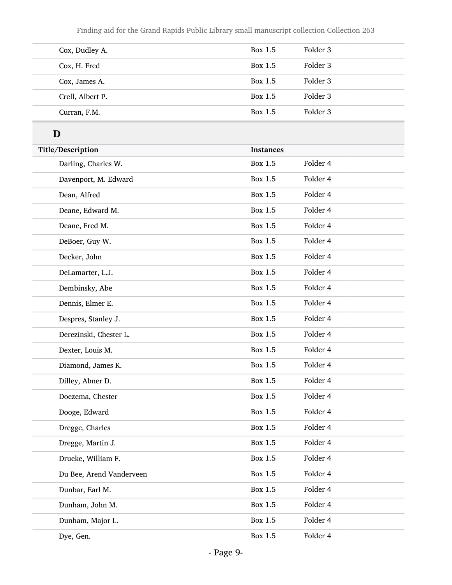Finding aid for the Grand Rapids Public Library small manuscript collection Collection 263

| Cox, Dudley A.   | Box 1.5 | Folder 3 |
|------------------|---------|----------|
| Cox, H. Fred     | Box 1.5 | Folder 3 |
| Cox, James A.    | Box 1.5 | Folder 3 |
| Crell, Albert P. | Box 1.5 | Folder 3 |
| Curran, F.M.     | Box 1.5 | Folder 3 |

# D

| Title/Description        | <b>Instances</b> |          |
|--------------------------|------------------|----------|
| Darling, Charles W.      | Box 1.5          | Folder 4 |
| Davenport, M. Edward     | <b>Box 1.5</b>   | Folder 4 |
| Dean, Alfred             | <b>Box 1.5</b>   | Folder 4 |
| Deane, Edward M.         | <b>Box 1.5</b>   | Folder 4 |
| Deane, Fred M.           | <b>Box 1.5</b>   | Folder 4 |
| DeBoer, Guy W.           | <b>Box 1.5</b>   | Folder 4 |
| Decker, John             | <b>Box 1.5</b>   | Folder 4 |
| DeLamarter, L.J.         | <b>Box 1.5</b>   | Folder 4 |
| Dembinsky, Abe           | <b>Box 1.5</b>   | Folder 4 |
| Dennis, Elmer E.         | <b>Box 1.5</b>   | Folder 4 |
| Despres, Stanley J.      | <b>Box 1.5</b>   | Folder 4 |
| Derezinski, Chester L.   | <b>Box 1.5</b>   | Folder 4 |
| Dexter, Louis M.         | <b>Box 1.5</b>   | Folder 4 |
| Diamond, James K.        | <b>Box 1.5</b>   | Folder 4 |
| Dilley, Abner D.         | <b>Box 1.5</b>   | Folder 4 |
| Doezema, Chester         | <b>Box 1.5</b>   | Folder 4 |
| Dooge, Edward            | <b>Box 1.5</b>   | Folder 4 |
| Dregge, Charles          | <b>Box 1.5</b>   | Folder 4 |
| Dregge, Martin J.        | <b>Box 1.5</b>   | Folder 4 |
| Drueke, William F.       | <b>Box 1.5</b>   | Folder 4 |
| Du Bee, Arend Vanderveen | Box 1.5          | Folder 4 |
| Dunbar, Earl M.          | <b>Box 1.5</b>   | Folder 4 |
| Dunham, John M.          | <b>Box 1.5</b>   | Folder 4 |
| Dunham, Major L.         | Box 1.5          | Folder 4 |
| Dye, Gen.                | <b>Box 1.5</b>   | Folder 4 |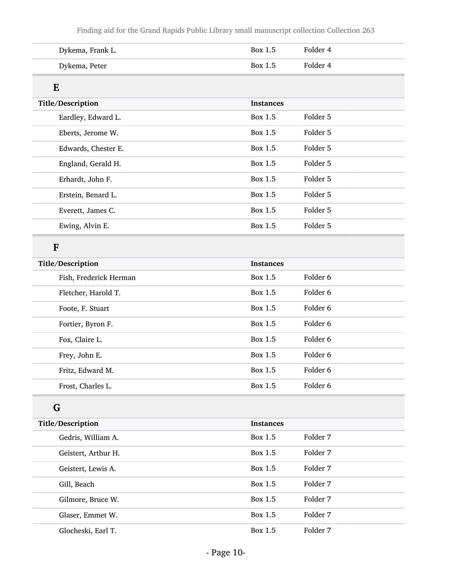| Dykema, Frank L.       | Box 1.5          | Folder 4 |  |  |
|------------------------|------------------|----------|--|--|
| Dykema, Peter          | Box 1.5          | Folder 4 |  |  |
| E                      |                  |          |  |  |
| Title/Description      | <b>Instances</b> |          |  |  |
| Eardley, Edward L.     | Box 1.5          | Folder 5 |  |  |
| Eberts, Jerome W.      | <b>Box 1.5</b>   | Folder 5 |  |  |
| Edwards, Chester E.    | <b>Box 1.5</b>   | Folder 5 |  |  |
| England, Gerald H.     | <b>Box 1.5</b>   | Folder 5 |  |  |
| Erhardt, John F.       | Box 1.5          | Folder 5 |  |  |
| Erstein, Benard L.     | <b>Box 1.5</b>   | Folder 5 |  |  |
| Everett, James C.      | Box 1.5          | Folder 5 |  |  |
| Ewing, Alvin E.        | <b>Box 1.5</b>   | Folder 5 |  |  |
| $\mathbf{F}$           |                  |          |  |  |
| Title/Description      | <b>Instances</b> |          |  |  |
| Fish, Frederick Herman | Box 1.5          | Folder 6 |  |  |
| Fletcher, Harold T.    | <b>Box 1.5</b>   | Folder 6 |  |  |
| Foote, F. Stuart       | Box 1.5          | Folder 6 |  |  |
| Fortier, Byron F.      | <b>Box 1.5</b>   | Folder 6 |  |  |
| Fox, Claire L.         | <b>Box 1.5</b>   | Folder 6 |  |  |
| Frey, John E.          | Box 1.5          | Folder 6 |  |  |
| Fritz, Edward M.       | Box 1.5          | Folder 6 |  |  |
| Frost, Charles L.      | Box 1.5          | Folder 6 |  |  |
| G                      |                  |          |  |  |
| Title/Description      | <b>Instances</b> |          |  |  |
| Gedris, William A.     | Box 1.5          | Folder 7 |  |  |
| Geistert, Arthur H.    | Box 1.5          | Folder 7 |  |  |
| Geistert, Lewis A.     | Box 1.5          | Folder 7 |  |  |
| Gill, Beach            | Box 1.5          | Folder 7 |  |  |
| Gilmore, Bruce W.      | Box 1.5          | Folder 7 |  |  |
| Glaser, Emmet W.       | Box 1.5          | Folder 7 |  |  |
| Glocheski, Earl T.     | Box 1.5          | Folder 7 |  |  |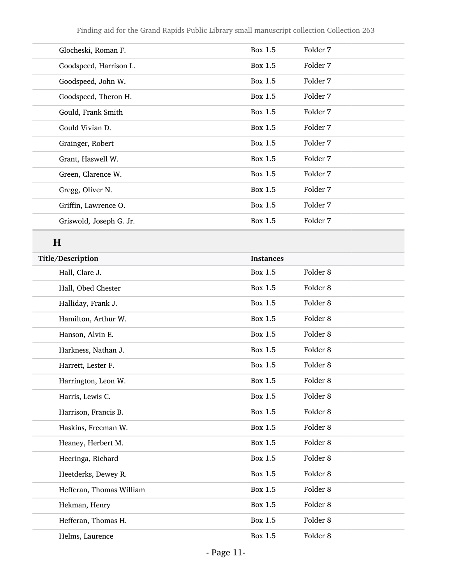| Glocheski, Roman F.     | Box 1.5 | Folder 7 |
|-------------------------|---------|----------|
| Goodspeed, Harrison L.  | Box 1.5 | Folder 7 |
| Goodspeed, John W.      | Box 1.5 | Folder 7 |
| Goodspeed, Theron H.    | Box 1.5 | Folder 7 |
| Gould, Frank Smith      | Box 1.5 | Folder 7 |
| Gould Vivian D.         | Box 1.5 | Folder 7 |
| Grainger, Robert        | Box 1.5 | Folder 7 |
| Grant, Haswell W.       | Box 1.5 | Folder 7 |
| Green, Clarence W.      | Box 1.5 | Folder 7 |
| Gregg, Oliver N.        | Box 1.5 | Folder 7 |
| Griffin, Lawrence O.    | Box 1.5 | Folder 7 |
| Griswold, Joseph G. Jr. | Box 1.5 | Folder 7 |
|                         |         |          |

## H

| Title/Description        | <b>Instances</b> |                     |
|--------------------------|------------------|---------------------|
| Hall, Clare J.           | Box 1.5          | Folder <sub>8</sub> |
| Hall, Obed Chester       | Box 1.5          | Folder <sub>8</sub> |
| Halliday, Frank J.       | Box 1.5          | Folder <sub>8</sub> |
| Hamilton, Arthur W.      | <b>Box 1.5</b>   | Folder 8            |
| Hanson, Alvin E.         | <b>Box 1.5</b>   | Folder <sub>8</sub> |
| Harkness, Nathan J.      | Box 1.5          | Folder <sub>8</sub> |
| Harrett, Lester F.       | <b>Box 1.5</b>   | Folder <sub>8</sub> |
| Harrington, Leon W.      | <b>Box 1.5</b>   | Folder <sub>8</sub> |
| Harris, Lewis C.         | <b>Box 1.5</b>   | Folder <sub>8</sub> |
| Harrison, Francis B.     | <b>Box 1.5</b>   | Folder <sub>8</sub> |
| Haskins, Freeman W.      | <b>Box 1.5</b>   | Folder 8            |
| Heaney, Herbert M.       | <b>Box 1.5</b>   | Folder <sub>8</sub> |
| Heeringa, Richard        | Box 1.5          | Folder <sub>8</sub> |
| Heetderks, Dewey R.      | <b>Box 1.5</b>   | Folder <sub>8</sub> |
| Hefferan, Thomas William | <b>Box 1.5</b>   | Folder <sub>8</sub> |
| Hekman, Henry            | <b>Box 1.5</b>   | Folder <sub>8</sub> |
| Hefferan, Thomas H.      | <b>Box 1.5</b>   | Folder <sub>8</sub> |
| Helms, Laurence          | <b>Box 1.5</b>   | Folder <sub>8</sub> |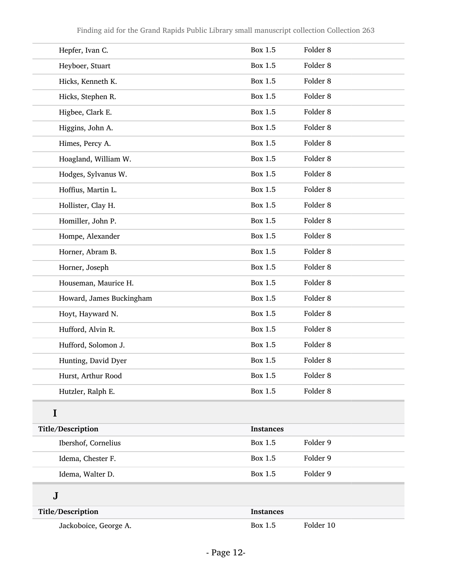| Hepfer, Ivan C.          | Box 1.5          | Folder <sub>8</sub> |
|--------------------------|------------------|---------------------|
| Heyboer, Stuart          | Box 1.5          | Folder <sub>8</sub> |
| Hicks, Kenneth K.        | <b>Box 1.5</b>   | Folder <sub>8</sub> |
| Hicks, Stephen R.        | Box 1.5          | Folder <sub>8</sub> |
| Higbee, Clark E.         | <b>Box 1.5</b>   | Folder <sub>8</sub> |
| Higgins, John A.         | <b>Box 1.5</b>   | Folder <sub>8</sub> |
| Himes, Percy A.          | <b>Box 1.5</b>   | Folder <sub>8</sub> |
| Hoagland, William W.     | Box 1.5          | Folder <sub>8</sub> |
| Hodges, Sylvanus W.      | <b>Box 1.5</b>   | Folder <sub>8</sub> |
| Hoffius, Martin L.       | <b>Box 1.5</b>   | Folder <sub>8</sub> |
| Hollister, Clay H.       | <b>Box 1.5</b>   | Folder <sub>8</sub> |
| Homiller, John P.        | Box 1.5          | Folder <sub>8</sub> |
| Hompe, Alexander         | <b>Box 1.5</b>   | Folder <sub>8</sub> |
| Horner, Abram B.         | <b>Box 1.5</b>   | Folder <sub>8</sub> |
| Horner, Joseph           | <b>Box 1.5</b>   | Folder <sub>8</sub> |
| Houseman, Maurice H.     | <b>Box 1.5</b>   | Folder <sub>8</sub> |
| Howard, James Buckingham | <b>Box 1.5</b>   | Folder <sub>8</sub> |
| Hoyt, Hayward N.         | <b>Box 1.5</b>   | Folder <sub>8</sub> |
| Hufford, Alvin R.        | <b>Box 1.5</b>   | Folder <sub>8</sub> |
| Hufford, Solomon J.      | Box 1.5          | Folder <sub>8</sub> |
| Hunting, David Dyer      | <b>Box 1.5</b>   | Folder <sub>8</sub> |
| Hurst, Arthur Rood       | <b>Box 1.5</b>   | Folder <sub>8</sub> |
| Hutzler, Ralph E.        | Box 1.5          | Folder <sub>8</sub> |
| I                        |                  |                     |
| Title/Description        | <b>Instances</b> |                     |
| Ibershof, Cornelius      | <b>Box 1.5</b>   | Folder 9            |
| Idema, Chester F.        | Box 1.5          | Folder 9            |
| Idema, Walter D.         | <b>Box 1.5</b>   | Folder 9            |
| $\bf J$                  |                  |                     |
| Title/Description        | <b>Instances</b> |                     |
| Jackoboice, George A.    | Box 1.5          | Folder 10           |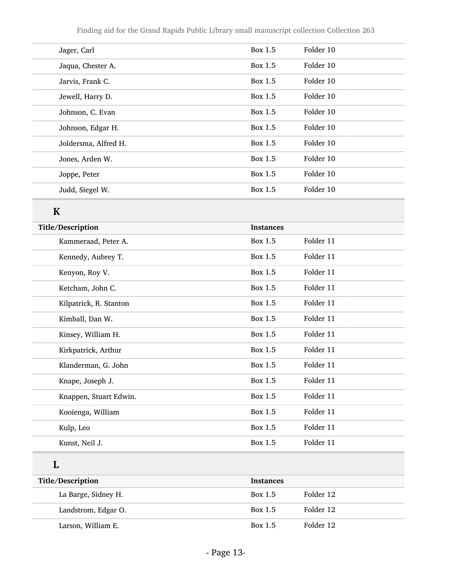| Jager, Carl          | Box 1.5 | Folder 10 |  |
|----------------------|---------|-----------|--|
| Jaqua, Chester A.    | Box 1.5 | Folder 10 |  |
| Jarvis, Frank C.     | Box 1.5 | Folder 10 |  |
| Jewell, Harry D.     | Box 1.5 | Folder 10 |  |
| Johnson, C. Evan     | Box 1.5 | Folder 10 |  |
| Johnson, Edgar H.    | Box 1.5 | Folder 10 |  |
| Joldersma, Alfred H. | Box 1.5 | Folder 10 |  |
| Jones, Arden W.      | Box 1.5 | Folder 10 |  |
| Joppe, Peter         | Box 1.5 | Folder 10 |  |
| Judd, Siegel W.      | Box 1.5 | Folder 10 |  |

## K

| Title/Description      | <b>Instances</b> |           |
|------------------------|------------------|-----------|
| Kammeraad, Peter A.    | Box 1.5          | Folder 11 |
| Kennedy, Aubrey T.     | Box 1.5          | Folder 11 |
| Kenyon, Roy V.         | Box 1.5          | Folder 11 |
| Ketcham, John C.       | Box 1.5          | Folder 11 |
| Kilpatrick, R. Stanton | Box 1.5          | Folder 11 |
| Kimball, Dan W.        | Box 1.5          | Folder 11 |
| Kinsey, William H.     | Box 1.5          | Folder 11 |
| Kirkpatrick, Arthur    | <b>Box 1.5</b>   | Folder 11 |
| Klanderman, G. John    | Box 1.5          | Folder 11 |
| Knape, Joseph J.       | <b>Box 1.5</b>   | Folder 11 |
| Knappen, Stuart Edwin. | Box 1.5          | Folder 11 |
| Kooienga, William      | <b>Box 1.5</b>   | Folder 11 |
| Kulp, Leo              | <b>Box 1.5</b>   | Folder 11 |
| Kunst, Neil J.         | Box 1.5          | Folder 11 |
|                        |                  |           |

#### L

| Title/Description   | <b>Instances</b> |           |
|---------------------|------------------|-----------|
| La Barge, Sidney H. | Box 1.5          | Folder 12 |
| Landstrom, Edgar O. | Box $1.5$        | Folder 12 |
| Larson, William E.  | Box 1.5          | Folder 12 |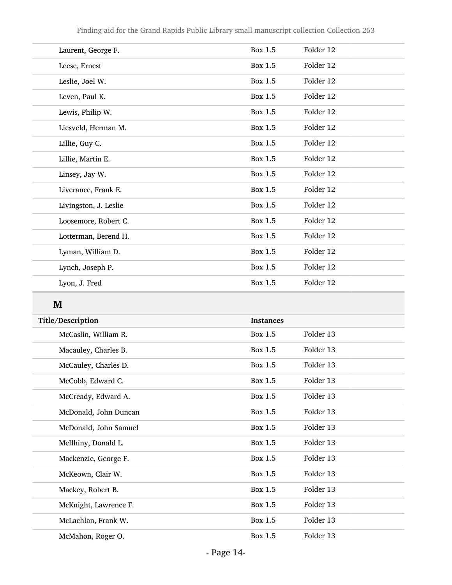| Laurent, George F.    | Box 1.5        | Folder 12 |
|-----------------------|----------------|-----------|
| Leese, Ernest         | <b>Box 1.5</b> | Folder 12 |
| Leslie, Joel W.       | <b>Box 1.5</b> | Folder 12 |
| Leven, Paul K.        | Box 1.5        | Folder 12 |
| Lewis, Philip W.      | <b>Box 1.5</b> | Folder 12 |
| Liesveld, Herman M.   | Box 1.5        | Folder 12 |
| Lillie, Guy C.        | Box 1.5        | Folder 12 |
| Lillie, Martin E.     | Box 1.5        | Folder 12 |
| Linsey, Jay W.        | <b>Box 1.5</b> | Folder 12 |
| Liverance, Frank E.   | Box 1.5        | Folder 12 |
| Livingston, J. Leslie | Box 1.5        | Folder 12 |
| Loosemore, Robert C.  | <b>Box 1.5</b> | Folder 12 |
| Lotterman, Berend H.  | <b>Box 1.5</b> | Folder 12 |
| Lyman, William D.     | Box 1.5        | Folder 12 |
| Lynch, Joseph P.      | Box 1.5        | Folder 12 |
| Lyon, J. Fred         | <b>Box 1.5</b> | Folder 12 |
|                       |                |           |

### M

| Title/Description     | <b>Instances</b> |           |
|-----------------------|------------------|-----------|
| McCaslin, William R.  | Box 1.5          | Folder 13 |
| Macauley, Charles B.  | Box 1.5          | Folder 13 |
| McCauley, Charles D.  | Box 1.5          | Folder 13 |
| McCobb, Edward C.     | Box 1.5          | Folder 13 |
| McCready, Edward A.   | Box 1.5          | Folder 13 |
| McDonald, John Duncan | Box 1.5          | Folder 13 |
| McDonald, John Samuel | Box 1.5          | Folder 13 |
| McIlhiny, Donald L.   | Box 1.5          | Folder 13 |
| Mackenzie, George F.  | Box 1.5          | Folder 13 |
| McKeown, Clair W.     | Box 1.5          | Folder 13 |
| Mackey, Robert B.     | Box 1.5          | Folder 13 |
| McKnight, Lawrence F. | Box 1.5          | Folder 13 |
| McLachlan, Frank W.   | Box 1.5          | Folder 13 |
| McMahon, Roger O.     | Box 1.5          | Folder 13 |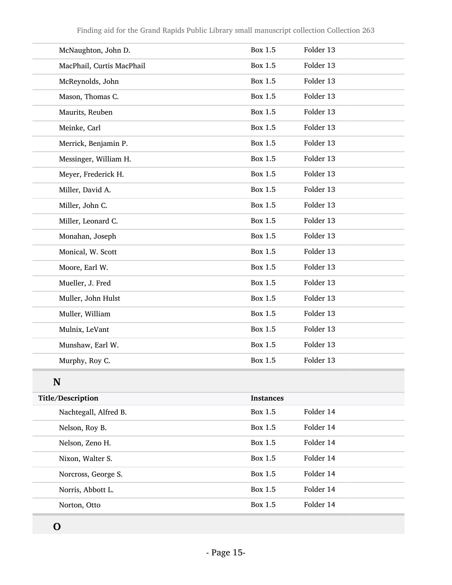| McNaughton, John D.       | Box 1.5          | Folder 13 |
|---------------------------|------------------|-----------|
| MacPhail, Curtis MacPhail | Box 1.5          | Folder 13 |
| McReynolds, John          | <b>Box 1.5</b>   | Folder 13 |
| Mason, Thomas C.          | Box 1.5          | Folder 13 |
| Maurits, Reuben           | <b>Box 1.5</b>   | Folder 13 |
| Meinke, Carl              | Box 1.5          | Folder 13 |
| Merrick, Benjamin P.      | <b>Box 1.5</b>   | Folder 13 |
| Messinger, William H.     | Box 1.5          | Folder 13 |
| Meyer, Frederick H.       | <b>Box 1.5</b>   | Folder 13 |
| Miller, David A.          | <b>Box 1.5</b>   | Folder 13 |
| Miller, John C.           | <b>Box 1.5</b>   | Folder 13 |
| Miller, Leonard C.        | <b>Box 1.5</b>   | Folder 13 |
| Monahan, Joseph           | <b>Box 1.5</b>   | Folder 13 |
| Monical, W. Scott         | Box 1.5          | Folder 13 |
| Moore, Earl W.            | <b>Box 1.5</b>   | Folder 13 |
| Mueller, J. Fred          | Box 1.5          | Folder 13 |
| Muller, John Hulst        | Box 1.5          | Folder 13 |
| Muller, William           | Box 1.5          | Folder 13 |
| Mulnix, LeVant            | <b>Box 1.5</b>   | Folder 13 |
| Munshaw, Earl W.          | Box 1.5          | Folder 13 |
| Murphy, Roy C.            | Box 1.5          | Folder 13 |
| N                         |                  |           |
| Title/Description         | <b>Instances</b> |           |
| Nachtegall, Alfred B.     | Box 1.5          | Folder 14 |
| Nelson, Roy B.            | Box 1.5          | Folder 14 |

O

Nelson, Zeno H. Box 1.5 Folder 14

Nixon, Walter S. Box 1.5 Folder 14

Norcross, George S. Box 1.5 Folder 14

Norris, Abbott L. Box 1.5 Folder 14

Norton, Otto Box 1.5 Folder 14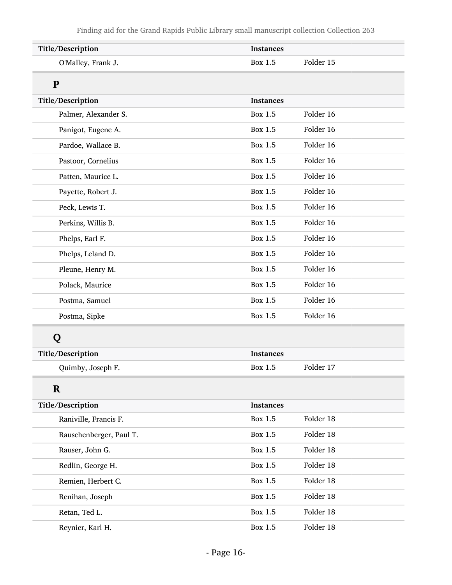| Title/Description       | <b>Instances</b>            |  |
|-------------------------|-----------------------------|--|
| O'Malley, Frank J.      | Folder 15<br>Box 1.5        |  |
| P                       |                             |  |
| Title/Description       | <b>Instances</b>            |  |
| Palmer, Alexander S.    | Folder 16<br>Box 1.5        |  |
| Panigot, Eugene A.      | <b>Box 1.5</b><br>Folder 16 |  |
| Pardoe, Wallace B.      | Folder 16<br>Box 1.5        |  |
| Pastoor, Cornelius      | Folder 16<br>Box 1.5        |  |
| Patten, Maurice L.      | Folder 16<br>Box 1.5        |  |
| Payette, Robert J.      | <b>Box 1.5</b><br>Folder 16 |  |
| Peck, Lewis T.          | Folder 16<br>Box 1.5        |  |
| Perkins, Willis B.      | Folder 16<br>Box 1.5        |  |
| Phelps, Earl F.         | Folder 16<br>Box 1.5        |  |
| Phelps, Leland D.       | <b>Box 1.5</b><br>Folder 16 |  |
| Pleune, Henry M.        | <b>Box 1.5</b><br>Folder 16 |  |
| Polack, Maurice         | Folder 16<br>Box 1.5        |  |
| Postma, Samuel          | Folder 16<br>Box 1.5        |  |
| Postma, Sipke           | <b>Box 1.5</b><br>Folder 16 |  |
| Q                       |                             |  |
| Title/Description       | <b>Instances</b>            |  |
| Quimby, Joseph F.       | Folder 17<br>Box 1.5        |  |
| $\mathbf R$             |                             |  |
| Title/Description       | <b>Instances</b>            |  |
| Raniville, Francis F.   | Folder 18<br>Box 1.5        |  |
| Rauschenberger, Paul T. | <b>Box 1.5</b><br>Folder 18 |  |
| Rauser, John G.         | Box 1.5<br>Folder 18        |  |
| Redlin, George H.       | Folder 18<br><b>Box 1.5</b> |  |
| Remien, Herbert C.      | Box 1.5<br>Folder 18        |  |
| Renihan, Joseph         | <b>Box 1.5</b><br>Folder 18 |  |
| Retan, Ted L.           | Box 1.5<br>Folder 18        |  |
| Reynier, Karl H.        | Box 1.5<br>Folder 18        |  |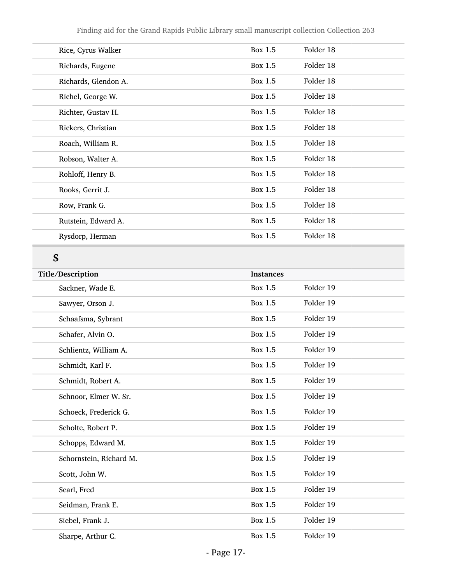| Rice, Cyrus Walker   | Box 1.5 | Folder 18 |
|----------------------|---------|-----------|
| Richards, Eugene     | Box 1.5 | Folder 18 |
| Richards, Glendon A. | Box 1.5 | Folder 18 |
| Richel, George W.    | Box 1.5 | Folder 18 |
| Richter, Gustav H.   | Box 1.5 | Folder 18 |
| Rickers, Christian   | Box 1.5 | Folder 18 |
| Roach, William R.    | Box 1.5 | Folder 18 |
| Robson, Walter A.    | Box 1.5 | Folder 18 |
| Rohloff, Henry B.    | Box 1.5 | Folder 18 |
| Rooks, Gerrit J.     | Box 1.5 | Folder 18 |
| Row, Frank G.        | Box 1.5 | Folder 18 |
| Rutstein, Edward A.  | Box 1.5 | Folder 18 |
| Rysdorp, Herman      | Box 1.5 | Folder 18 |
|                      |         |           |

## S

| Title/Description       | <b>Instances</b> |           |
|-------------------------|------------------|-----------|
| Sackner, Wade E.        | Box 1.5          | Folder 19 |
| Sawyer, Orson J.        | <b>Box 1.5</b>   | Folder 19 |
| Schaafsma, Sybrant      | <b>Box 1.5</b>   | Folder 19 |
| Schafer, Alvin O.       | <b>Box 1.5</b>   | Folder 19 |
| Schlientz, William A.   | <b>Box 1.5</b>   | Folder 19 |
| Schmidt, Karl F.        | Box 1.5          | Folder 19 |
| Schmidt, Robert A.      | <b>Box 1.5</b>   | Folder 19 |
| Schnoor, Elmer W. Sr.   | <b>Box 1.5</b>   | Folder 19 |
| Schoeck, Frederick G.   | <b>Box 1.5</b>   | Folder 19 |
| Scholte, Robert P.      | <b>Box 1.5</b>   | Folder 19 |
| Schopps, Edward M.      | <b>Box 1.5</b>   | Folder 19 |
| Schornstein, Richard M. | <b>Box 1.5</b>   | Folder 19 |
| Scott, John W.          | <b>Box 1.5</b>   | Folder 19 |
| Searl, Fred             | <b>Box 1.5</b>   | Folder 19 |
| Seidman, Frank E.       | <b>Box 1.5</b>   | Folder 19 |
| Siebel, Frank J.        | Box 1.5          | Folder 19 |
| Sharpe, Arthur C.       | Box 1.5          | Folder 19 |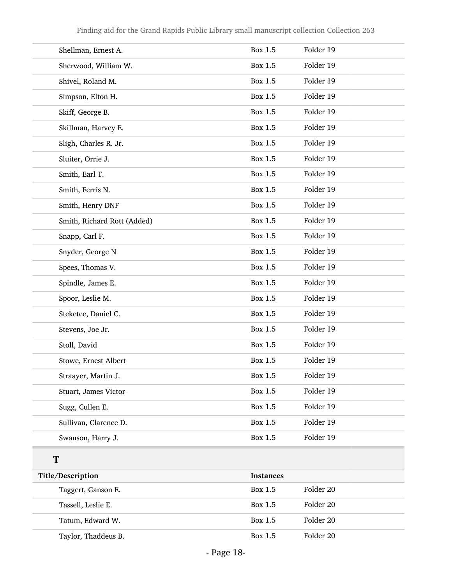| Shellman, Ernest A.         | Box 1.5          | Folder 19 |
|-----------------------------|------------------|-----------|
| Sherwood, William W.        | <b>Box 1.5</b>   | Folder 19 |
| Shivel, Roland M.           | <b>Box 1.5</b>   | Folder 19 |
| Simpson, Elton H.           | <b>Box 1.5</b>   | Folder 19 |
| Skiff, George B.            | <b>Box 1.5</b>   | Folder 19 |
| Skillman, Harvey E.         | <b>Box 1.5</b>   | Folder 19 |
| Sligh, Charles R. Jr.       | <b>Box 1.5</b>   | Folder 19 |
| Sluiter, Orrie J.           | <b>Box 1.5</b>   | Folder 19 |
| Smith, Earl T.              | <b>Box 1.5</b>   | Folder 19 |
| Smith, Ferris N.            | <b>Box 1.5</b>   | Folder 19 |
| Smith, Henry DNF            | <b>Box 1.5</b>   | Folder 19 |
| Smith, Richard Rott (Added) | <b>Box 1.5</b>   | Folder 19 |
| Snapp, Carl F.              | <b>Box 1.5</b>   | Folder 19 |
| Snyder, George N            | <b>Box 1.5</b>   | Folder 19 |
| Spees, Thomas V.            | <b>Box 1.5</b>   | Folder 19 |
| Spindle, James E.           | <b>Box 1.5</b>   | Folder 19 |
| Spoor, Leslie M.            | <b>Box 1.5</b>   | Folder 19 |
| Steketee, Daniel C.         | <b>Box 1.5</b>   | Folder 19 |
| Stevens, Joe Jr.            | <b>Box 1.5</b>   | Folder 19 |
| Stoll, David                | <b>Box 1.5</b>   | Folder 19 |
| Stowe, Ernest Albert        | Box 1.5          | Folder 19 |
| Straayer, Martin J.         | <b>Box 1.5</b>   | Folder 19 |
| Stuart, James Victor        | Box 1.5          | Folder 19 |
| Sugg, Cullen E.             | <b>Box 1.5</b>   | Folder 19 |
| Sullivan, Clarence D.       | Box 1.5          | Folder 19 |
| Swanson, Harry J.           | <b>Box 1.5</b>   | Folder 19 |
| T                           |                  |           |
| Title/Description           | <b>Instances</b> |           |
| Taggert, Ganson E.          | Box 1.5          | Folder 20 |
| Tassell, Leslie E.          | <b>Box 1.5</b>   | Folder 20 |
| Tatum, Edward W.            | Box 1.5          | Folder 20 |

Taylor, Thaddeus B. Box 1.5 Folder 20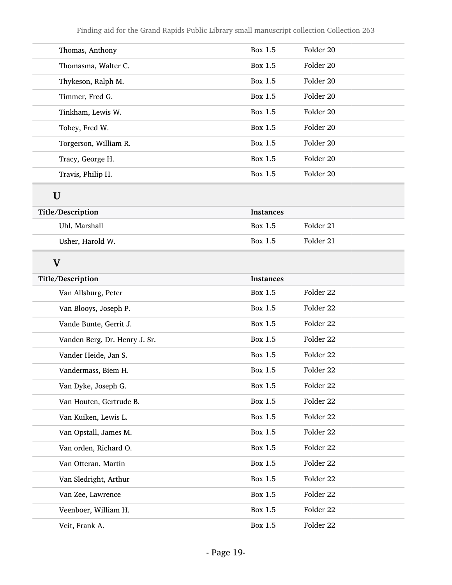| Thomas, Anthony               | Box 1.5          | Folder 20 |
|-------------------------------|------------------|-----------|
| Thomasma, Walter C.           | Box 1.5          | Folder 20 |
| Thykeson, Ralph M.            | Box 1.5          | Folder 20 |
| Timmer, Fred G.               | Box 1.5          | Folder 20 |
| Tinkham, Lewis W.             | Box 1.5          | Folder 20 |
| Tobey, Fred W.                | Box 1.5          | Folder 20 |
| Torgerson, William R.         | Box 1.5          | Folder 20 |
| Tracy, George H.              | Box 1.5          | Folder 20 |
| Travis, Philip H.             | Box 1.5          | Folder 20 |
| U                             |                  |           |
| Title/Description             | <b>Instances</b> |           |
| Uhl, Marshall                 | Box 1.5          | Folder 21 |
| Usher, Harold W.              | Box 1.5          | Folder 21 |
| $\mathbf{V}$                  |                  |           |
| Title/Description             | <b>Instances</b> |           |
| Van Allsburg, Peter           | Box 1.5          | Folder 22 |
| Van Blooys, Joseph P.         | Box 1.5          | Folder 22 |
| Vande Bunte, Gerrit J.        | Box 1.5          | Folder 22 |
| Vanden Berg, Dr. Henry J. Sr. | Box 1.5          | Folder 22 |
| Vander Heide, Jan S.          | Box 1.5          | Folder 22 |
| Vandermass, Biem H.           | Box 1.5          | Folder 22 |
| Van Dyke, Joseph G.           | Box 1.5          | Folder 22 |
| Van Houten, Gertrude B.       | Box 1.5          | Folder 22 |
| Van Kuiken, Lewis L.          | <b>Box 1.5</b>   | Folder 22 |
| Van Opstall, James M.         | Box 1.5          | Folder 22 |
| Van orden, Richard O.         | Box 1.5          | Folder 22 |
| Van Otteran, Martin           | Box 1.5          | Folder 22 |
| Van Sledright, Arthur         | Box 1.5          | Folder 22 |
| Van Zee, Lawrence             | Box 1.5          | Folder 22 |
| Veenboer, William H.          | Box 1.5          | Folder 22 |
| Veit, Frank A.                | Box 1.5          | Folder 22 |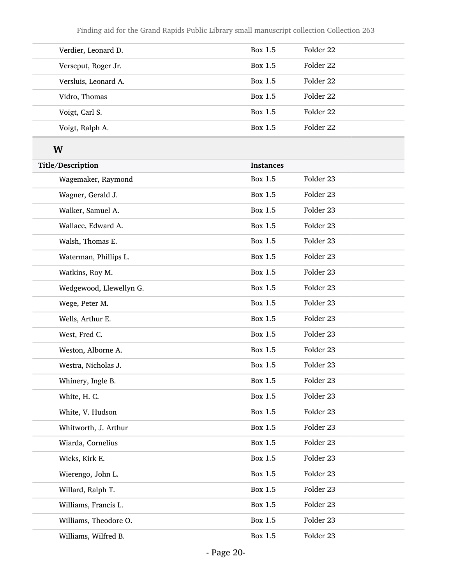| Verdier, Leonard D.  | Box 1.5 | Folder 22 |
|----------------------|---------|-----------|
| Verseput, Roger Jr.  | Box 1.5 | Folder 22 |
| Versluis, Leonard A. | Box 1.5 | Folder 22 |
| Vidro, Thomas        | Box 1.5 | Folder 22 |
| Voigt, Carl S.       | Box 1.5 | Folder 22 |
| Voigt, Ralph A.      | Box 1.5 | Folder 22 |

## W

| Title/Description       | <b>Instances</b> |           |
|-------------------------|------------------|-----------|
| Wagemaker, Raymond      | <b>Box 1.5</b>   | Folder 23 |
| Wagner, Gerald J.       | <b>Box 1.5</b>   | Folder 23 |
| Walker, Samuel A.       | <b>Box 1.5</b>   | Folder 23 |
| Wallace, Edward A.      | <b>Box 1.5</b>   | Folder 23 |
| Walsh, Thomas E.        | <b>Box 1.5</b>   | Folder 23 |
| Waterman, Phillips L.   | <b>Box 1.5</b>   | Folder 23 |
| Watkins, Roy M.         | <b>Box 1.5</b>   | Folder 23 |
| Wedgewood, Llewellyn G. | <b>Box 1.5</b>   | Folder 23 |
| Wege, Peter M.          | <b>Box 1.5</b>   | Folder 23 |
| Wells, Arthur E.        | <b>Box 1.5</b>   | Folder 23 |
| West, Fred C.           | <b>Box 1.5</b>   | Folder 23 |
| Weston, Alborne A.      | <b>Box 1.5</b>   | Folder 23 |
| Westra, Nicholas J.     | <b>Box 1.5</b>   | Folder 23 |
| Whinery, Ingle B.       | <b>Box 1.5</b>   | Folder 23 |
| White, H. C.            | <b>Box 1.5</b>   | Folder 23 |
| White, V. Hudson        | <b>Box 1.5</b>   | Folder 23 |
| Whitworth, J. Arthur    | <b>Box 1.5</b>   | Folder 23 |
| Wiarda, Cornelius       | <b>Box 1.5</b>   | Folder 23 |
| Wicks, Kirk E.          | <b>Box 1.5</b>   | Folder 23 |
| Wierengo, John L.       | <b>Box 1.5</b>   | Folder 23 |
| Willard, Ralph T.       | Box 1.5          | Folder 23 |
| Williams, Francis L.    | <b>Box 1.5</b>   | Folder 23 |
| Williams, Theodore O.   | <b>Box 1.5</b>   | Folder 23 |
| Williams, Wilfred B.    | Box 1.5          | Folder 23 |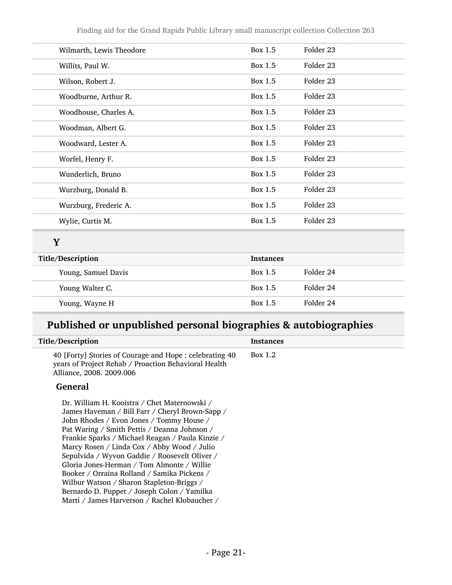| Wilmarth, Lewis Theodore | Box 1.5          | Folder 23 |
|--------------------------|------------------|-----------|
| Willits, Paul W.         | <b>Box 1.5</b>   | Folder 23 |
| Wilson, Robert J.        | <b>Box 1.5</b>   | Folder 23 |
| Woodburne, Arthur R.     | <b>Box 1.5</b>   | Folder 23 |
| Woodhouse, Charles A.    | <b>Box 1.5</b>   | Folder 23 |
| Woodman, Albert G.       | <b>Box 1.5</b>   | Folder 23 |
| Woodward, Lester A.      | Box 1.5          | Folder 23 |
| Worfel, Henry F.         | Box 1.5          | Folder 23 |
| Wunderlich, Bruno        | <b>Box 1.5</b>   | Folder 23 |
| Wurzburg, Donald B.      | Box 1.5          | Folder 23 |
| Wurzburg, Frederic A.    | <b>Box 1.5</b>   | Folder 23 |
| Wylie, Curtis M.         | <b>Box 1.5</b>   | Folder 23 |
| Y                        |                  |           |
| Title/Description        | <b>Instances</b> |           |
| Young, Samuel Davis      | Box 1.5          | Folder 24 |
| Young Walter C.          | Box 1.5          | Folder 24 |
| Young, Wayne H           | Box 1.5          | Folder 24 |

## Published or unpublished personal biographies & autobiographies

| Title/Description                                                                                                                                                                                                                                                                                                                                                                                                                                                                                                                        | <b>Instances</b> |
|------------------------------------------------------------------------------------------------------------------------------------------------------------------------------------------------------------------------------------------------------------------------------------------------------------------------------------------------------------------------------------------------------------------------------------------------------------------------------------------------------------------------------------------|------------------|
| 40 [Forty] Stories of Courage and Hope : celebrating 40<br>years of Project Rehab / Proaction Behavioral Health<br>Alliance, 2008. 2009.006                                                                                                                                                                                                                                                                                                                                                                                              | Box 1.2          |
| General                                                                                                                                                                                                                                                                                                                                                                                                                                                                                                                                  |                  |
| Dr. William H. Kooistra / Chet Maternowski /<br>James Haveman / Bill Farr / Cheryl Brown-Sapp /<br>John Rhodes / Evon Jones / Tommy House /<br>Pat Waring / Smith Pettis / Deanna Johnson /<br>Frankie Sparks / Michael Reagan / Paula Kinzie /<br>Marcy Rosen / Linda Cox / Abby Wood / Julio<br>Sepulvida / Wyvon Gaddie / Roosevelt Oliver /<br>Gloria Jones-Herman / Tom Almonte / Willie<br>Booker / Orraina Rolland / Samika Pickens /<br>Wilbur Watson / Sharon Stapleton-Briggs /<br>Bernardo D. Puppet / Joseph Colon / Yamilka |                  |
| Marti / James Harverson / Rachel Klobaucher /                                                                                                                                                                                                                                                                                                                                                                                                                                                                                            |                  |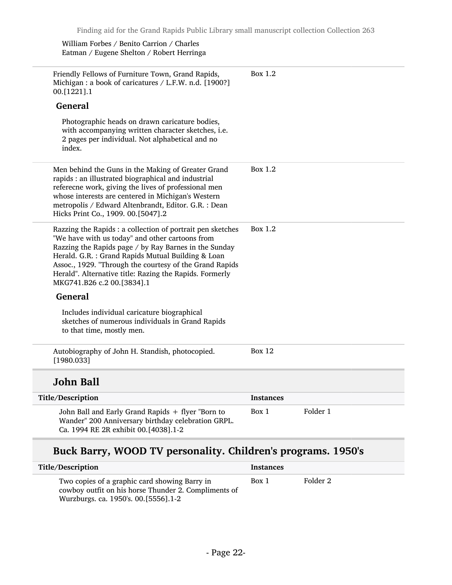William Forbes / Benito Carrion / Charles Eatman / Eugene Shelton / Robert Herringa

| Friendly Fellows of Furniture Town, Grand Rapids,<br>Michigan : a book of caricatures / L.F.W. n.d. [1900?]<br>00.[1221].1                                                                                                                                                                                                                                                       | Box 1.2          |          |
|----------------------------------------------------------------------------------------------------------------------------------------------------------------------------------------------------------------------------------------------------------------------------------------------------------------------------------------------------------------------------------|------------------|----------|
| <b>General</b>                                                                                                                                                                                                                                                                                                                                                                   |                  |          |
| Photographic heads on drawn caricature bodies,<br>with accompanying written character sketches, i.e.<br>2 pages per individual. Not alphabetical and no<br>index.                                                                                                                                                                                                                |                  |          |
| Men behind the Guns in the Making of Greater Grand<br>rapids : an illustrated biographical and industrial<br>referecne work, giving the lives of professional men<br>whose interests are centered in Michigan's Western<br>metropolis / Edward Altenbrandt, Editor. G.R. : Dean<br>Hicks Print Co., 1909. 00.[5047].2                                                            | Box $1.2$        |          |
| Razzing the Rapids : a collection of portrait pen sketches<br>"We have with us today" and other cartoons from<br>Razzing the Rapids page / by Ray Barnes in the Sunday<br>Herald. G.R. : Grand Rapids Mutual Building & Loan<br>Assoc., 1929. "Through the courtesy of the Grand Rapids<br>Herald". Alternative title: Razing the Rapids. Formerly<br>MKG741.B26 c.2 00.[3834].1 | Box 1.2          |          |
| <b>General</b>                                                                                                                                                                                                                                                                                                                                                                   |                  |          |
| Includes individual caricature biographical<br>sketches of numerous individuals in Grand Rapids<br>to that time, mostly men.                                                                                                                                                                                                                                                     |                  |          |
| Autobiography of John H. Standish, photocopied.<br>[1980.033]                                                                                                                                                                                                                                                                                                                    | <b>Box 12</b>    |          |
| John Ball                                                                                                                                                                                                                                                                                                                                                                        |                  |          |
| Title/Description                                                                                                                                                                                                                                                                                                                                                                | <b>Instances</b> |          |
| John Ball and Early Grand Rapids + flyer "Born to<br>Wander" 200 Anniversary birthday celebration GRPL.<br>Ca. 1994 RE 2R exhibit 00.[4038].1-2                                                                                                                                                                                                                                  | Box 1            | Folder 1 |
|                                                                                                                                                                                                                                                                                                                                                                                  |                  |          |

## Buck Barry, WOOD TV personality. Children's programs. 1950's

| Title/Description                                                                                                                               | <b>Instances</b> |          |
|-------------------------------------------------------------------------------------------------------------------------------------------------|------------------|----------|
| Two copies of a graphic card showing Barry in<br>cowboy outfit on his horse Thunder 2. Compliments of<br>Wurzburgs. ca. 1950's. 00. [5556]. 1-2 | Box 1            | Folder 2 |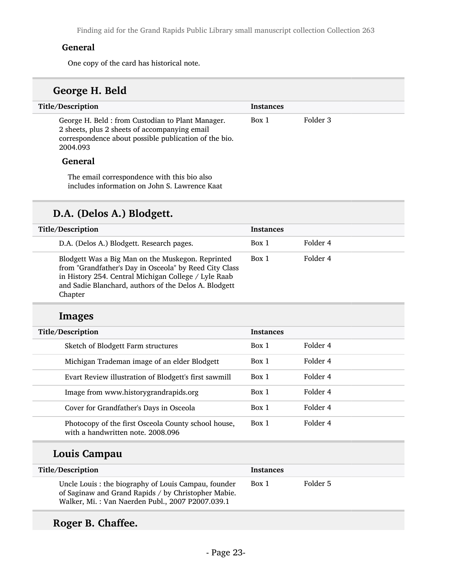Finding aid for the Grand Rapids Public Library small manuscript collection Collection 263

#### General

One copy of the card has historical note.

### George H. Beld

| Title/Description                                                                                                                                                      | <b>Instances</b> |          |
|------------------------------------------------------------------------------------------------------------------------------------------------------------------------|------------------|----------|
| George H. Beld: from Custodian to Plant Manager.<br>2 sheets, plus 2 sheets of accompanying email<br>correspondence about possible publication of the bio.<br>2004.093 | Box 1            | Folder 3 |
| <b>General</b>                                                                                                                                                         |                  |          |
| The email correspondence with this bio also                                                                                                                            |                  |          |

### D.A. (Delos A.) Blodgett.

includes information on John S. Lawrence Kaat

| Title/Description                                                                                                                                                                                                                       | <b>Instances</b> |          |
|-----------------------------------------------------------------------------------------------------------------------------------------------------------------------------------------------------------------------------------------|------------------|----------|
| D.A. (Delos A.) Blodgett. Research pages.                                                                                                                                                                                               | Box 1            | Folder 4 |
| Blodgett Was a Big Man on the Muskegon. Reprinted<br>from "Grandfather's Day in Osceola" by Reed City Class<br>in History 254. Central Michigan College / Lyle Raab<br>and Sadie Blanchard, authors of the Delos A. Blodgett<br>Chapter | Box 1            | Folder 4 |

### Images

| Title/Description                                                                        | <b>Instances</b> |          |
|------------------------------------------------------------------------------------------|------------------|----------|
| Sketch of Blodgett Farm structures                                                       | Box 1            | Folder 4 |
| Michigan Trademan image of an elder Blodgett                                             | Box 1            | Folder 4 |
| Evart Review illustration of Blodgett's first sawmill                                    | Box 1            | Folder 4 |
| Image from www.historygrandrapids.org                                                    | Box 1            | Folder 4 |
| Cover for Grandfather's Days in Osceola                                                  | Box 1            | Folder 4 |
| Photocopy of the first Osceola County school house,<br>with a handwritten note, 2008.096 | Box 1            | Folder 4 |

### Louis Campau

| Title/Description                                                                                                                                               | <b>Instances</b> |          |
|-----------------------------------------------------------------------------------------------------------------------------------------------------------------|------------------|----------|
| Uncle Louis : the biography of Louis Campau, founder<br>of Saginaw and Grand Rapids / by Christopher Mabie.<br>Walker, Mi.: Van Naerden Publ., 2007 P2007.039.1 | Box 1            | Folder 5 |

## Roger B. Chaffee.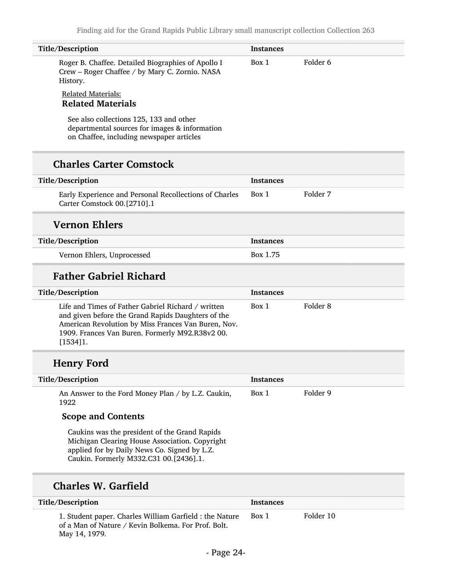| Title/Description                                                                                                                                                                                                              | <b>Instances</b> |                     |
|--------------------------------------------------------------------------------------------------------------------------------------------------------------------------------------------------------------------------------|------------------|---------------------|
| Roger B. Chaffee. Detailed Biographies of Apollo I<br>Crew - Roger Chaffee / by Mary C. Zornio. NASA<br>History.                                                                                                               | Box 1            | Folder <sub>6</sub> |
| <b>Related Materials:</b><br><b>Related Materials</b>                                                                                                                                                                          |                  |                     |
| See also collections 125, 133 and other<br>departmental sources for images & information<br>on Chaffee, including newspaper articles                                                                                           |                  |                     |
| <b>Charles Carter Comstock</b>                                                                                                                                                                                                 |                  |                     |
| Title/Description                                                                                                                                                                                                              | <b>Instances</b> |                     |
| Early Experience and Personal Recollections of Charles<br>Carter Comstock 00.[2710].1                                                                                                                                          | Box 1            | Folder 7            |
| <b>Vernon Ehlers</b>                                                                                                                                                                                                           |                  |                     |
| Title/Description                                                                                                                                                                                                              | Instances        |                     |
| Vernon Ehlers, Unprocessed                                                                                                                                                                                                     | Box 1.75         |                     |
| <b>Father Gabriel Richard</b>                                                                                                                                                                                                  |                  |                     |
| Title/Description                                                                                                                                                                                                              | Instances        |                     |
| Life and Times of Father Gabriel Richard / written<br>and given before the Grand Rapids Daughters of the<br>American Revolution by Miss Frances Van Buren, Nov.<br>1909. Frances Van Buren. Formerly M92.R38v2 00.<br>[1534]1. | Box 1            | Folder 8            |
| <b>Henry Ford</b>                                                                                                                                                                                                              |                  |                     |
| Title/Description                                                                                                                                                                                                              | <b>Instances</b> |                     |
| An Answer to the Ford Money Plan / by L.Z. Caukin,<br>1922                                                                                                                                                                     | Box 1            | Folder 9            |
| <b>Scope and Contents</b>                                                                                                                                                                                                      |                  |                     |
| Caukins was the president of the Grand Rapids<br>Michigan Clearing House Association. Copyright                                                                                                                                |                  |                     |
| applied for by Daily News Co. Signed by L.Z.<br>Caukin. Formerly M332.C31 00.[2436].1.                                                                                                                                         |                  |                     |
| <b>Charles W. Garfield</b>                                                                                                                                                                                                     |                  |                     |
| Title/Description                                                                                                                                                                                                              | <b>Instances</b> |                     |

May 14, 1979.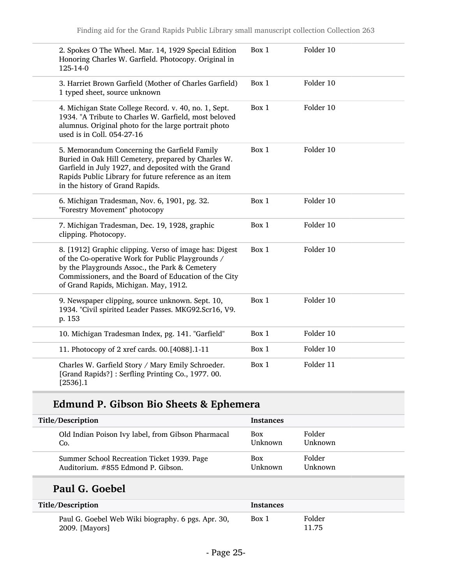| 2. Spokes O The Wheel. Mar. 14, 1929 Special Edition<br>Honoring Charles W. Garfield. Photocopy. Original in<br>125-14-0                                                                                                                                        | Box 1 | Folder 10 |
|-----------------------------------------------------------------------------------------------------------------------------------------------------------------------------------------------------------------------------------------------------------------|-------|-----------|
| 3. Harriet Brown Garfield (Mother of Charles Garfield)<br>1 typed sheet, source unknown                                                                                                                                                                         | Box 1 | Folder 10 |
| 4. Michigan State College Record. v. 40, no. 1, Sept.<br>1934. "A Tribute to Charles W. Garfield, most beloved<br>alumnus. Original photo for the large portrait photo<br>used is in Coll. 054-27-16                                                            | Box 1 | Folder 10 |
| 5. Memorandum Concerning the Garfield Family<br>Buried in Oak Hill Cemetery, prepared by Charles W.<br>Garfield in July 1927, and deposited with the Grand<br>Rapids Public Library for future reference as an item<br>in the history of Grand Rapids.          | Box 1 | Folder 10 |
| 6. Michigan Tradesman, Nov. 6, 1901, pg. 32.<br>"Forestry Movement" photocopy                                                                                                                                                                                   | Box 1 | Folder 10 |
| 7. Michigan Tradesman, Dec. 19, 1928, graphic<br>clipping. Photocopy.                                                                                                                                                                                           | Box 1 | Folder 10 |
| 8. [1912] Graphic clipping. Verso of image has: Digest<br>of the Co-operative Work for Public Playgrounds /<br>by the Playgrounds Assoc., the Park & Cemetery<br>Commissioners, and the Board of Education of the City<br>of Grand Rapids, Michigan. May, 1912. | Box 1 | Folder 10 |
| 9. Newspaper clipping, source unknown. Sept. 10,<br>1934. "Civil spirited Leader Passes. MKG92.Scr16, V9.<br>p. 153                                                                                                                                             | Box 1 | Folder 10 |
| 10. Michigan Tradesman Index, pg. 141. "Garfield"                                                                                                                                                                                                               | Box 1 | Folder 10 |
| 11. Photocopy of 2 xref cards. 00.[4088].1-11                                                                                                                                                                                                                   | Box 1 | Folder 10 |
| Charles W. Garfield Story / Mary Emily Schroeder.<br>[Grand Rapids?]: Serfling Printing Co., 1977. 00.<br>$[2536]$ .1                                                                                                                                           | Box 1 | Folder 11 |

## Edmund P. Gibson Bio Sheets & Ephemera

| Title/Description                                  | <b>Instances</b> |                |
|----------------------------------------------------|------------------|----------------|
| Old Indian Poison Ivy label, from Gibson Pharmacal | <b>Box</b>       | Folder         |
| Co.                                                | <b>Unknown</b>   | <b>Unknown</b> |
| Summer School Recreation Ticket 1939. Page         | <b>Box</b>       | Folder         |
| Auditorium. #855 Edmond P. Gibson.                 | <b>Unknown</b>   | Unknown        |

## Paul G. Goebel

L

| Title/Description                                                    | <b>Instances</b> |                 |
|----------------------------------------------------------------------|------------------|-----------------|
| Paul G. Goebel Web Wiki biography. 6 pgs. Apr. 30,<br>2009. [Mayors] | Box 1            | Folder<br>11.75 |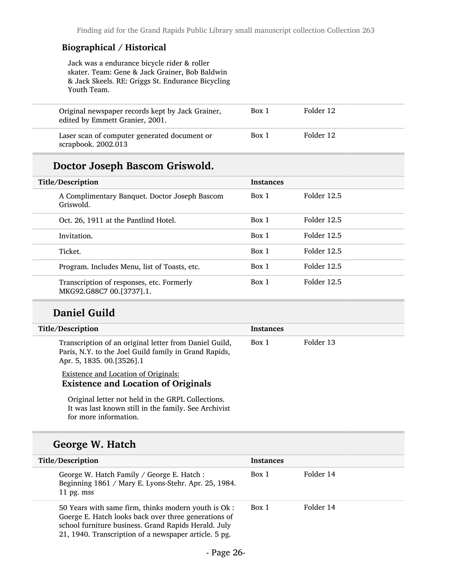#### Biographical / Historical

Jack was a endurance bicycle rider & roller skater. Team: Gene & Jack Grainer, Bob Baldwin & Jack Skeels. RE: Griggs St. Endurance Bicycling Youth Team.

| Original newspaper records kept by Jack Grainer,<br>edited by Emmett Granier, 2001. | Box 1 | Folder 12 |
|-------------------------------------------------------------------------------------|-------|-----------|
| Laser scan of computer generated document or<br>scrapbook. $2002.013$               | Box 1 | Folder 12 |

### Doctor Joseph Bascom Griswold.

| Title/Description                                                     | <b>Instances</b> |             |  |
|-----------------------------------------------------------------------|------------------|-------------|--|
| A Complimentary Banquet. Doctor Joseph Bascom<br>Griswold.            | Box 1            | Folder 12.5 |  |
| Oct. 26, 1911 at the Pantlind Hotel.                                  | Box 1            | Folder 12.5 |  |
| Invitation.                                                           | Box 1            | Folder 12.5 |  |
| Ticket.                                                               | Box 1            | Folder 12.5 |  |
| Program. Includes Menu, list of Toasts, etc.                          | Box 1            | Folder 12.5 |  |
| Transcription of responses, etc. Formerly<br>MKG92.G88C7 00.[3737].1. | Box 1            | Folder 12.5 |  |

#### Daniel Guild

| Title/Description                                                                                                                            | <b>Instances</b> |           |
|----------------------------------------------------------------------------------------------------------------------------------------------|------------------|-----------|
| Transcription of an original letter from Daniel Guild,<br>Paris, N.Y. to the Joel Guild family in Grand Rapids,<br>Apr. 5, 1835. 00.[3526].1 | Box 1            | Folder 13 |
| <b>Existence and Location of Originals:</b><br><b>Existence and Location of Originals</b>                                                    |                  |           |

Original letter not held in the GRPL Collections. It was last known still in the family. See Archivist for more information.

### George W. Hatch

| Title/Description                                                                                                                                                                                                             | <b>Instances</b> |           |
|-------------------------------------------------------------------------------------------------------------------------------------------------------------------------------------------------------------------------------|------------------|-----------|
| George W. Hatch Family / George E. Hatch :<br>Beginning 1861 / Mary E. Lyons-Stehr. Apr. 25, 1984.<br>11 pg. mss                                                                                                              | Box 1            | Folder 14 |
| 50 Years with same firm, thinks modern youth is Ok :<br>Goerge E. Hatch looks back over three generations of<br>school furniture business. Grand Rapids Herald. July<br>21, 1940. Transcription of a newspaper article. 5 pg. | Box 1            | Folder 14 |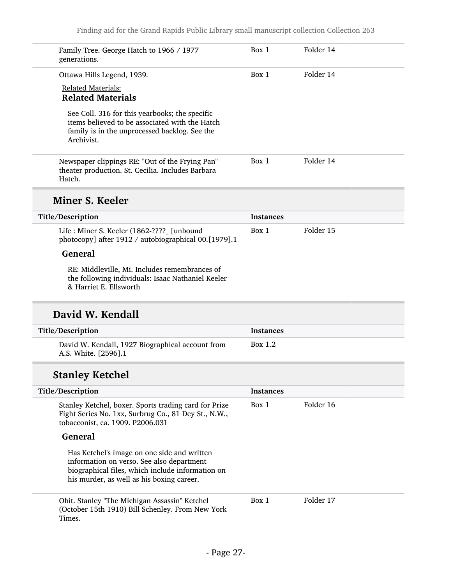| Family Tree. George Hatch to 1966 / 1977<br>generations.                                                                                                        | Box 1            | Folder 14 |
|-----------------------------------------------------------------------------------------------------------------------------------------------------------------|------------------|-----------|
| Ottawa Hills Legend, 1939.                                                                                                                                      | Box 1            | Folder 14 |
| <b>Related Materials:</b>                                                                                                                                       |                  |           |
| <b>Related Materials</b>                                                                                                                                        |                  |           |
| See Coll. 316 for this yearbooks; the specific<br>items believed to be associated with the Hatch<br>family is in the unprocessed backlog. See the<br>Archivist. |                  |           |
| Newspaper clippings RE: "Out of the Frying Pan"<br>theater production. St. Cecilia. Includes Barbara<br>Hatch.                                                  | Box 1            | Folder 14 |
| Miner S. Keeler                                                                                                                                                 |                  |           |
| Title/Description                                                                                                                                               | <b>Instances</b> |           |
| Life : Miner S. Keeler (1862-???? [unbound]<br>photocopy] after 1912 / autobiographical 00.[1979].1                                                             | Box 1            | Folder 15 |
| <b>General</b>                                                                                                                                                  |                  |           |
| RE: Middleville, Mi. Includes remembrances of<br>the following individuals: Isaac Nathaniel Keeler                                                              |                  |           |

& Harriet E. Ellsworth

### David W. Kendall

| Title/Description                                                        | <b>Instances</b> |
|--------------------------------------------------------------------------|------------------|
| David W. Kendall, 1927 Biographical account from<br>A.S. White. [2596].1 | Box 1.2          |

## Stanley Ketchel

| Title/Description                                                                                                                                                                         | <b>Instances</b> |           |
|-------------------------------------------------------------------------------------------------------------------------------------------------------------------------------------------|------------------|-----------|
| Stanley Ketchel, boxer. Sports trading card for Prize<br>Fight Series No. 1xx, Surbrug Co., 81 Dey St., N.W.,<br>tobacconist, ca. 1909. P2006.031                                         | Box 1            | Folder 16 |
| <b>General</b>                                                                                                                                                                            |                  |           |
| Has Ketchel's image on one side and written<br>information on verso. See also department<br>biographical files, which include information on<br>his murder, as well as his boxing career. |                  |           |
| Obit. Stanley "The Michigan Assassin" Ketchel<br>(October 15th 1910) Bill Schenley. From New York<br>Times.                                                                               | Box 1            | Folder 17 |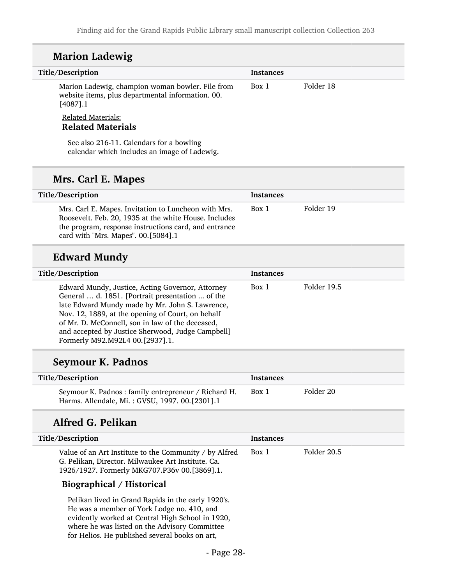#### Marion Ladewig

| Title/Description                                                                                                    | <b>Instances</b> |           |
|----------------------------------------------------------------------------------------------------------------------|------------------|-----------|
| Marion Ladewig, champion woman bowler. File from<br>website items, plus departmental information. 00.<br>$[4087]$ .1 | Box 1            | Folder 18 |
| Related Materials:<br><b>Related Materials</b>                                                                       |                  |           |

See also 216-11. Calendars for a bowling calendar which includes an image of Ladewig.

#### Mrs. Carl E. Mapes

| Title/Description                                                                                                                                                                                             | <b>Instances</b> |           |
|---------------------------------------------------------------------------------------------------------------------------------------------------------------------------------------------------------------|------------------|-----------|
| Mrs. Carl E. Mapes. Invitation to Luncheon with Mrs.<br>Roosevelt. Feb. 20, 1935 at the white House. Includes<br>the program, response instructions card, and entrance<br>card with "Mrs. Mapes". 00.[5084].1 | Box 1            | Folder 19 |

### Edward Mundy

| Title/Description                                                                                                                                                                                                                                                                                                                                        | <b>Instances</b> |             |
|----------------------------------------------------------------------------------------------------------------------------------------------------------------------------------------------------------------------------------------------------------------------------------------------------------------------------------------------------------|------------------|-------------|
| Edward Mundy, Justice, Acting Governor, Attorney<br>General  d. 1851. [Portrait presentation  of the<br>late Edward Mundy made by Mr. John S. Lawrence,<br>Nov. 12, 1889, at the opening of Court, on behalf<br>of Mr. D. McConnell, son in law of the deceased,<br>and accepted by Justice Sherwood, Judge Campbell]<br>Formerly M92.M92L4 00.[2937].1. | Box 1            | Folder 19.5 |

#### Seymour K. Padnos

| Title/Description                                                                                      | <b>Instances</b> |           |
|--------------------------------------------------------------------------------------------------------|------------------|-----------|
| Seymour K. Padnos: family entrepreneur / Richard H.<br>Harms. Allendale, Mi.: GVSU, 1997. 00. [2301].1 | Box 1            | Folder 20 |

#### Alfred G. Pelikan

| Title/Description                                                                                                                                            | <b>Instances</b> |             |
|--------------------------------------------------------------------------------------------------------------------------------------------------------------|------------------|-------------|
| Value of an Art Institute to the Community / by Alfred<br>G. Pelikan, Director. Milwaukee Art Institute. Ca.<br>1926/1927. Formerly MKG707.P36v 00.[3869].1. | Box 1            | Folder 20.5 |

#### Biographical / Historical

Pelikan lived in Grand Rapids in the early 1920's. He was a member of York Lodge no. 410, and evidently worked at Central High School in 1920, where he was listed on the Advisory Committee for Helios. He published several books on art,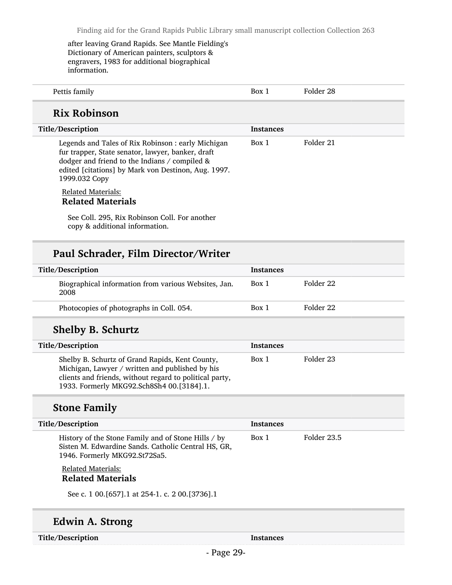after leaving Grand Rapids. See Mantle Fielding's Dictionary of American painters, sculptors & engravers, 1983 for additional biographical information.

| . | _____ |  |
|---|-------|--|
|   |       |  |

### Rix Robinson

| Title/Description                                                                                                                                                                                                               | <b>Instances</b> |           |  |
|---------------------------------------------------------------------------------------------------------------------------------------------------------------------------------------------------------------------------------|------------------|-----------|--|
| Legends and Tales of Rix Robinson: early Michigan<br>fur trapper, State senator, lawyer, banker, draft<br>dodger and friend to the Indians / compiled &<br>edited [citations] by Mark von Destinon, Aug. 1997.<br>1999.032 Сору | Box 1            | Folder 21 |  |
| <b>Related Materials:</b><br><b>Related Materials</b>                                                                                                                                                                           |                  |           |  |
| See Coll. 295, Rix Robinson Coll. For another<br>copy & additional information.                                                                                                                                                 |                  |           |  |

#### Paul Schrader, Film Director/Writer

| Title/Description                                            | <b>Instances</b> |           |
|--------------------------------------------------------------|------------------|-----------|
| Biographical information from various Websites, Jan.<br>2008 | Box 1            | Folder 22 |
| Photocopies of photographs in Coll. 054.                     | Box 1            | Folder 22 |

#### Shelby B. Schurtz

| Title/Description                                                                                                                                                                                          | <b>Instances</b> |           |
|------------------------------------------------------------------------------------------------------------------------------------------------------------------------------------------------------------|------------------|-----------|
| Shelby B. Schurtz of Grand Rapids, Kent County,<br>Michigan, Lawyer / written and published by his<br>clients and friends, without regard to political party,<br>1933. Formerly MKG92.Sch8Sh4 00.[3184].1. | Box 1            | Folder 23 |

### Stone Family

| Title/Description                                                                                                                           | Instances |             |
|---------------------------------------------------------------------------------------------------------------------------------------------|-----------|-------------|
| History of the Stone Family and of Stone Hills / by<br>Sisten M. Edwardine Sands. Catholic Central HS, GR,<br>1946. Formerly MKG92.St72Sa5. | Box 1     | Folder 23.5 |
| <b>Related Materials:</b><br><b>Related Materials</b>                                                                                       |           |             |
| See c. 1 00. [657] .1 at 254-1. c. 2 00. [3736] .1                                                                                          |           |             |

### Edwin A. Strong

Title/Description Instances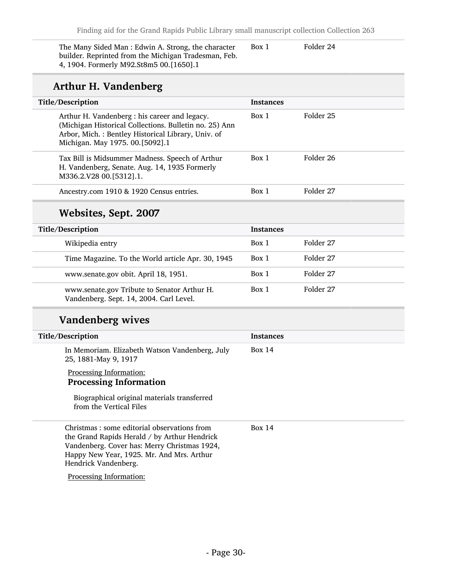The Many Sided Man : Edwin A. Strong, the character builder. Reprinted from the Michigan Tradesman, Feb. 4, 1904. Formerly M92.St8m5 00.[1650].1

Box 1 Folder 24

### Arthur H. Vandenberg

| Title/Description                                                                                                                                                                                | <b>Instances</b> |           |
|--------------------------------------------------------------------------------------------------------------------------------------------------------------------------------------------------|------------------|-----------|
| Arthur H. Vandenberg : his career and legacy.<br>(Michigan Historical Collections. Bulletin no. 25) Ann<br>Arbor, Mich.: Bentley Historical Library, Univ. of<br>Michigan. May 1975. 00.[5092].1 | Box 1            | Folder 25 |
| Tax Bill is Midsummer Madness. Speech of Arthur<br>H. Vandenberg, Senate. Aug. 14, 1935 Formerly<br>M336.2.V28 00.[5312].1.                                                                      | Box 1            | Folder 26 |
| Ancestry.com 1910 & 1920 Census entries.                                                                                                                                                         | Box 1            | Folder 27 |

### Websites, Sept. 2007

| Title/Description                                                                      | <b>Instances</b> |           |
|----------------------------------------------------------------------------------------|------------------|-----------|
| Wikipedia entry                                                                        | Box 1            | Folder 27 |
| Time Magazine. To the World article Apr. 30, 1945                                      | Box 1            | Folder 27 |
| www.senate.gov obit. April 18, 1951.                                                   | Box 1            | Folder 27 |
| www.senate.gov Tribute to Senator Arthur H.<br>Vandenberg. Sept. 14, 2004. Carl Level. | Box 1            | Folder 27 |

### Vandenberg wives

| Title/Description                                                                                                                                                                                                 | <b>Instances</b> |
|-------------------------------------------------------------------------------------------------------------------------------------------------------------------------------------------------------------------|------------------|
| In Memoriam. Elizabeth Watson Vandenberg, July<br>25, 1881-May 9, 1917                                                                                                                                            | Box 14           |
| Processing Information:<br><b>Processing Information</b>                                                                                                                                                          |                  |
| Biographical original materials transferred<br>from the Vertical Files                                                                                                                                            |                  |
| Christmas : some editorial observations from<br>the Grand Rapids Herald / by Arthur Hendrick<br>Vandenberg. Cover has: Merry Christmas 1924,<br>Happy New Year, 1925. Mr. And Mrs. Arthur<br>Hendrick Vandenberg. | Box $14$         |
| Processing Information:                                                                                                                                                                                           |                  |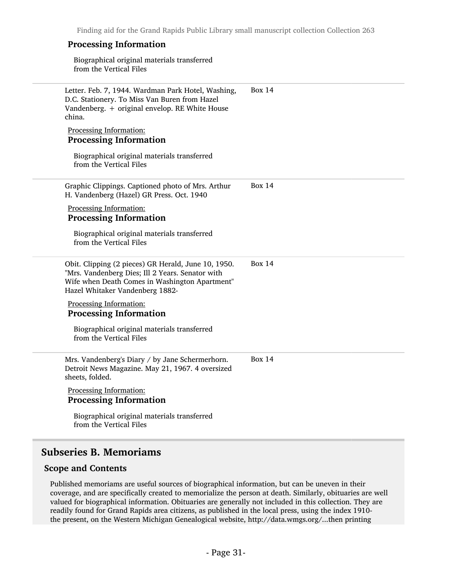#### Processing Information

Biographical original materials transferred from the Vertical Files

| Letter. Feb. 7, 1944. Wardman Park Hotel, Washing,<br>D.C. Stationery. To Miss Van Buren from Hazel<br>Vandenberg. + original envelop. RE White House<br>china.                              | <b>Box 14</b> |
|----------------------------------------------------------------------------------------------------------------------------------------------------------------------------------------------|---------------|
| Processing Information:<br><b>Processing Information</b>                                                                                                                                     |               |
| Biographical original materials transferred<br>from the Vertical Files                                                                                                                       |               |
| Graphic Clippings. Captioned photo of Mrs. Arthur<br>H. Vandenberg (Hazel) GR Press. Oct. 1940                                                                                               | Box $14$      |
| Processing Information:<br><b>Processing Information</b>                                                                                                                                     |               |
| Biographical original materials transferred<br>from the Vertical Files                                                                                                                       |               |
| Obit. Clipping (2 pieces) GR Herald, June 10, 1950.<br>"Mrs. Vandenberg Dies; Ill 2 Years. Senator with<br>Wife when Death Comes in Washington Apartment"<br>Hazel Whitaker Vandenberg 1882- | <b>Box 14</b> |
| Processing Information:<br><b>Processing Information</b>                                                                                                                                     |               |
| Biographical original materials transferred<br>from the Vertical Files                                                                                                                       |               |
| Mrs. Vandenberg's Diary / by Jane Schermerhorn.<br>Detroit News Magazine. May 21, 1967. 4 oversized<br>sheets, folded.                                                                       | <b>Box 14</b> |
| Processing Information:<br><b>Processing Information</b>                                                                                                                                     |               |
| Biographical original materials transferred<br>from the Vertical Files                                                                                                                       |               |
|                                                                                                                                                                                              |               |

#### <span id="page-30-0"></span>Subseries B. Memoriams

#### Scope and Contents

Published memoriams are useful sources of biographical information, but can be uneven in their coverage, and are specifically created to memorialize the person at death. Similarly, obituaries are well valued for biographical information. Obituaries are generally not included in this collection. They are readily found for Grand Rapids area citizens, as published in the local press, using the index 1910 the present, on the Western Michigan Genealogical website, http://data.wmgs.org/...then printing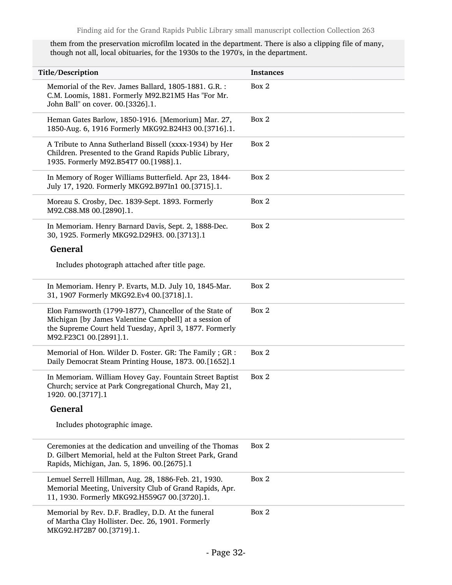them from the preservation microfilm located in the department. There is also a clipping file of many, though not all, local obituaries, for the 1930s to the 1970's, in the department.

| Title/Description                                                                                                                                                                                      | <b>Instances</b> |
|--------------------------------------------------------------------------------------------------------------------------------------------------------------------------------------------------------|------------------|
| Memorial of the Rev. James Ballard, 1805-1881. G.R. :<br>C.M. Loomis, 1881. Formerly M92.B21M5 Has "For Mr.<br>John Ball" on cover. 00.[3326].1.                                                       | Box 2            |
| Heman Gates Barlow, 1850-1916. [Memorium] Mar. 27,<br>1850-Aug. 6, 1916 Formerly MKG92.B24H3 00.[3716].1.                                                                                              | Box 2            |
| A Tribute to Anna Sutherland Bissell (xxxx-1934) by Her<br>Children. Presented to the Grand Rapids Public Library,<br>1935. Formerly M92.B54T7 00.[1988].1.                                            | Box 2            |
| In Memory of Roger Williams Butterfield. Apr 23, 1844-<br>July 17, 1920. Formerly MKG92.B97In1 00.[3715].1.                                                                                            | Box 2            |
| Moreau S. Crosby, Dec. 1839-Sept. 1893. Formerly<br>M92.C88.M8 00.[2890].1.                                                                                                                            | Box 2            |
| In Memoriam. Henry Barnard Davis, Sept. 2, 1888-Dec.<br>30, 1925. Formerly MKG92.D29H3. 00.[3713].1                                                                                                    | Box 2            |
| <b>General</b>                                                                                                                                                                                         |                  |
| Includes photograph attached after title page.                                                                                                                                                         |                  |
| In Memoriam. Henry P. Evarts, M.D. July 10, 1845-Mar.<br>31, 1907 Formerly MKG92.Ev4 00.[3718].1.                                                                                                      | Box 2            |
| Elon Farnsworth (1799-1877), Chancellor of the State of<br>Michigan [by James Valentine Campbell] at a session of<br>the Supreme Court held Tuesday, April 3, 1877. Formerly<br>M92.F23C1 00.[2891].1. | Box 2            |
| Memorial of Hon. Wilder D. Foster. GR: The Family ; GR :<br>Daily Democrat Steam Printing House, 1873. 00.[1652].1                                                                                     | Box 2            |
| In Memoriam. William Hovey Gay. Fountain Street Baptist<br>Church; service at Park Congregational Church, May 21,<br>1920. 00.[3717].1                                                                 | Box 2            |
| <b>General</b>                                                                                                                                                                                         |                  |
| Includes photographic image.                                                                                                                                                                           |                  |
| Ceremonies at the dedication and unveiling of the Thomas<br>D. Gilbert Memorial, held at the Fulton Street Park, Grand<br>Rapids, Michigan, Jan. 5, 1896. 00.[2675].1                                  | Box 2            |
| Lemuel Serrell Hillman, Aug. 28, 1886-Feb. 21, 1930.<br>Memorial Meeting, University Club of Grand Rapids, Apr.<br>11, 1930. Formerly MKG92.H559G7 00.[3720].1.                                        | Box 2            |
| Memorial by Rev. D.F. Bradley, D.D. At the funeral<br>of Martha Clay Hollister. Dec. 26, 1901. Formerly<br>MKG92.H72B7 00.[3719].1.                                                                    | Box 2            |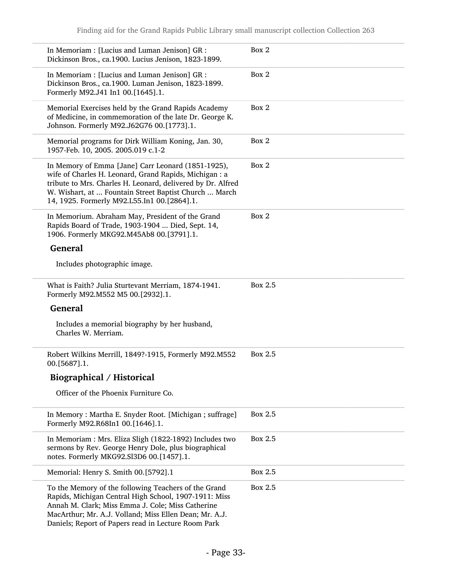| In Memoriam : [Lucius and Luman Jenison] GR :<br>Dickinson Bros., ca.1900. Lucius Jenison, 1823-1899.                                                                                                                                                                               | Box 2   |
|-------------------------------------------------------------------------------------------------------------------------------------------------------------------------------------------------------------------------------------------------------------------------------------|---------|
| In Memoriam : [Lucius and Luman Jenison] GR :<br>Dickinson Bros., ca.1900. Luman Jenison, 1823-1899.<br>Formerly M92.J41 In1 00.[1645].1.                                                                                                                                           | Box 2   |
| Memorial Exercises held by the Grand Rapids Academy<br>of Medicine, in commemoration of the late Dr. George K.<br>Johnson. Formerly M92.J62G76 00.[1773].1.                                                                                                                         | Box 2   |
| Memorial programs for Dirk William Koning, Jan. 30,<br>1957-Feb. 10, 2005. 2005.019 c.1-2                                                                                                                                                                                           | Box 2   |
| In Memory of Emma [Jane] Carr Leonard (1851-1925),<br>wife of Charles H. Leonard, Grand Rapids, Michigan : a<br>tribute to Mrs. Charles H. Leonard, delivered by Dr. Alfred<br>W. Wishart, at  Fountain Street Baptist Church  March<br>14, 1925. Formerly M92.L55.In1 00.[2864].1. | Box 2   |
| In Memorium. Abraham May, President of the Grand<br>Rapids Board of Trade, 1903-1904  Died, Sept. 14,<br>1906. Formerly MKG92.M45Ab8 00.[3791].1.                                                                                                                                   | Box 2   |
| <b>General</b>                                                                                                                                                                                                                                                                      |         |
| Includes photographic image.                                                                                                                                                                                                                                                        |         |
| What is Faith? Julia Sturtevant Merriam, 1874-1941.<br>Formerly M92.M552 M5 00.[2932].1.                                                                                                                                                                                            | Box 2.5 |
| <b>General</b>                                                                                                                                                                                                                                                                      |         |
| Includes a memorial biography by her husband,<br>Charles W. Merriam.                                                                                                                                                                                                                |         |
| Robert Wilkins Merrill, 1849?-1915, Formerly M92.M552<br>00. [5687]. 1.                                                                                                                                                                                                             | Box 2.5 |
| <b>Biographical / Historical</b>                                                                                                                                                                                                                                                    |         |
| Officer of the Phoenix Furniture Co.                                                                                                                                                                                                                                                |         |
| In Memory: Martha E. Snyder Root. [Michigan; suffrage]<br>Formerly M92.R68In1 00.[1646].1.                                                                                                                                                                                          | Box 2.5 |
| In Memoriam : Mrs. Eliza Sligh (1822-1892) Includes two<br>sermons by Rev. George Henry Dole, plus biographical<br>notes. Formerly MKG92.Sl3D6 00.[1457].1.                                                                                                                         | Box 2.5 |
| Memorial: Henry S. Smith 00.[5792].1                                                                                                                                                                                                                                                | Box 2.5 |
| To the Memory of the following Teachers of the Grand<br>Rapids, Michigan Central High School, 1907-1911: Miss<br>Annah M. Clark; Miss Emma J. Cole; Miss Catherine<br>MacArthur; Mr. A.J. Volland; Miss Ellen Dean; Mr. A.J.<br>Daniels; Report of Papers read in Lecture Room Park | Box 2.5 |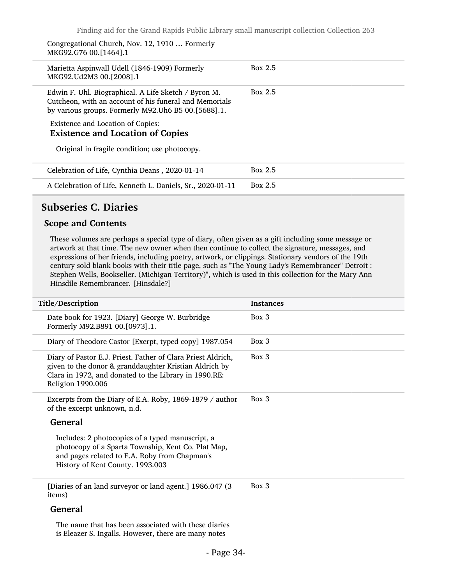Congregational Church, Nov. 12, 1910 … Formerly MKG92.G76 00.[1464].1

| Marietta Aspinwall Udell (1846-1909) Formerly<br>MKG92.Ud2M3 00.[2008].1                                                                                                 | Box 2.5        |
|--------------------------------------------------------------------------------------------------------------------------------------------------------------------------|----------------|
| Edwin F. Uhl. Biographical. A Life Sketch / Byron M.<br>Cutcheon, with an account of his funeral and Memorials<br>by various groups. Formerly M92. Uh6 B5 00. [5688]. 1. | Box 2.5        |
| <b>Existence and Location of Copies:</b><br><b>Existence and Location of Copies</b>                                                                                      |                |
| Original in fragile condition; use photocopy.                                                                                                                            |                |
| Celebration of Life, Cynthia Deans, 2020-01-14                                                                                                                           | Box 2.5        |
| A Celebration of Life, Kenneth L. Daniels, Sr., 2020-01-11                                                                                                               | <b>Box 2.5</b> |

#### <span id="page-33-0"></span>Subseries C. Diaries

#### Scope and Contents

These volumes are perhaps a special type of diary, often given as a gift including some message or artwork at that time. The new owner when then continue to collect the signature, messages, and expressions of her friends, including poetry, artwork, or clippings. Stationary vendors of the 19th century sold blank books with their title page, such as "The Young Lady's Remembrancer" Detroit : Stephen Wells, Bookseller. (Michigan Territory)", which is used in this collection for the Mary Ann Hinsdile Remembrancer. [Hinsdale?]

| Title/Description                                                                                                                                                                                    | <b>Instances</b> |
|------------------------------------------------------------------------------------------------------------------------------------------------------------------------------------------------------|------------------|
| Date book for 1923. [Diary] George W. Burbridge<br>Formerly M92.B891 00.[0973].1.                                                                                                                    | Box 3            |
| Diary of Theodore Castor [Exerpt, typed copy] 1987.054                                                                                                                                               | Box 3            |
| Diary of Pastor E.J. Priest. Father of Clara Priest Aldrich,<br>given to the donor & granddaughter Kristian Aldrich by<br>Clara in 1972, and donated to the Library in 1990.RE:<br>Religion 1990.006 | Box 3            |
| Excerpts from the Diary of E.A. Roby, 1869-1879 / author<br>of the excerpt unknown, n.d.                                                                                                             | Box 3            |
| <b>General</b>                                                                                                                                                                                       |                  |
| Includes: 2 photocopies of a typed manuscript, a<br>photocopy of a Sparta Township, Kent Co. Plat Map,<br>and pages related to E.A. Roby from Chapman's<br>History of Kent County. 1993.003          |                  |
| [Diaries of an land surveyor or land agent.] 1986.047 (3)<br>items)                                                                                                                                  | Box 3            |
| <b>General</b>                                                                                                                                                                                       |                  |
| The name that has been associated with these diaries<br>is Eleazer S. Ingalls. However, there are many notes                                                                                         |                  |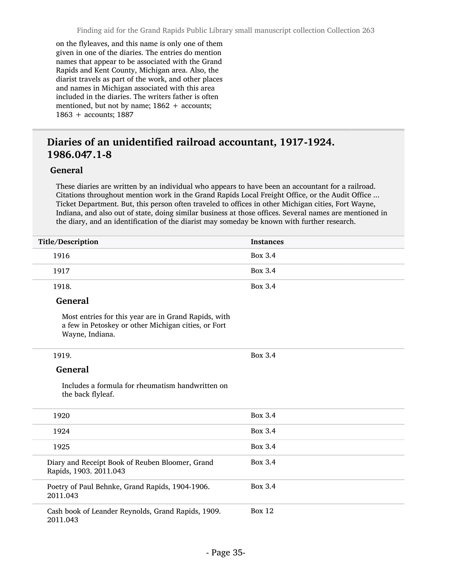on the flyleaves, and this name is only one of them given in one of the diaries. The entries do mention names that appear to be associated with the Grand Rapids and Kent County, Michigan area. Also, the diarist travels as part of the work, and other places and names in Michigan associated with this area included in the diaries. The writers father is often mentioned, but not by name;  $1862 +$  accounts; 1863 + accounts; 1887

#### Diaries of an unidentified railroad accountant, 1917-1924. 1986.047.1-8

#### General

These diaries are written by an individual who appears to have been an accountant for a railroad. Citations throughout mention work in the Grand Rapids Local Freight Office, or the Audit Office ... Ticket Department. But, this person often traveled to offices in other Michigan cities, Fort Wayne, Indiana, and also out of state, doing similar business at those offices. Several names are mentioned in the diary, and an identification of the diarist may someday be known with further research.

| Title/Description                                                                                                              | <b>Instances</b> |
|--------------------------------------------------------------------------------------------------------------------------------|------------------|
| 1916                                                                                                                           | <b>Box 3.4</b>   |
| 1917                                                                                                                           | Box 3.4          |
| 1918.                                                                                                                          | Box 3.4          |
| <b>General</b>                                                                                                                 |                  |
| Most entries for this year are in Grand Rapids, with<br>a few in Petoskey or other Michigan cities, or Fort<br>Wayne, Indiana. |                  |
| 1919.                                                                                                                          | Box 3.4          |
| <b>General</b>                                                                                                                 |                  |
| Includes a formula for rheumatism handwritten on<br>the back flyleaf.                                                          |                  |
| 1920                                                                                                                           | <b>Box 3.4</b>   |
| 1924                                                                                                                           | Box 3.4          |
| 1925                                                                                                                           | <b>Box 3.4</b>   |
| Diary and Receipt Book of Reuben Bloomer, Grand<br>Rapids, 1903. 2011.043                                                      | <b>Box 3.4</b>   |
| Poetry of Paul Behnke, Grand Rapids, 1904-1906.<br>2011.043                                                                    | <b>Box 3.4</b>   |
| Cash book of Leander Reynolds, Grand Rapids, 1909.<br>2011.043                                                                 | <b>Box 12</b>    |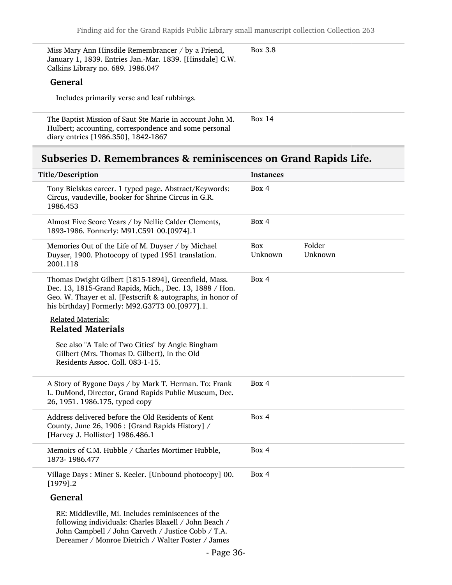| Miss Mary Ann Hinsdile Remembrancer / by a Friend,       | Box 3.8 |
|----------------------------------------------------------|---------|
| January 1, 1839. Entries Jan.-Mar. 1839. [Hinsdale] C.W. |         |
| Calkins Library no. 689. 1986.047                        |         |
| General                                                  |         |
|                                                          |         |

The Baptist Mission of Saut Ste Marie in account John M. Hulbert; accounting, correspondence and some personal diary entries [1986.350], 1842-1867 Box 14

#### <span id="page-35-0"></span>Subseries D. Remembrances & reminiscences on Grand Rapids Life.

| Title/Description |                                                                                                                                                                                                                                  | <b>Instances</b> |                   |  |
|-------------------|----------------------------------------------------------------------------------------------------------------------------------------------------------------------------------------------------------------------------------|------------------|-------------------|--|
|                   | Tony Bielskas career. 1 typed page. Abstract/Keywords:<br>Circus, vaudeville, booker for Shrine Circus in G.R.<br>1986.453                                                                                                       | Box 4            |                   |  |
|                   | Almost Five Score Years / by Nellie Calder Clements,<br>1893-1986. Formerly: M91.C591 00.[0974].1                                                                                                                                | Box 4            |                   |  |
|                   | Memories Out of the Life of M. Duyser / by Michael<br>Duyser, 1900. Photocopy of typed 1951 translation.<br>2001.118                                                                                                             | Box<br>Unknown   | Folder<br>Unknown |  |
|                   | Thomas Dwight Gilbert [1815-1894], Greenfield, Mass.<br>Dec. 13, 1815-Grand Rapids, Mich., Dec. 13, 1888 / Hon.<br>Geo. W. Thayer et al. [Festscrift & autographs, in honor of<br>his birthday] Formerly: M92.G37T3 00.[0977].1. | Box 4            |                   |  |
|                   | <b>Related Materials:</b><br><b>Related Materials</b>                                                                                                                                                                            |                  |                   |  |
|                   | See also "A Tale of Two Cities" by Angie Bingham<br>Gilbert (Mrs. Thomas D. Gilbert), in the Old<br>Residents Assoc. Coll. 083-1-15.                                                                                             |                  |                   |  |
|                   | A Story of Bygone Days / by Mark T. Herman. To: Frank<br>L. DuMond, Director, Grand Rapids Public Museum, Dec.<br>26, 1951. 1986.175, typed copy                                                                                 | Box 4            |                   |  |
|                   | Address delivered before the Old Residents of Kent<br>County, June 26, 1906 : [Grand Rapids History] /<br>[Harvey J. Hollister] 1986.486.1                                                                                       | Box 4            |                   |  |
|                   | Memoirs of C.M. Hubble / Charles Mortimer Hubble,<br>1873-1986.477                                                                                                                                                               | Box 4            |                   |  |
|                   | Village Days: Miner S. Keeler. [Unbound photocopy] 00.<br>$[1979]$ .2                                                                                                                                                            | Box 4            |                   |  |
|                   | <b>General</b>                                                                                                                                                                                                                   |                  |                   |  |
|                   | RE: Middleville, Mi. Includes reminiscences of the<br>following individuals: Charles Blaxell / John Beach /                                                                                                                      |                  |                   |  |

following individuals: Charles Blaxell / John Beach / John Campbell / John Carveth / Justice Cobb / T.A. Dereamer / Monroe Dietrich / Walter Foster / James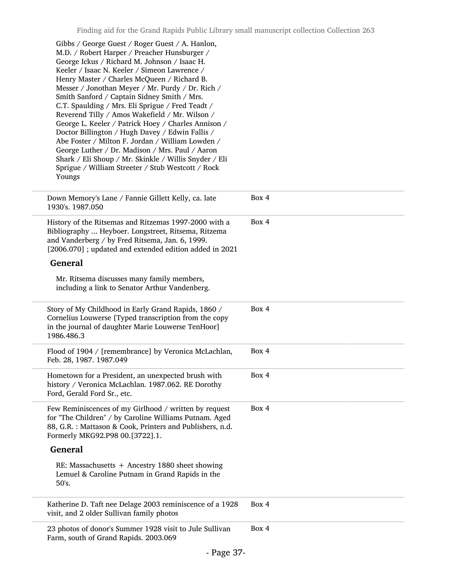| Gibbs / George Guest / Roger Guest / A. Hanlon,<br>M.D. / Robert Harper / Preacher Hunsburger /<br>George Ickus / Richard M. Johnson / Isaac H.<br>Keeler / Isaac N. Keeler / Simeon Lawrence /<br>Henry Master / Charles McQueen / Richard B.<br>Messer / Jonothan Meyer / Mr. Purdy / Dr. Rich /<br>Smith Sanford / Captain Sidney Smith / Mrs.<br>C.T. Spaulding / Mrs. Eli Sprigue / Fred Teadt /<br>Reverend Tilly / Amos Wakefield / Mr. Wilson /<br>George L. Keeler / Patrick Hoey / Charles Annison /<br>Doctor Billington / Hugh Davey / Edwin Fallis /<br>Abe Foster / Milton F. Jordan / William Lowden /<br>George Luther / Dr. Madison / Mrs. Paul / Aaron<br>Shark / Eli Shoup / Mr. Skinkle / Willis Snyder / Eli<br>Sprigue / William Streeter / Stub Westcott / Rock<br>Youngs |       |
|--------------------------------------------------------------------------------------------------------------------------------------------------------------------------------------------------------------------------------------------------------------------------------------------------------------------------------------------------------------------------------------------------------------------------------------------------------------------------------------------------------------------------------------------------------------------------------------------------------------------------------------------------------------------------------------------------------------------------------------------------------------------------------------------------|-------|
| Down Memory's Lane / Fannie Gillett Kelly, ca. late<br>1930's. 1987.050                                                                                                                                                                                                                                                                                                                                                                                                                                                                                                                                                                                                                                                                                                                          | Box 4 |
| History of the Ritsemas and Ritzemas 1997-2000 with a<br>Bibliography  Heyboer. Longstreet, Ritsema, Ritzema<br>and Vanderberg / by Fred Ritsema, Jan. 6, 1999.<br>[2006.070]; updated and extended edition added in 2021                                                                                                                                                                                                                                                                                                                                                                                                                                                                                                                                                                        | Box 4 |
| <b>General</b>                                                                                                                                                                                                                                                                                                                                                                                                                                                                                                                                                                                                                                                                                                                                                                                   |       |
| Mr. Ritsema discusses many family members,<br>including a link to Senator Arthur Vandenberg.                                                                                                                                                                                                                                                                                                                                                                                                                                                                                                                                                                                                                                                                                                     |       |
| Story of My Childhood in Early Grand Rapids, 1860 /<br>Cornelius Louwerse [Typed transcription from the copy<br>in the journal of daughter Marie Louwerse TenHoor]<br>1986.486.3                                                                                                                                                                                                                                                                                                                                                                                                                                                                                                                                                                                                                 | Box 4 |
| Flood of 1904 / [remembrance] by Veronica McLachlan,<br>Feb. 28, 1987. 1987.049                                                                                                                                                                                                                                                                                                                                                                                                                                                                                                                                                                                                                                                                                                                  | Box 4 |
| Hometown for a President, an unexpected brush with<br>history / Veronica McLachlan. 1987.062. RE Dorothy<br>Ford, Gerald Ford Sr., etc.                                                                                                                                                                                                                                                                                                                                                                                                                                                                                                                                                                                                                                                          | Box 4 |
| Few Reminiscences of my Girlhood / written by request<br>for "The Children" / by Caroline Williams Putnam. Aged<br>88, G.R. : Mattason & Cook, Printers and Publishers, n.d.<br>Formerly MKG92.P98 00.[3722].1.                                                                                                                                                                                                                                                                                                                                                                                                                                                                                                                                                                                  | Box 4 |
| <b>General</b>                                                                                                                                                                                                                                                                                                                                                                                                                                                                                                                                                                                                                                                                                                                                                                                   |       |
| RE: Massachusetts + Ancestry 1880 sheet showing<br>Lemuel & Caroline Putnam in Grand Rapids in the<br>50's.                                                                                                                                                                                                                                                                                                                                                                                                                                                                                                                                                                                                                                                                                      |       |
| Katherine D. Taft nee Delage 2003 reminiscence of a 1928<br>visit, and 2 older Sullivan family photos                                                                                                                                                                                                                                                                                                                                                                                                                                                                                                                                                                                                                                                                                            | Box 4 |
| 23 photos of donor's Summer 1928 visit to Jule Sullivan<br>Farm, south of Grand Rapids. 2003.069                                                                                                                                                                                                                                                                                                                                                                                                                                                                                                                                                                                                                                                                                                 | Box 4 |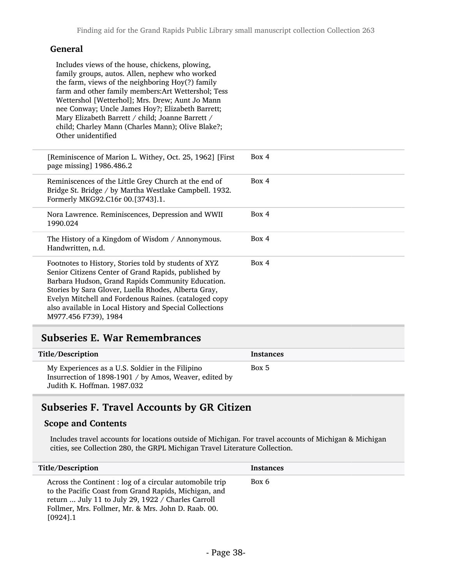### General

Includes views of the house, chickens, plowing, family groups, autos. Allen, nephew who worked the farm, views of the neighboring Hoy(?) family farm and other family members:Art Wettershol; Tess Wettershol [Wetterhol]; Mrs. Drew; Aunt Jo Mann nee Conway; Uncle James Hoy?; Elizabeth Barrett; Mary Elizabeth Barrett / child; Joanne Barrett / child; Charley Mann (Charles Mann); Olive Blake?; Other unidentified

| [Reminiscence of Marion L. Withey, Oct. 25, 1962] [First<br>page missing] 1986.486.2                                                                                                                                                                                                                                                                                   | Box 4 |
|------------------------------------------------------------------------------------------------------------------------------------------------------------------------------------------------------------------------------------------------------------------------------------------------------------------------------------------------------------------------|-------|
| Reminiscences of the Little Grey Church at the end of<br>Bridge St. Bridge / by Martha Westlake Campbell. 1932.<br>Formerly MKG92.C16r 00.[3743].1.                                                                                                                                                                                                                    | Box 4 |
| Nora Lawrence. Reminiscences, Depression and WWII<br>1990.024                                                                                                                                                                                                                                                                                                          | Box 4 |
| The History of a Kingdom of Wisdom / Annonymous.<br>Handwritten, n.d.                                                                                                                                                                                                                                                                                                  | Box 4 |
| Footnotes to History, Stories told by students of XYZ<br>Senior Citizens Center of Grand Rapids, published by<br>Barbara Hudson, Grand Rapids Community Education.<br>Stories by Sara Glover, Luella Rhodes, Alberta Gray,<br>Evelyn Mitchell and Fordenous Raines. (cataloged copy<br>also available in Local History and Special Collections<br>M977.456 F739), 1984 | Box 4 |

### Subseries E. War Remembrances

| Title/Description                                                                                                                         | <b>Instances</b> |
|-------------------------------------------------------------------------------------------------------------------------------------------|------------------|
| My Experiences as a U.S. Soldier in the Filipino<br>Insurrection of 1898-1901 / by Amos, Weaver, edited by<br>Judith K. Hoffman. 1987.032 | Box 5            |

## Subseries F. Travel Accounts by GR Citizen

#### Scope and Contents

Includes travel accounts for locations outside of Michigan. For travel accounts of Michigan & Michigan cities, see Collection 280, the GRPL Michigan Travel Literature Collection.

| Title/Description                                                                                                                                                                                                                             | <b>Instances</b> |
|-----------------------------------------------------------------------------------------------------------------------------------------------------------------------------------------------------------------------------------------------|------------------|
| Across the Continent : log of a circular automobile trip<br>to the Pacific Coast from Grand Rapids, Michigan, and<br>return  July 11 to July 29, 1922 / Charles Carroll<br>Follmer, Mrs. Follmer, Mr. & Mrs. John D. Raab. 00.<br>$[0924]$ .1 | Box 6            |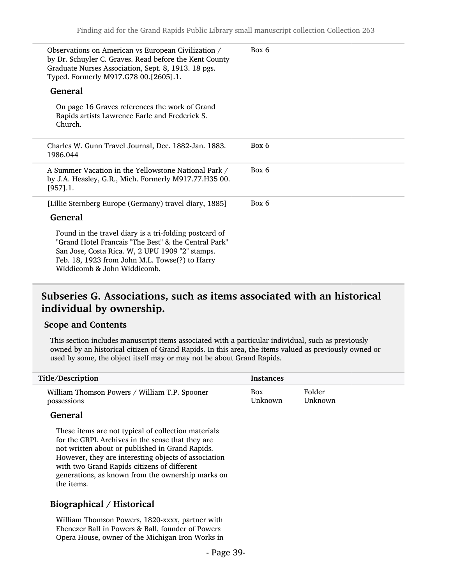| Observations on American vs European Civilization /<br>by Dr. Schuyler C. Graves. Read before the Kent County<br>Graduate Nurses Association, Sept. 8, 1913. 18 pgs.<br>Typed. Formerly M917.G78 00.[2605].1.                                      | Box 6 |
|----------------------------------------------------------------------------------------------------------------------------------------------------------------------------------------------------------------------------------------------------|-------|
| <b>General</b>                                                                                                                                                                                                                                     |       |
| On page 16 Graves references the work of Grand<br>Rapids artists Lawrence Earle and Frederick S.<br>Church.                                                                                                                                        |       |
| Charles W. Gunn Travel Journal, Dec. 1882-Jan. 1883.<br>1986.044                                                                                                                                                                                   | Box 6 |
| A Summer Vacation in the Yellowstone National Park /<br>by J.A. Heasley, G.R., Mich. Formerly M917.77.H35 00.<br>[957] .1.                                                                                                                         | Box 6 |
| [Lillie Sternberg Europe (Germany) travel diary, 1885]                                                                                                                                                                                             | Box 6 |
| <b>General</b>                                                                                                                                                                                                                                     |       |
| Found in the travel diary is a tri-folding postcard of<br>"Grand Hotel Francais "The Best" & the Central Park"<br>San Jose, Costa Rica. W, 2 UPU 1909 "2" stamps.<br>Feb. 18, 1923 from John M.L. Towse(?) to Harry<br>Widdicomb & John Widdicomb. |       |

### Subseries G. Associations, such as items associated with an historical individual by ownership.

#### Scope and Contents

This section includes manuscript items associated with a particular individual, such as previously owned by an historical citizen of Grand Rapids. In this area, the items valued as previously owned or used by some, the object itself may or may not be about Grand Rapids.

| Title/Description                             | Instances |         |
|-----------------------------------------------|-----------|---------|
| William Thomson Powers / William T.P. Spooner | Box       | Folder  |
| possessions                                   | Unknown   | Unknown |

#### General

These items are not typical of collection materials for the GRPL Archives in the sense that they are not written about or published in Grand Rapids. However, they are interesting objects of association with two Grand Rapids citizens of different generations, as known from the ownership marks on the items.

### Biographical / Historical

William Thomson Powers, 1820-xxxx, partner with Ebenezer Ball in Powers & Ball, founder of Powers Opera House, owner of the Michigan Iron Works in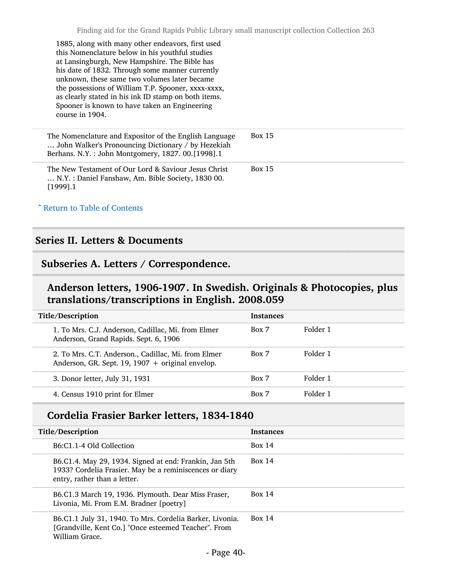| 1885, along with many other endeavors, first used<br>this Nomenclature below in his youthful studies<br>at Lansingburgh, New Hampshire. The Bible has<br>his date of 1832. Through some manner currently<br>unknown, these same two volumes later became<br>the possessions of William T.P. Spooner, xxxx-xxxx,<br>as clearly stated in his ink ID stamp on both items.<br>Spooner is known to have taken an Engineering<br>course in 1904. |               |
|---------------------------------------------------------------------------------------------------------------------------------------------------------------------------------------------------------------------------------------------------------------------------------------------------------------------------------------------------------------------------------------------------------------------------------------------|---------------|
| The Nomenclature and Expositor of the English Language<br>John Walker's Pronouncing Dictionary / by Hezekiah<br>Berhans. N.Y.: John Montgomery, 1827. 00.[1998].1                                                                                                                                                                                                                                                                           | Box $15$      |
| The New Testament of Our Lord & Saviour Jesus Christ<br>N.Y. : Daniel Fanshaw, Am. Bible Society, 1830 00.<br>$[1999]$ .1                                                                                                                                                                                                                                                                                                                   | <b>Box 15</b> |
| Arr Table of Contents                                                                                                                                                                                                                                                                                                                                                                                                                       |               |

### Series II. Letters & Documents

### Subseries A. Letters / Correspondence.

## Anderson letters, 1906-1907. In Swedish. Originals & Photocopies, plus translations/transcriptions in English. 2008.059

| Title/Description                                                                                         | <b>Instances</b> |          |
|-----------------------------------------------------------------------------------------------------------|------------------|----------|
| 1. To Mrs. C.J. Anderson, Cadillac, Mi. from Elmer<br>Anderson, Grand Rapids. Sept. 6, 1906               | Box 7            | Folder 1 |
| 2. To Mrs. C.T. Anderson., Cadillac, Mi. from Elmer<br>Anderson, GR. Sept. 19, 1907 $+$ original envelop. | Box 7            | Folder 1 |
| 3. Donor letter, July 31, 1931                                                                            | Box 7            | Folder 1 |
| 4. Census 1910 print for Elmer                                                                            | Box 7            | Folder 1 |
|                                                                                                           |                  |          |

## Cordelia Frasier Barker letters, 1834-1840

| Title/Description                                                                                                                                 | <b>Instances</b> |
|---------------------------------------------------------------------------------------------------------------------------------------------------|------------------|
| B6:C1.1-4 Old Collection                                                                                                                          | Box 14           |
| B6.C1.4. May 29, 1934. Signed at end: Frankin, Jan 5th<br>1933? Cordelia Frasier. May be a reminiscences or diary<br>entry, rather than a letter. | Box 14           |
| B6.C1.3 March 19, 1936. Plymouth. Dear Miss Fraser,<br>Livonia, Mi. From E.M. Bradner [poetry]                                                    | Box 14           |
| B6.C1.1 July 31, 1940. To Mrs. Cordelia Barker, Livonia.<br>[Grandville, Kent Co.] "Once esteemed Teacher". From<br>William Grace.                | Box 14           |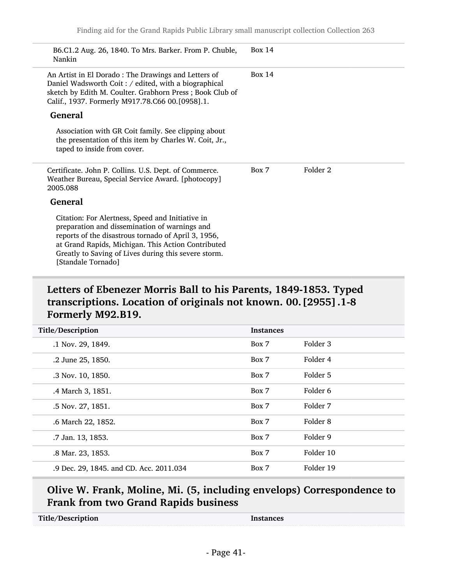| B6.C1.2 Aug. 26, 1840. To Mrs. Barker. From P. Chuble,<br>Nankin                                                                                                                                                           | Box $14$ |          |
|----------------------------------------------------------------------------------------------------------------------------------------------------------------------------------------------------------------------------|----------|----------|
| An Artist in El Dorado: The Drawings and Letters of<br>Daniel Wadsworth Coit: / edited, with a biographical<br>sketch by Edith M. Coulter. Grabhorn Press; Book Club of<br>Calif., 1937. Formerly M917.78.C66 00.[0958].1. | Box 14   |          |
| <b>General</b>                                                                                                                                                                                                             |          |          |
| Association with GR Coit family. See clipping about<br>the presentation of this item by Charles W. Coit, Jr.,<br>taped to inside from cover.                                                                               |          |          |
|                                                                                                                                                                                                                            |          |          |
| Certificate. John P. Collins. U.S. Dept. of Commerce.<br>Weather Bureau, Special Service Award. [photocopy]<br>2005.088                                                                                                    | Box 7    | Folder 2 |
| <b>General</b>                                                                                                                                                                                                             |          |          |

## Letters of Ebenezer Morris Ball to his Parents, 1849-1853. Typed transcriptions. Location of originals not known. 00.[2955].1-8 Formerly M92.B19.

| Title/Description                       | <b>Instances</b> |           |
|-----------------------------------------|------------------|-----------|
| .1 Nov. 29, 1849.                       | Box 7            | Folder 3  |
| .2 June 25, 1850.                       | Box 7            | Folder 4  |
| .3 Nov. 10, 1850.                       | Box 7            | Folder 5  |
| .4 March 3, 1851.                       | Box 7            | Folder 6  |
| .5 Nov. 27, 1851.                       | Box 7            | Folder 7  |
| .6 March 22, 1852.                      | Box 7            | Folder 8  |
| .7 Jan. 13, 1853.                       | Box 7            | Folder 9  |
| .8 Mar. 23, 1853.                       | Box 7            | Folder 10 |
| .9 Dec. 29, 1845. and CD. Acc. 2011.034 | Box 7            | Folder 19 |

### Olive W. Frank, Moline, Mi. (5, including envelops) Correspondence to Frank from two Grand Rapids business

| Title/Description | Instances |
|-------------------|-----------|
|                   |           |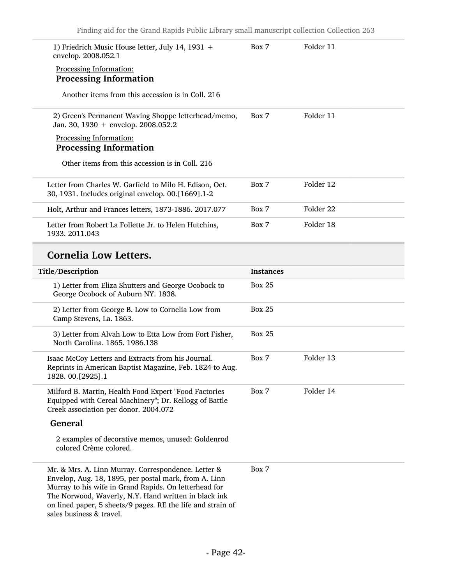| 1) Friedrich Music House letter, July 14, 1931 +<br>envelop. 2008.052.1                                                                                                                                                                                                                                                  | Box 7            | Folder 11 |
|--------------------------------------------------------------------------------------------------------------------------------------------------------------------------------------------------------------------------------------------------------------------------------------------------------------------------|------------------|-----------|
| Processing Information:<br><b>Processing Information</b>                                                                                                                                                                                                                                                                 |                  |           |
| Another items from this accession is in Coll. 216                                                                                                                                                                                                                                                                        |                  |           |
| 2) Green's Permanent Waving Shoppe letterhead/memo,<br>Jan. 30, 1930 + envelop. 2008.052.2                                                                                                                                                                                                                               | Box 7            | Folder 11 |
| Processing Information:<br><b>Processing Information</b>                                                                                                                                                                                                                                                                 |                  |           |
| Other items from this accession is in Coll. 216                                                                                                                                                                                                                                                                          |                  |           |
| Letter from Charles W. Garfield to Milo H. Edison, Oct.<br>30, 1931. Includes original envelop. 00.[1669].1-2                                                                                                                                                                                                            | Box 7            | Folder 12 |
| Holt, Arthur and Frances letters, 1873-1886. 2017.077                                                                                                                                                                                                                                                                    | Box 7            | Folder 22 |
| Letter from Robert La Follette Jr. to Helen Hutchins,<br>1933. 2011.043                                                                                                                                                                                                                                                  | Box 7            | Folder 18 |
| <b>Cornelia Low Letters.</b>                                                                                                                                                                                                                                                                                             |                  |           |
| Title/Description                                                                                                                                                                                                                                                                                                        | <b>Instances</b> |           |
| 1) Letter from Eliza Shutters and George Ocobock to<br>George Ocobock of Auburn NY. 1838.                                                                                                                                                                                                                                | <b>Box 25</b>    |           |
| 2) Letter from George B. Low to Cornelia Low from<br>Camp Stevens, La. 1863.                                                                                                                                                                                                                                             | <b>Box 25</b>    |           |
| 3) Letter from Alvah Low to Etta Low from Fort Fisher,<br>North Carolina, 1865, 1986.138                                                                                                                                                                                                                                 | <b>Box 25</b>    |           |
| Isaac McCoy Letters and Extracts from his Journal.<br>Reprints in American Baptist Magazine, Feb. 1824 to Aug.<br>1828.00.[2925].1                                                                                                                                                                                       | Box 7            | Folder 13 |
| Milford B. Martin, Health Food Expert "Food Factories<br>Equipped with Cereal Machinery"; Dr. Kellogg of Battle<br>Creek association per donor. 2004.072                                                                                                                                                                 | Box 7            | Folder 14 |
| <b>General</b>                                                                                                                                                                                                                                                                                                           |                  |           |
| 2 examples of decorative memos, unused: Goldenrod<br>colored Crème colored.                                                                                                                                                                                                                                              |                  |           |
| Mr. & Mrs. A. Linn Murray. Correspondence. Letter &<br>Envelop, Aug. 18, 1895, per postal mark, from A. Linn<br>Murray to his wife in Grand Rapids. On letterhead for<br>The Norwood, Waverly, N.Y. Hand written in black ink<br>on lined paper, 5 sheets/9 pages. RE the life and strain of<br>sales business & travel. | Box 7            |           |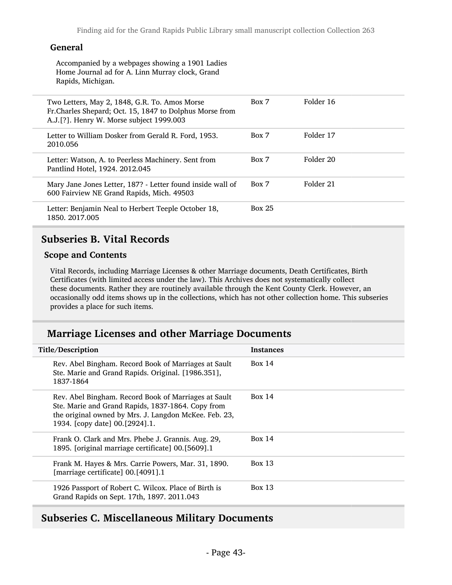### General

Accompanied by a webpages showing a 1901 Ladies Home Journal ad for A. Linn Murray clock, Grand Rapids, Michigan.

| Two Letters, May 2, 1848, G.R. To. Amos Morse<br>Fr. Charles Shepard; Oct. 15, 1847 to Dolphus Morse from<br>A.J.[?]. Henry W. Morse subject 1999.003 | Box 7         | Folder 16 |
|-------------------------------------------------------------------------------------------------------------------------------------------------------|---------------|-----------|
| Letter to William Dosker from Gerald R. Ford, 1953.<br>2010.056                                                                                       | Box 7         | Folder 17 |
| Letter: Watson, A. to Peerless Machinery. Sent from<br>Pantlind Hotel, 1924. 2012.045                                                                 | Box 7         | Folder 20 |
| Mary Jane Jones Letter, 187? - Letter found inside wall of<br>600 Fairview NE Grand Rapids, Mich. 49503                                               | Box 7         | Folder 21 |
| Letter: Benjamin Neal to Herbert Teeple October 18,<br>1850, 2017, 005                                                                                | <b>Box 25</b> |           |

### Subseries B. Vital Records

#### Scope and Contents

Vital Records, including Marriage Licenses & other Marriage documents, Death Certificates, Birth Certificates (with limited access under the law). This Archives does not systematically collect these documents. Rather they are routinely available through the Kent County Clerk. However, an occasionally odd items shows up in the collections, which has not other collection home. This subseries provides a place for such items.

### Marriage Licenses and other Marriage Documents

| Title/Description                                                                                                                                                                                    | <b>Instances</b> |
|------------------------------------------------------------------------------------------------------------------------------------------------------------------------------------------------------|------------------|
| Rev. Abel Bingham. Record Book of Marriages at Sault<br>Ste. Marie and Grand Rapids. Original. [1986.351],<br>1837-1864                                                                              | Box 14           |
| Rev. Abel Bingham. Record Book of Marriages at Sault<br>Ste. Marie and Grand Rapids, 1837-1864. Copy from<br>the original owned by Mrs. J. Langdon McKee. Feb. 23,<br>1934. [copy date] 00.[2924].1. | <b>Box 14</b>    |
| Frank O. Clark and Mrs. Phebe J. Grannis. Aug. 29,<br>1895. [original marriage certificate] 00.[5609].1                                                                                              | Box $14$         |
| Frank M. Hayes & Mrs. Carrie Powers, Mar. 31, 1890.<br>[marriage certificate] 00.[4091].1                                                                                                            | <b>Box 13</b>    |
| 1926 Passport of Robert C. Wilcox. Place of Birth is<br>Grand Rapids on Sept. 17th, 1897. 2011.043                                                                                                   | Box $13$         |
|                                                                                                                                                                                                      |                  |

### Subseries C. Miscellaneous Military Documents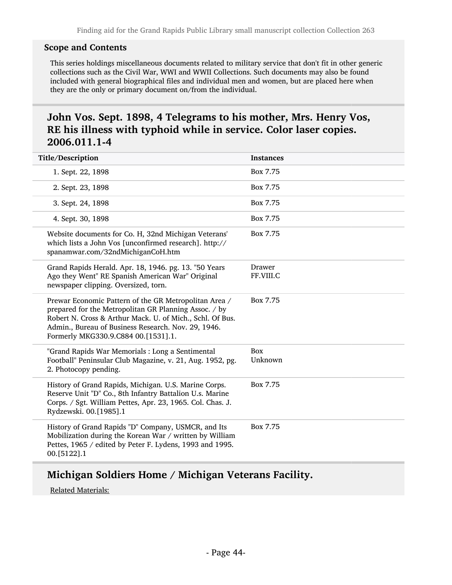#### Scope and Contents

This series holdings miscellaneous documents related to military service that don't fit in other generic collections such as the Civil War, WWI and WWII Collections. Such documents may also be found included with general biographical files and individual men and women, but are placed here when they are the only or primary document on/from the individual.

## John Vos. Sept. 1898, 4 Telegrams to his mother, Mrs. Henry Vos, RE his illness with typhoid while in service. Color laser copies. 2006.011.1-4

| Title/Description                                                                                                                                                                                                                                                         | <b>Instances</b>    |
|---------------------------------------------------------------------------------------------------------------------------------------------------------------------------------------------------------------------------------------------------------------------------|---------------------|
| 1. Sept. 22, 1898                                                                                                                                                                                                                                                         | Box 7.75            |
| 2. Sept. 23, 1898                                                                                                                                                                                                                                                         | Box 7.75            |
| 3. Sept. 24, 1898                                                                                                                                                                                                                                                         | Box 7.75            |
| 4. Sept. 30, 1898                                                                                                                                                                                                                                                         | Box 7.75            |
| Website documents for Co. H, 32nd Michigan Veterans'<br>which lists a John Vos [unconfirmed research]. http://<br>spanamwar.com/32ndMichiganCoH.htm                                                                                                                       | Box 7.75            |
| Grand Rapids Herald. Apr. 18, 1946. pg. 13. "50 Years<br>Ago they Went" RE Spanish American War" Original<br>newspaper clipping. Oversized, torn.                                                                                                                         | Drawer<br>FF.VIII.C |
| Prewar Economic Pattern of the GR Metropolitan Area /<br>prepared for the Metropolitan GR Planning Assoc. / by<br>Robert N. Cross & Arthur Mack. U. of Mich., Schl. Of Bus.<br>Admin., Bureau of Business Research. Nov. 29, 1946.<br>Formerly MKG330.9.C884 00.[1531].1. | Box 7.75            |
| "Grand Rapids War Memorials: Long a Sentimental<br>Football" Peninsular Club Magazine, v. 21, Aug. 1952, pg.<br>2. Photocopy pending.                                                                                                                                     | Box<br>Unknown      |
| History of Grand Rapids, Michigan. U.S. Marine Corps.<br>Reserve Unit "D" Co., 8th Infantry Battalion U.s. Marine<br>Corps. / Sgt. William Pettes, Apr. 23, 1965. Col. Chas. J.<br>Rydzewski. 00.[1985].1                                                                 | Box 7.75            |
| History of Grand Rapids "D" Company, USMCR, and Its<br>Mobilization during the Korean War / written by William<br>Pettes, 1965 / edited by Peter F. Lydens, 1993 and 1995.<br>00.[5122].1                                                                                 | Box 7.75            |

### Michigan Soldiers Home / Michigan Veterans Facility.

Related Materials: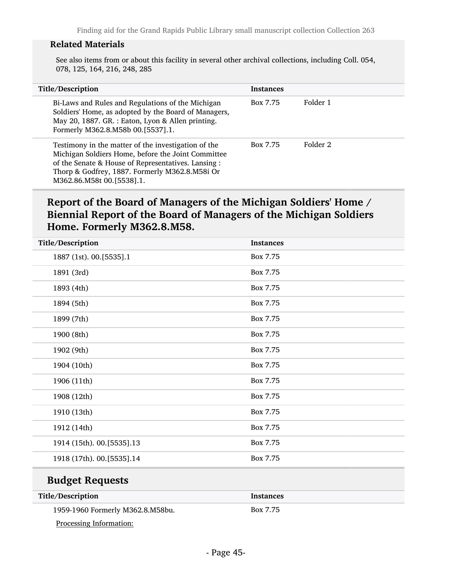#### Related Materials

See also items from or about this facility in several other archival collections, including Coll. 054, 078, 125, 164, 216, 248, 285

| Title/Description                                                                                                                                                                                                                               | <b>Instances</b> |          |
|-------------------------------------------------------------------------------------------------------------------------------------------------------------------------------------------------------------------------------------------------|------------------|----------|
| Bi-Laws and Rules and Regulations of the Michigan<br>Soldiers' Home, as adopted by the Board of Managers,<br>May 20, 1887. GR. : Eaton, Lyon & Allen printing.<br>Formerly M362.8.M58b 00.[5537].1.                                             | Box 7.75         | Folder 1 |
| Testimony in the matter of the investigation of the<br>Michigan Soldiers Home, before the Joint Committee<br>of the Senate & House of Representatives. Lansing :<br>Thorp & Godfrey, 1887. Formerly M362.8.M58i Or<br>M362.86.M58t 00.[5538].1. | Box 7.75         | Folder 2 |

## Report of the Board of Managers of the Michigan Soldiers' Home / Biennial Report of the Board of Managers of the Michigan Soldiers Home. Formerly M362.8.M58.

| Title/Description       |                           | <b>Instances</b> |
|-------------------------|---------------------------|------------------|
| 1887 (1st). 00.[5535].1 |                           | Box 7.75         |
| 1891 (3rd)              |                           | Box 7.75         |
| 1893 (4th)              |                           | Box 7.75         |
| 1894 (5th)              |                           | Box 7.75         |
| 1899 (7th)              |                           | Box 7.75         |
| 1900 (8th)              |                           | Box 7.75         |
| 1902 (9th)              |                           | Box 7.75         |
| 1904 (10th)             |                           | Box 7.75         |
| 1906 (11th)             |                           | Box 7.75         |
| 1908 (12th)             |                           | Box 7.75         |
| 1910 (13th)             |                           | Box 7.75         |
| 1912 (14th)             |                           | Box 7.75         |
|                         | 1914 (15th). 00.[5535].13 | Box 7.75         |
|                         | 1918 (17th). 00.[5535].14 | Box 7.75         |
|                         |                           |                  |

## Budget Requests

| Title/Description                | <b>Instances</b> |
|----------------------------------|------------------|
| 1959-1960 Formerly M362.8.M58bu. | Box 7.75         |
| Processing Information:          |                  |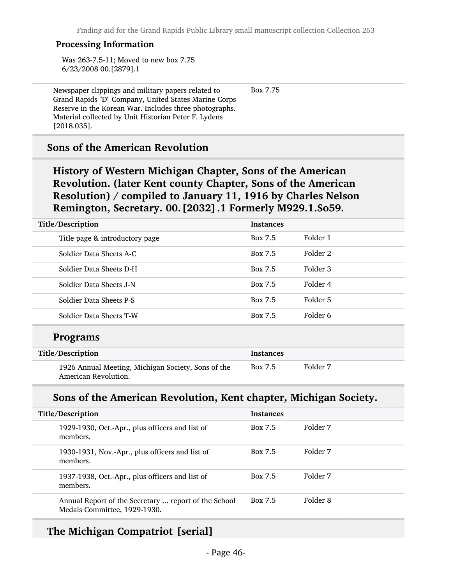Box 7.75

#### Processing Information

Was 263-7.5-11; Moved to new box 7.75 6/23/2008 00.[2879].1

Newspaper clippings and military papers related to Grand Rapids "D" Company, United States Marine Corps Reserve in the Korean War. Includes three photographs. Material collected by Unit Historian Peter F. Lydens [2018.035].

### Sons of the American Revolution

History of Western Michigan Chapter, Sons of the American Revolution. (later Kent county Chapter, Sons of the American Resolution) / compiled to January 11, 1916 by Charles Nelson Remington, Secretary. 00.[2032].1 Formerly M929.1.So59.

| Title/Description              | <b>Instances</b> |          |
|--------------------------------|------------------|----------|
| Title page & introductory page | Box 7.5          | Folder 1 |
| Soldier Data Sheets A-C        | Box 7.5          | Folder 2 |
| Soldier Data Sheets D-H        | Box 7.5          | Folder 3 |
| Soldier Data Sheets J-N        | Box 7.5          | Folder 4 |
| Soldier Data Sheets P-S        | Box 7.5          | Folder 5 |
| Soldier Data Sheets T-W        | Box 7.5          | Folder 6 |
| <b>Programs</b>                |                  |          |

| Title/Description                                                          | Instances |          |
|----------------------------------------------------------------------------|-----------|----------|
| 1926 Annual Meeting, Michigan Society, Sons of the<br>American Revolution. | Box 7.5   | Folder 7 |

### Sons of the American Revolution, Kent chapter, Michigan Society.

| Title/Description |                                                                                      | <b>Instances</b> |          |
|-------------------|--------------------------------------------------------------------------------------|------------------|----------|
|                   | 1929-1930, Oct.-Apr., plus officers and list of<br>members.                          | <b>Box 7.5</b>   | Folder 7 |
|                   | 1930-1931, Nov.-Apr., plus officers and list of<br>members.                          | <b>Box 7.5</b>   | Folder 7 |
|                   | 1937-1938, Oct.-Apr., plus officers and list of<br>members.                          | <b>Box 7.5</b>   | Folder 7 |
|                   | Annual Report of the Secretary  report of the School<br>Medals Committee, 1929-1930. | <b>Box 7.5</b>   | Folder 8 |

### The Michigan Compatriot [serial]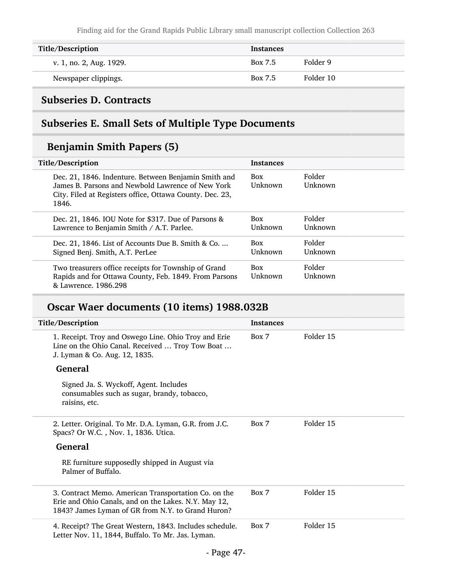| Title/Description       | <b>Instances</b> |           |
|-------------------------|------------------|-----------|
| v. 1, no. 2, Aug. 1929. | Box 7.5          | Folder 9  |
| Newspaper clippings.    | Box 7.5          | Folder 10 |

## Subseries D. Contracts

# Subseries E. Small Sets of Multiple Type Documents

# Benjamin Smith Papers (5)

| Title/Description                                                                                                                                                              | <b>Instances</b>      |                   |
|--------------------------------------------------------------------------------------------------------------------------------------------------------------------------------|-----------------------|-------------------|
| Dec. 21, 1846. Indenture. Between Benjamin Smith and<br>James B. Parsons and Newbold Lawrence of New York<br>City. Filed at Registers office, Ottawa County. Dec. 23,<br>1846. | <b>Box</b><br>Unknown | Folder<br>Unknown |
| Dec. 21, 1846. IOU Note for \$317. Due of Parsons &<br>Lawrence to Benjamin Smith / A.T. Parlee.                                                                               | <b>Box</b><br>Unknown | Folder<br>Unknown |
| Dec. 21, 1846. List of Accounts Due B. Smith & Co.<br>Signed Benj. Smith, A.T. PerLee                                                                                          | Box<br>Unknown        | Folder<br>Unknown |
| Two treasurers office receipts for Township of Grand<br>Rapids and for Ottawa County, Feb. 1849. From Parsons<br>& Lawrence, 1986.298                                          | <b>Box</b><br>Unknown | Folder<br>Unknown |

# Oscar Waer documents (10 items) 1988.032B

| Title/Description                                                                                                                                                 | <b>Instances</b> |           |
|-------------------------------------------------------------------------------------------------------------------------------------------------------------------|------------------|-----------|
| 1. Receipt. Troy and Oswego Line. Ohio Troy and Erie<br>Line on the Ohio Canal. Received  Troy Tow Boat<br>J. Lyman & Co. Aug. 12, 1835.                          | Box 7            | Folder 15 |
| <b>General</b>                                                                                                                                                    |                  |           |
| Signed Ja. S. Wyckoff, Agent. Includes<br>consumables such as sugar, brandy, tobacco,<br>raisins, etc.                                                            |                  |           |
| 2. Letter. Original. To Mr. D.A. Lyman, G.R. from J.C.<br>Spacs? Or W.C., Nov. 1, 1836. Utica.                                                                    | Box 7            | Folder 15 |
| <b>General</b>                                                                                                                                                    |                  |           |
| RE furniture supposedly shipped in August via<br>Palmer of Buffalo.                                                                                               |                  |           |
| 3. Contract Memo. American Transportation Co. on the<br>Erie and Ohio Canals, and on the Lakes. N.Y. May 12,<br>1843? James Lyman of GR from N.Y. to Grand Huron? | Box 7            | Folder 15 |
| 4. Receipt? The Great Western, 1843. Includes schedule.<br>Letter Nov. 11, 1844, Buffalo. To Mr. Jas. Lyman.                                                      | Box 7            | Folder 15 |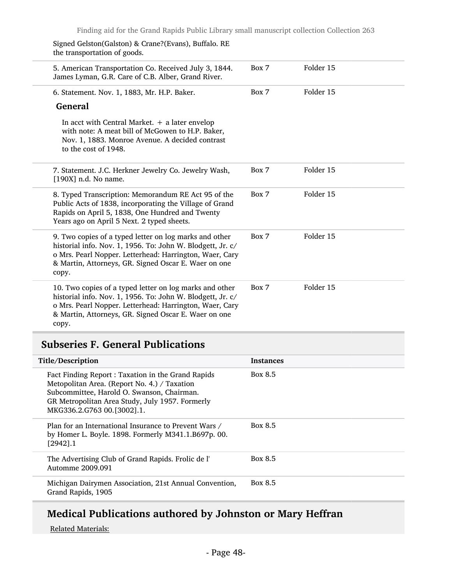| Signed Gelston(Galston) & Crane?(Evans), Buffalo. RE<br>the transportation of goods.                                                                                                                                                              |       |           |
|---------------------------------------------------------------------------------------------------------------------------------------------------------------------------------------------------------------------------------------------------|-------|-----------|
| 5. American Transportation Co. Received July 3, 1844.<br>James Lyman, G.R. Care of C.B. Alber, Grand River.                                                                                                                                       | Box 7 | Folder 15 |
| 6. Statement. Nov. 1, 1883, Mr. H.P. Baker.                                                                                                                                                                                                       | Box 7 | Folder 15 |
| <b>General</b>                                                                                                                                                                                                                                    |       |           |
| In acct with Central Market. $+$ a later envelop<br>with note: A meat bill of McGowen to H.P. Baker,<br>Nov. 1, 1883. Monroe Avenue. A decided contrast<br>to the cost of 1948.                                                                   |       |           |
| 7. Statement. J.C. Herkner Jewelry Co. Jewelry Wash,<br>$[190X]$ n.d. No name.                                                                                                                                                                    | Box 7 | Folder 15 |
| 8. Typed Transcription: Memorandum RE Act 95 of the<br>Public Acts of 1838, incorporating the Village of Grand<br>Rapids on April 5, 1838, One Hundred and Twenty<br>Years ago on April 5 Next. 2 typed sheets.                                   | Box 7 | Folder 15 |
| 9. Two copies of a typed letter on log marks and other<br>historial info. Nov. 1, 1956. To: John W. Blodgett, Jr. c/<br>o Mrs. Pearl Nopper. Letterhead: Harrington, Waer, Cary<br>& Martin, Attorneys, GR. Signed Oscar E. Waer on one<br>copy.  | Box 7 | Folder 15 |
| 10. Two copies of a typed letter on log marks and other<br>historial info. Nov. 1, 1956. To: John W. Blodgett, Jr. c/<br>o Mrs. Pearl Nopper. Letterhead: Harrington, Waer, Cary<br>& Martin, Attorneys, GR. Signed Oscar E. Waer on one<br>copy. | Box 7 | Folder 15 |

## Subseries F. General Publications

| Title/Description                                                                                                                                                                                                                | <b>Instances</b> |
|----------------------------------------------------------------------------------------------------------------------------------------------------------------------------------------------------------------------------------|------------------|
| Fact Finding Report: Taxation in the Grand Rapids<br>Metopolitan Area. (Report No. 4.) / Taxation<br>Subcommittee, Harold O. Swanson, Chairman.<br>GR Metropolitan Area Study, July 1957. Formerly<br>MKG336.2.G763 00.[3002].1. | Box 8.5          |
| Plan for an International Insurance to Prevent Wars /<br>by Homer L. Boyle. 1898. Formerly M341.1.B697p. 00.<br>$[2942]$ .1                                                                                                      | Box 8.5          |
| The Advertising Club of Grand Rapids. Frolic de l'<br>Automme 2009.091                                                                                                                                                           | Box 8.5          |
| Michigan Dairymen Association, 21st Annual Convention,<br>Grand Rapids, 1905                                                                                                                                                     | Box 8.5          |

# Medical Publications authored by Johnston or Mary Heffran

Related Materials: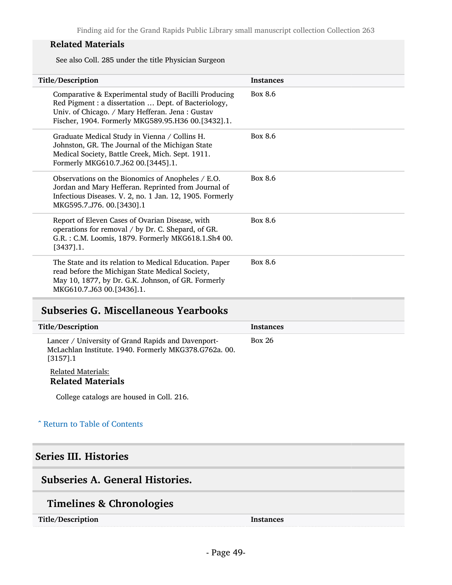### Related Materials

See also Coll. 285 under the title Physician Surgeon

| Title/Description                                                                                                                                                                                                      | <b>Instances</b> |
|------------------------------------------------------------------------------------------------------------------------------------------------------------------------------------------------------------------------|------------------|
| Comparative & Experimental study of Bacilli Producing<br>Red Pigment : a dissertation  Dept. of Bacteriology,<br>Univ. of Chicago. / Mary Hefferan. Jena: Gustav<br>Fischer, 1904. Formerly MKG589.95.H36 00.[3432].1. | Box 8.6          |
| Graduate Medical Study in Vienna / Collins H.<br>Johnston, GR. The Journal of the Michigan State<br>Medical Society, Battle Creek, Mich. Sept. 1911.<br>Formerly MKG610.7.J62 00.[3445].1.                             | Box 8.6          |
| Observations on the Bionomics of Anopheles / E.O.<br>Jordan and Mary Hefferan. Reprinted from Journal of<br>Infectious Diseases. V. 2, no. 1 Jan. 12, 1905. Formerly<br>MKG595.7.J76. 00.[3430].1                      | Box 8.6          |
| Report of Eleven Cases of Ovarian Disease, with<br>operations for removal / by Dr. C. Shepard, of GR.<br>G.R.: C.M. Loomis, 1879. Formerly MKG618.1.Sh4 00.<br>$[3437]$ .1.                                            | Box 8.6          |
| The State and its relation to Medical Education. Paper<br>read before the Michigan State Medical Society,<br>May 10, 1877, by Dr. G.K. Johnson, of GR. Formerly<br>MKG610.7.J63 00.[3436].1.                           | Box 8.6          |

### Subseries G. Miscellaneous Yearbooks

| Title/Description                                                                                                          | <b>Instances</b> |
|----------------------------------------------------------------------------------------------------------------------------|------------------|
| Lancer / University of Grand Rapids and Davenport-<br>McLachlan Institute. 1940. Formerly MKG378.G762a. 00.<br>$[3157]$ .1 | <b>Box 26</b>    |
| <b>Related Materials:</b><br><b>Related Materials</b>                                                                      |                  |
| College catalogs are housed in Coll. 216.                                                                                  |                  |

### ^ [Return to Table of Contents](#page-1-0)

## Series III. Histories

## Subseries A. General Histories.

# Timelines & Chronologies

Title/Description Instances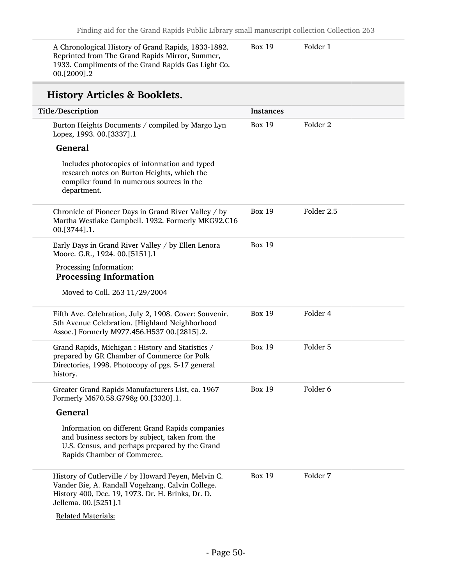A Chronological History of Grand Rapids, 1833-1882. Reprinted from The Grand Rapids Mirror, Summer, 1933. Compliments of the Grand Rapids Gas Light Co. 00.[2009].2

Box 19 Folder 1

# History Articles & Booklets.

| Title/Description                                                                                                                                                                     | <b>Instances</b> |                     |
|---------------------------------------------------------------------------------------------------------------------------------------------------------------------------------------|------------------|---------------------|
| Burton Heights Documents / compiled by Margo Lyn<br>Lopez, 1993. 00.[3337].1                                                                                                          | <b>Box 19</b>    | Folder <sub>2</sub> |
| <b>General</b>                                                                                                                                                                        |                  |                     |
| Includes photocopies of information and typed<br>research notes on Burton Heights, which the<br>compiler found in numerous sources in the<br>department.                              |                  |                     |
| Chronicle of Pioneer Days in Grand River Valley / by<br>Martha Westlake Campbell. 1932. Formerly MKG92.C16<br>00.[3744].1.                                                            | <b>Box 19</b>    | Folder 2.5          |
| Early Days in Grand River Valley / by Ellen Lenora<br>Moore. G.R., 1924. 00.[5151].1                                                                                                  | <b>Box 19</b>    |                     |
| Processing Information:                                                                                                                                                               |                  |                     |
| <b>Processing Information</b>                                                                                                                                                         |                  |                     |
| Moved to Coll. 263 11/29/2004                                                                                                                                                         |                  |                     |
| Fifth Ave. Celebration, July 2, 1908. Cover: Souvenir.<br>5th Avenue Celebration. [Highland Neighborhood<br>Assoc.] Formerly M977.456.H537 00.[2815].2.                               | <b>Box 19</b>    | Folder 4            |
| Grand Rapids, Michigan : History and Statistics /<br>prepared by GR Chamber of Commerce for Polk<br>Directories, 1998. Photocopy of pgs. 5-17 general<br>history.                     | <b>Box 19</b>    | Folder 5            |
| Greater Grand Rapids Manufacturers List, ca. 1967<br>Formerly M670.58.G798g 00.[3320].1.                                                                                              | <b>Box 19</b>    | Folder <sub>6</sub> |
| <b>General</b>                                                                                                                                                                        |                  |                     |
| Information on different Grand Rapids companies<br>and business sectors by subject, taken from the<br>U.S. Census, and perhaps prepared by the Grand<br>Rapids Chamber of Commerce.   |                  |                     |
| History of Cutlerville / by Howard Feyen, Melvin C.<br>Vander Bie, A. Randall Vogelzang. Calvin College.<br>History 400, Dec. 19, 1973. Dr. H. Brinks, Dr. D.<br>Jellema. 00.[5251].1 | <b>Box 19</b>    | Folder 7            |
| <b>Related Materials:</b>                                                                                                                                                             |                  |                     |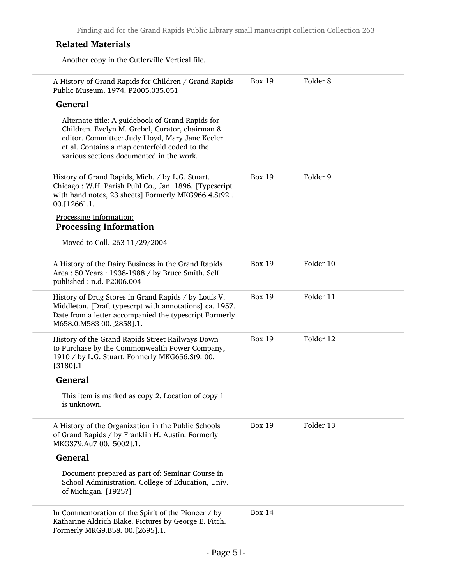### Related Materials

Another copy in the Cutlerville Vertical file.

| A History of Grand Rapids for Children / Grand Rapids<br>Public Museum. 1974. P2005.035.051                                                                                                                                                         | <b>Box 19</b> | Folder <sub>8</sub> |  |
|-----------------------------------------------------------------------------------------------------------------------------------------------------------------------------------------------------------------------------------------------------|---------------|---------------------|--|
| <b>General</b>                                                                                                                                                                                                                                      |               |                     |  |
| Alternate title: A guidebook of Grand Rapids for<br>Children. Evelyn M. Grebel, Curator, chairman &<br>editor. Committee: Judy Lloyd, Mary Jane Keeler<br>et al. Contains a map centerfold coded to the<br>various sections documented in the work. |               |                     |  |
| History of Grand Rapids, Mich. / by L.G. Stuart.<br>Chicago: W.H. Parish Publ Co., Jan. 1896. [Typescript<br>with hand notes, 23 sheets] Formerly MKG966.4.St92.<br>00.[1266].1.                                                                    | <b>Box 19</b> | Folder 9            |  |
| Processing Information:<br><b>Processing Information</b>                                                                                                                                                                                            |               |                     |  |
| Moved to Coll. 263 11/29/2004                                                                                                                                                                                                                       |               |                     |  |
| A History of the Dairy Business in the Grand Rapids<br>Area: 50 Years: 1938-1988 / by Bruce Smith. Self<br>published; n.d. P2006.004                                                                                                                | <b>Box 19</b> | Folder 10           |  |
| History of Drug Stores in Grand Rapids / by Louis V.<br>Middleton. [Draft typescrpt with annotations] ca. 1957.<br>Date from a letter accompanied the typescript Formerly<br>M658.0.M583 00.[2858].1.                                               | <b>Box 19</b> | Folder 11           |  |
| History of the Grand Rapids Street Railways Down<br>to Purchase by the Commonwealth Power Company,<br>1910 / by L.G. Stuart. Formerly MKG656.St9. 00.<br>$[3180]$ .1                                                                                | <b>Box 19</b> | Folder 12           |  |
| <b>General</b>                                                                                                                                                                                                                                      |               |                     |  |
| This item is marked as copy 2. Location of copy 1<br>is unknown.                                                                                                                                                                                    |               |                     |  |
| A History of the Organization in the Public Schools<br>of Grand Rapids / by Franklin H. Austin. Formerly<br>MKG379.Au7 00.[5002].1.                                                                                                                 | <b>Box 19</b> | Folder 13           |  |
| <b>General</b>                                                                                                                                                                                                                                      |               |                     |  |
| Document prepared as part of: Seminar Course in<br>School Administration, College of Education, Univ.<br>of Michigan. [1925?]                                                                                                                       |               |                     |  |
| In Commemoration of the Spirit of the Pioneer / by<br>Katharine Aldrich Blake. Pictures by George E. Fitch.<br>Formerly MKG9.B58. 00.[2695].1.                                                                                                      | <b>Box 14</b> |                     |  |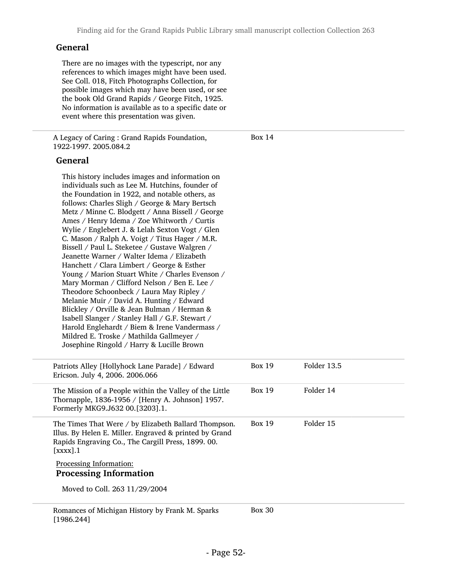#### General

There are no images with the typescript, nor any references to which images might have been used. See Coll. 018, Fitch Photographs Collection, for possible images which may have been used, or see the book Old Grand Rapids / George Fitch, 1925. No information is available as to a specific date or event where this presentation was given.

A Legacy of Caring : Grand Rapids Foundation, 1922-1997. 2005.084.2

Box 14

#### General

This history includes images and information on individuals such as Lee M. Hutchins, founder of the Foundation in 1922, and notable others, as follows: Charles Sligh / George & Mary Bertsch Metz / Minne C. Blodgett / Anna Bissell / George Ames / Henry Idema / Zoe Whitworth / Curtis Wylie / Englebert J. & Lelah Sexton Vogt / Glen C. Mason / Ralph A. Voigt / Titus Hager / M.R. Bissell / Paul L. Steketee / Gustave Walgren / Jeanette Warner / Walter Idema / Elizabeth Hanchett / Clara Limbert / George & Esther Young / Marion Stuart White / Charles Evenson / Mary Morman / Clifford Nelson / Ben E. Lee / Theodore Schoonbeck / Laura May Ripley / Melanie Muir / David A. Hunting / Edward Blickley / Orville & Jean Bulman / Herman & Isabell Slanger / Stanley Hall / G.F. Stewart / Harold Englehardt / Biem & Irene Vandermass / Mildred E. Troske / Mathilda Gallmeyer / Josephine Ringold / Harry & Lucille Brown

| Patriots Alley [Hollyhock Lane Parade] / Edward<br>Ericson. July 4, 2006. 2006.066                                                                                                                | <b>Box 19</b> | Folder 13.5 |
|---------------------------------------------------------------------------------------------------------------------------------------------------------------------------------------------------|---------------|-------------|
| The Mission of a People within the Valley of the Little<br>Thornapple, 1836-1956 / [Henry A. Johnson] 1957.<br>Formerly MKG9.J632 00.[3203].1.                                                    | Box 19        | Folder 14   |
| The Times That Were / by Elizabeth Ballard Thompson.<br>Illus. By Helen E. Miller. Engraved & printed by Grand<br>Rapids Engraving Co., The Cargill Press, 1899. 00.<br>$\lceil$ xxxx $\rceil$ .1 | <b>Box 19</b> | Folder 15   |
| Processing Information:<br><b>Processing Information</b><br>Moved to Coll. 263 11/29/2004                                                                                                         |               |             |
| Romances of Michigan History by Frank M. Sparks                                                                                                                                                   | <b>Box 30</b> |             |

Romances of Michigan History by Frank M. Sparks [1986.244]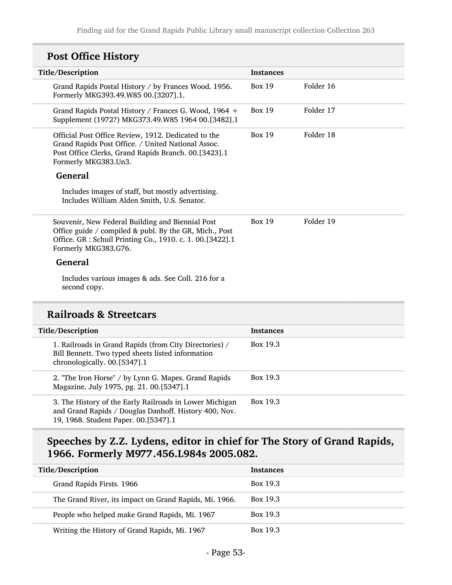# Post Office History

| Title/Description                                                                                                                                                                               | <b>Instances</b> |           |
|-------------------------------------------------------------------------------------------------------------------------------------------------------------------------------------------------|------------------|-----------|
| Grand Rapids Postal History / by Frances Wood. 1956.<br>Formerly MKG393.49.W85 00.[3207].1.                                                                                                     | <b>Box 19</b>    | Folder 16 |
| Grand Rapids Postal History / Frances G. Wood, 1964 +<br>Supplement (1972?) MKG373.49.W85 1964 00.[3482].1                                                                                      | <b>Box 19</b>    | Folder 17 |
| Official Post Office Review, 1912. Dedicated to the<br>Grand Rapids Post Office. / United National Assoc.<br>Post Office Clerks, Grand Rapids Branch. 00.[3423].1<br>Formerly MKG383.Un3.       | <b>Box 19</b>    | Folder 18 |
| <b>General</b><br>Includes images of staff, but mostly advertising.<br>Includes William Alden Smith, U.S. Senator.                                                                              |                  |           |
| Souvenir, New Federal Building and Biennial Post<br>Office guide / compiled & publ. By the GR, Mich., Post<br>Office. GR : Schuil Printing Co., 1910. c. 1. 00.[3422].1<br>Formerly MKG383.G76. | <b>Box 19</b>    | Folder 19 |
| <b>General</b>                                                                                                                                                                                  |                  |           |
| Includes various images & ads. See Coll. 216 for a<br>second copy.                                                                                                                              |                  |           |
|                                                                                                                                                                                                 |                  |           |

## Railroads & Streetcars

| Title/Description                                                                                                                                        | <b>Instances</b> |
|----------------------------------------------------------------------------------------------------------------------------------------------------------|------------------|
| 1. Railroads in Grand Rapids (from City Directories) /<br>Bill Bennett. Two typed sheets listed information<br>chronologically. 00.[5347].1              | Box 19.3         |
| 2. "The Iron Horse" / by Lynn G. Mapes. Grand Rapids<br>Magazine. July 1975, pg. 21. 00.[5347].1                                                         | Box 19.3         |
| 3. The History of the Early Railroads in Lower Michigan<br>and Grand Rapids / Douglas Danhoff. History 400, Nov.<br>19, 1968. Student Paper. 00.[5347].1 | Box 19.3         |

# Speeches by Z.Z. Lydens, editor in chief for The Story of Grand Rapids, 1966. Formerly M977.456.L984s 2005.082.

| Title/Description                                      | <b>Instances</b> |
|--------------------------------------------------------|------------------|
| Grand Rapids Firsts. 1966                              | Box 19.3         |
| The Grand River, its impact on Grand Rapids, Mi. 1966. | Box 19.3         |
| People who helped make Grand Rapids, Mi. 1967          | Box 19.3         |
| Writing the History of Grand Rapids, Mi. 1967          | Box 19.3         |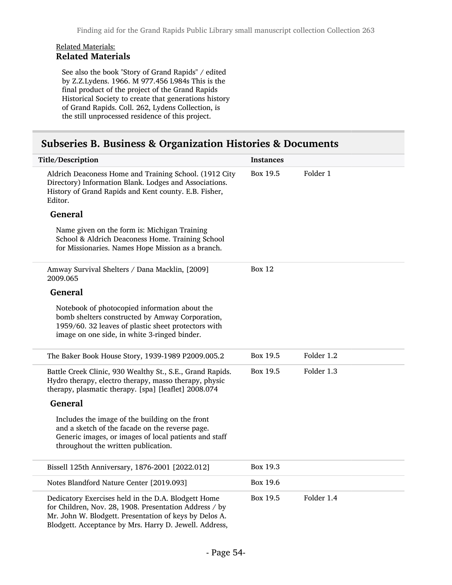#### Related Materials: Related Materials

See also the book "Story of Grand Rapids" / edited by Z.Z.Lydens. 1966. M 977.456 L984s This is the final product of the project of the Grand Rapids Historical Society to create that generations history of Grand Rapids. Coll. 262, Lydens Collection, is the still unprocessed residence of this project.

### Subseries B. Business & Organization Histories & Documents

| Title/Description                                                                                                                                                                                                                 | <b>Instances</b> |            |
|-----------------------------------------------------------------------------------------------------------------------------------------------------------------------------------------------------------------------------------|------------------|------------|
| Aldrich Deaconess Home and Training School. (1912 City<br>Directory) Information Blank. Lodges and Associations.<br>History of Grand Rapids and Kent county. E.B. Fisher,<br>Editor.                                              | Box 19.5         | Folder 1   |
| <b>General</b>                                                                                                                                                                                                                    |                  |            |
| Name given on the form is: Michigan Training<br>School & Aldrich Deaconess Home. Training School<br>for Missionaries. Names Hope Mission as a branch.                                                                             |                  |            |
| Amway Survival Shelters / Dana Macklin, [2009]<br>2009.065                                                                                                                                                                        | Box $12$         |            |
| <b>General</b>                                                                                                                                                                                                                    |                  |            |
| Notebook of photocopied information about the<br>bomb shelters constructed by Amway Corporation,<br>1959/60. 32 leaves of plastic sheet protectors with<br>image on one side, in white 3-ringed binder.                           |                  |            |
| The Baker Book House Story, 1939-1989 P2009.005.2                                                                                                                                                                                 | Box 19.5         | Folder 1.2 |
| Battle Creek Clinic, 930 Wealthy St., S.E., Grand Rapids.<br>Hydro therapy, electro therapy, masso therapy, physic<br>therapy, plasmatic therapy. [spa] [leaflet] 2008.074                                                        | Box 19.5         | Folder 1.3 |
| <b>General</b>                                                                                                                                                                                                                    |                  |            |
| Includes the image of the building on the front<br>and a sketch of the facade on the reverse page.<br>Generic images, or images of local patients and staff<br>throughout the written publication.                                |                  |            |
| Bissell 125th Anniversary, 1876-2001 [2022.012]                                                                                                                                                                                   | Box 19.3         |            |
| Notes Blandford Nature Center [2019.093]                                                                                                                                                                                          | Box 19.6         |            |
| Dedicatory Exercises held in the D.A. Blodgett Home<br>for Children, Nov. 28, 1908. Presentation Address / by<br>Mr. John W. Blodgett. Presentation of keys by Delos A.<br>Blodgett. Acceptance by Mrs. Harry D. Jewell. Address, | Box 19.5         | Folder 1.4 |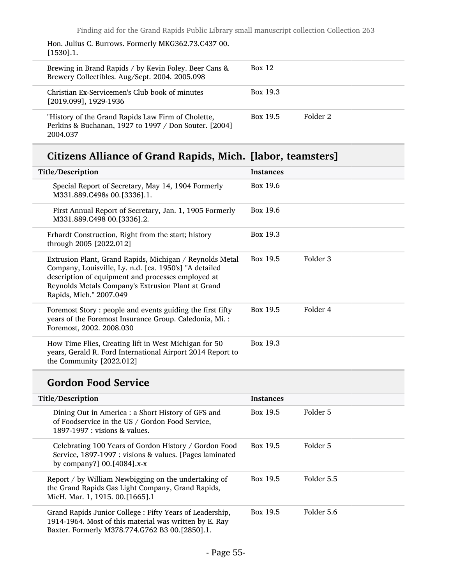Hon. Julius C. Burrows. Formerly MKG362.73.C437 00. [1530].1.

| Brewing in Brand Rapids / by Kevin Foley. Beer Cans &<br>Brewery Collectibles. Aug/Sept. 2004. 2005.098                 | <b>Box 12</b> |          |  |
|-------------------------------------------------------------------------------------------------------------------------|---------------|----------|--|
| Christian Ex-Servicemen's Club book of minutes<br>[2019.099], 1929-1936                                                 | Box 19.3      |          |  |
| "History of the Grand Rapids Law Firm of Cholette,<br>Perkins & Buchanan, 1927 to 1997 / Don Souter. [2004]<br>2004.037 | Box 19.5      | Folder 2 |  |

# Citizens Alliance of Grand Rapids, Mich. [labor, teamsters]

| Title/Description                                                                                                                                                                                                                                         | <b>Instances</b>          |  |
|-----------------------------------------------------------------------------------------------------------------------------------------------------------------------------------------------------------------------------------------------------------|---------------------------|--|
| Special Report of Secretary, May 14, 1904 Formerly<br>M331.889.C498s 00.[3336].1.                                                                                                                                                                         | Box 19.6                  |  |
| First Annual Report of Secretary, Jan. 1, 1905 Formerly<br>M331.889.C498 00.[3336].2.                                                                                                                                                                     | Box 19.6                  |  |
| Erhardt Construction, Right from the start; history<br>through 2005 [2022.012]                                                                                                                                                                            | Box 19.3                  |  |
| Extrusion Plant, Grand Rapids, Michigan / Reynolds Metal<br>Company, Louisville, Ly. n.d. [ca. 1950's] "A detailed<br>description of equipment and processes employed at<br>Reynolds Metals Company's Extrusion Plant at Grand<br>Rapids, Mich." 2007.049 | Folder 3<br>Box 19.5      |  |
| Foremost Story: people and events guiding the first fifty<br>years of the Foremost Insurance Group. Caledonia, Mi.:<br>Foremost, 2002. 2008.030                                                                                                           | Box 19.5<br>Folder 4      |  |
| How Time Flies, Creating lift in West Michigan for 50<br>years, Gerald R. Ford International Airport 2014 Report to<br>the Community [2022.012]                                                                                                           | Box 19.3                  |  |
| <b>Gordon Food Service</b>                                                                                                                                                                                                                                |                           |  |
| Title/Description                                                                                                                                                                                                                                         | <b>Instances</b>          |  |
| Dining Out in America : a Short History of GFS and<br>of Foodservice in the US / Gordon Food Service,<br>1897-1997 : visions & values.                                                                                                                    | Folder 5<br>Box 19.5      |  |
| Celebrating 100 Years of Gordon History / Gordon Food<br>Service, 1897-1997 : visions & values. [Pages laminated<br>by company?] 00.[4084].x-x                                                                                                            | Box 19.5<br>Folder 5      |  |
| Report / by William Newbigging on the undertaking of<br>the Grand Rapids Gas Light Company, Grand Rapids,<br>MicH. Mar. 1, 1915. 00.[1665].1                                                                                                              | Box 19.5<br>Folder 5.5    |  |
| Crand Papide Junior College: Fifty Veare of Leadership                                                                                                                                                                                                    | Row 105<br>$F_0$ dder 5.6 |  |

Grand Rapids Junior College : Fifty Years of Leadership, 1914-1964. Most of this material was written by E. Ray Baxter. Formerly M378.774.G762 B3 00.[2850].1. Box 19.5 Folder 5.6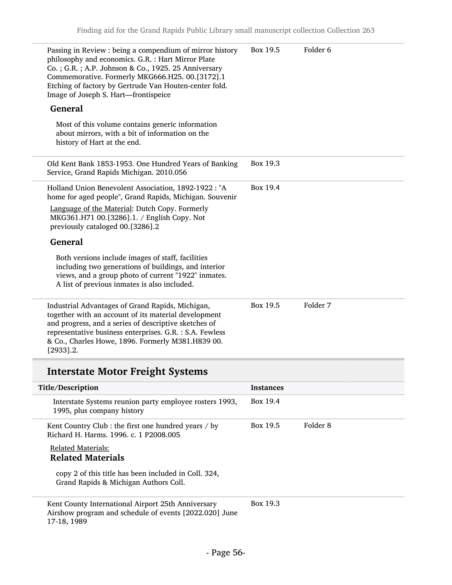| Passing in Review : being a compendium of mirror history<br>philosophy and economics. G.R. : Hart Mirror Plate<br>Co.; G.R.; A.P. Johnson & Co., 1925. 25 Anniversary<br>Commemorative. Formerly MKG666.H25. 00.[3172].1<br>Etching of factory by Gertrude Van Houten-center fold.<br>Image of Joseph S. Hart-frontispeice | Box 19.5 | Folder <sub>6</sub> |
|----------------------------------------------------------------------------------------------------------------------------------------------------------------------------------------------------------------------------------------------------------------------------------------------------------------------------|----------|---------------------|
| <b>General</b>                                                                                                                                                                                                                                                                                                             |          |                     |
| Most of this volume contains generic information<br>about mirrors, with a bit of information on the<br>history of Hart at the end.                                                                                                                                                                                         |          |                     |
| Old Kent Bank 1853-1953. One Hundred Years of Banking<br>Service, Grand Rapids Michigan. 2010.056                                                                                                                                                                                                                          | Box 19.3 |                     |
| Holland Union Benevolent Association, 1892-1922 : "A<br>home for aged people", Grand Rapids, Michigan. Souvenir                                                                                                                                                                                                            | Box 19.4 |                     |
| Language of the Material: Dutch Copy. Formerly<br>MKG361.H71 00.[3286].1. / English Copy. Not<br>previously cataloged 00.[3286].2                                                                                                                                                                                          |          |                     |
| <b>General</b>                                                                                                                                                                                                                                                                                                             |          |                     |
| Both versions include images of staff, facilities<br>including two generations of buildings, and interior<br>views, and a group photo of current "1922" inmates.<br>A list of previous inmates is also included.                                                                                                           |          |                     |
| Industrial Advantages of Grand Rapids, Michigan,<br>together with an account of its material development<br>and progress, and a series of descriptive sketches of<br>representative business enterprises. G.R. : S.A. Fewless<br>& Co., Charles Howe, 1896. Formerly M381.H839 00.<br>$[2933]$ .2.                         | Box 19.5 | Folder 7            |

# Interstate Motor Freight Systems

| Title/Description                                                                                            | <b>Instances</b> |          |
|--------------------------------------------------------------------------------------------------------------|------------------|----------|
| Interstate Systems reunion party employee rosters 1993,<br>1995, plus company history                        | Box 19.4         |          |
| Kent Country Club : the first one hundred years $\prime$ by<br>Richard H. Harms, 1996. c. 1 P2008.005        | Box 19.5         | Folder 8 |
| <b>Related Materials:</b><br><b>Related Materials</b>                                                        |                  |          |
| copy 2 of this title has been included in Coll. 324,<br>Grand Rapids & Michigan Authors Coll.                |                  |          |
| Kent County International Airport 25th Anniversary<br>Airshow program and schedule of events [2022,020] June | Box 19.3         |          |

ow program and schedule of events [2022.020] June 17-18, 1989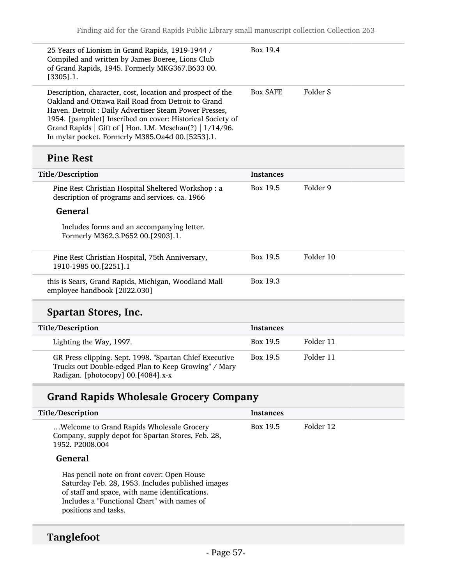| 25 Years of Lionism in Grand Rapids, 1919-1944 /<br>Compiled and written by James Boeree, Lions Club<br>of Grand Rapids, 1945. Formerly MKG367.B633 00.<br>$[3305]$ .1.                                                                                                                                                                                 | Box 19.4        |          |
|---------------------------------------------------------------------------------------------------------------------------------------------------------------------------------------------------------------------------------------------------------------------------------------------------------------------------------------------------------|-----------------|----------|
| Description, character, cost, location and prospect of the<br>Oakland and Ottawa Rail Road from Detroit to Grand<br>Haven. Detroit: Daily Advertiser Steam Power Presses,<br>1954. [pamphlet] Inscribed on cover: Historical Society of<br>Grand Rapids   Gift of   Hon. I.M. Meschan(?)   1/14/96.<br>In mylar pocket. Formerly M385.Oa4d 00.[5253].1. | <b>Box SAFE</b> | Folder S |

# Pine Rest

| Title/Description                                                                                    | <b>Instances</b> |           |
|------------------------------------------------------------------------------------------------------|------------------|-----------|
| Pine Rest Christian Hospital Sheltered Workshop: a<br>description of programs and services. ca. 1966 | Box 19.5         | Folder 9  |
| <b>General</b>                                                                                       |                  |           |
| Includes forms and an accompanying letter.<br>Formerly M362.3.P652 00.[2903].1.                      |                  |           |
| Pine Rest Christian Hospital, 75th Anniversary,<br>1910-1985 00. [2251]. 1                           | Box 19.5         | Folder 10 |
| this is Sears, Grand Rapids, Michigan, Woodland Mall<br>employee handbook [2022.030]                 | Box 19.3         |           |

# Spartan Stores, Inc.

| Title/Description                                                                                                                                     | <b>Instances</b> |           |
|-------------------------------------------------------------------------------------------------------------------------------------------------------|------------------|-----------|
| Lighting the Way, 1997.                                                                                                                               | Box 19.5         | Folder 11 |
| GR Press clipping. Sept. 1998. "Spartan Chief Executive<br>Trucks out Double-edged Plan to Keep Growing" / Mary<br>Radigan. [photocopy] 00.[4084].x-x | Box 19.5         | Folder 11 |

# Grand Rapids Wholesale Grocery Company

| Title/Description                                                                                                                                                                                                        | <b>Instances</b> |           |
|--------------------------------------------------------------------------------------------------------------------------------------------------------------------------------------------------------------------------|------------------|-----------|
| Welcome to Grand Rapids Wholesale Grocery<br>Company, supply depot for Spartan Stores, Feb. 28,<br>1952. P2008.004                                                                                                       | Box 19.5         | Folder 12 |
| General                                                                                                                                                                                                                  |                  |           |
| Has pencil note on front cover: Open House<br>Saturday Feb. 28, 1953. Includes published images<br>of staff and space, with name identifications.<br>Includes a "Functional Chart" with names of<br>positions and tasks. |                  |           |

# Tanglefoot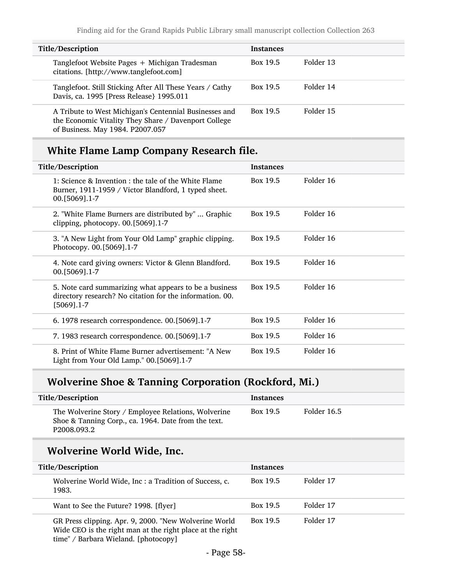| Title/Description                                                                                                                                  | <b>Instances</b> |           |
|----------------------------------------------------------------------------------------------------------------------------------------------------|------------------|-----------|
| Tanglefoot Website Pages + Michigan Tradesman<br>citations. [http://www.tanglefoot.com]                                                            | Box 19.5         | Folder 13 |
| Tanglefoot. Still Sticking After All These Years / Cathy<br>Davis, ca. 1995 [Press Release} 1995.011                                               | Box 19.5         | Folder 14 |
| A Tribute to West Michigan's Centennial Businesses and<br>the Economic Vitality They Share / Davenport College<br>of Business. May 1984. P2007.057 | Box 19.5         | Folder 15 |

# White Flame Lamp Company Research file.

| Title/Description                                                                                                                   | <b>Instances</b> |           |
|-------------------------------------------------------------------------------------------------------------------------------------|------------------|-----------|
| 1: Science & Invention : the tale of the White Flame<br>Burner, 1911-1959 / Victor Blandford, 1 typed sheet.<br>00. [5069] . 1-7    | Box 19.5         | Folder 16 |
| 2. "White Flame Burners are distributed by"  Graphic<br>clipping, photocopy. 00.[5069].1-7                                          | Box 19.5         | Folder 16 |
| 3. "A New Light from Your Old Lamp" graphic clipping.<br>Photocopy. 00.[5069].1-7                                                   | Box 19.5         | Folder 16 |
| 4. Note card giving owners: Victor & Glenn Blandford.<br>00. [5069] . 1-7                                                           | Box 19.5         | Folder 16 |
| 5. Note card summarizing what appears to be a business<br>directory research? No citation for the information. 00.<br>$[5069]$ .1-7 | Box 19.5         | Folder 16 |
| 6. 1978 research correspondence. 00.[5069].1-7                                                                                      | Box 19.5         | Folder 16 |
| 7. 1983 research correspondence. 00.[5069].1-7                                                                                      | Box 19.5         | Folder 16 |
| 8. Print of White Flame Burner advertisement: "A New<br>Light from Your Old Lamp." 00.[5069].1-7                                    | Box 19.5         | Folder 16 |

# Wolverine Shoe & Tanning Corporation (Rockford, Mi.)

| <b>Title/Description</b>                                                                                                  | <b>Instances</b> |             |
|---------------------------------------------------------------------------------------------------------------------------|------------------|-------------|
| The Wolverine Story / Employee Relations, Wolverine<br>Shoe & Tanning Corp., ca. 1964. Date from the text.<br>P2008.093.2 | Box 19.5         | Folder 16.5 |

# Wolverine World Wide, Inc.

| Title/Description                                                                                                                                          | <b>Instances</b> |           |
|------------------------------------------------------------------------------------------------------------------------------------------------------------|------------------|-----------|
| Wolverine World Wide, Inc : a Tradition of Success, c.<br>1983.                                                                                            | Box 19.5         | Folder 17 |
| Want to See the Future? 1998. [flyer]                                                                                                                      | Box 19.5         | Folder 17 |
| GR Press clipping. Apr. 9, 2000. "New Wolverine World<br>Wide CEO is the right man at the right place at the right<br>time" / Barbara Wieland. [photocopy] | Box 19.5         | Folder 17 |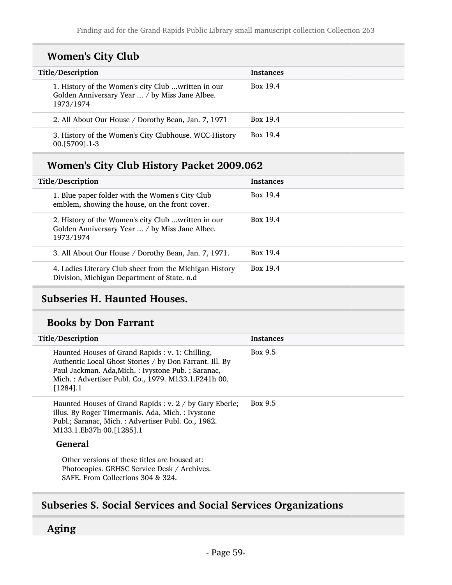## Women's City Club

| Title/Description                                                                                                  | <b>Instances</b> |
|--------------------------------------------------------------------------------------------------------------------|------------------|
| 1. History of the Women's city Club  written in our<br>Golden Anniversary Year  / by Miss Jane Albee.<br>1973/1974 | Box 19.4         |
| 2. All About Our House / Dorothy Bean, Jan. 7, 1971                                                                | Box 19.4         |
| 3. History of the Women's City Clubhouse. WCC-History<br>00. [5709] . 1-3                                          | Box 19.4         |

## Women's City Club History Packet 2009.062

| Title/Description                                                                                                  | <b>Instances</b> |
|--------------------------------------------------------------------------------------------------------------------|------------------|
| 1. Blue paper folder with the Women's City Club<br>emblem, showing the house, on the front cover.                  | Box 19.4         |
| 2. History of the Women's city Club  written in our<br>Golden Anniversary Year  / by Miss Jane Albee.<br>1973/1974 | Box 19.4         |
| 3. All About Our House / Dorothy Bean, Jan. 7, 1971.                                                               | Box 19.4         |
| 4. Ladies Literary Club sheet from the Michigan History<br>Division, Michigan Department of State. n.d             | Box 19.4         |

## Subseries H. Haunted Houses.

### Books by Don Farrant

| Title/Description                                                                                                                                                                                                                      | <b>Instances</b> |
|----------------------------------------------------------------------------------------------------------------------------------------------------------------------------------------------------------------------------------------|------------------|
| Haunted Houses of Grand Rapids : v. 1: Chilling,<br>Authentic Local Ghost Stories / by Don Farrant. Ill. By<br>Paul Jackman. Ada, Mich.: Ivystone Pub.: Saranac,<br>Mich.: Advertiser Publ. Co., 1979. M133.1.F241h 00.<br>$[1284]$ .1 | Box 9.5          |
| Haunted Houses of Grand Rapids : v. 2 / by Gary Eberle;<br>illus. By Roger Timermanis. Ada, Mich.: Ivystone<br>Publ.; Saranac, Mich.: Advertiser Publ. Co., 1982.<br>M133.1.Eb37h 00.[1285].1                                          | Box 9.5          |
| General                                                                                                                                                                                                                                |                  |
| Other versions of these titles are housed at:<br>Photocopies. GRHSC Service Desk / Archives.<br>SAFE. From Collections 304 & 324.                                                                                                      |                  |

# Subseries S. Social Services and Social Services Organizations

### Aging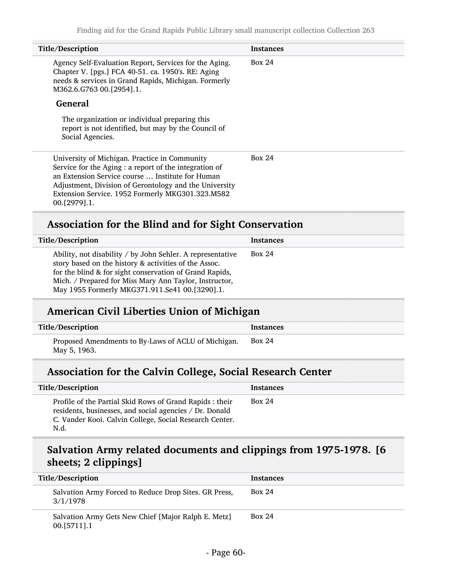| Title/Description                                                                                                                                                                                                                                                                         | <b>Instances</b> |
|-------------------------------------------------------------------------------------------------------------------------------------------------------------------------------------------------------------------------------------------------------------------------------------------|------------------|
| Agency Self-Evaluation Report, Services for the Aging.<br>Chapter V. [pgs.] FCA 40-51. ca. 1950's. RE: Aging<br>needs & services in Grand Rapids, Michigan. Formerly<br>M362.6.G763 00.[2954].1.                                                                                          | Box 24           |
| <b>General</b>                                                                                                                                                                                                                                                                            |                  |
| The organization or individual preparing this<br>report is not identified, but may by the Council of<br>Social Agencies.                                                                                                                                                                  |                  |
| University of Michigan. Practice in Community<br>Service for the Aging : a report of the integration of<br>an Extension Service course  Institute for Human<br>Adjustment, Division of Gerontology and the University<br>Extension Service. 1952 Formerly MKG301.323.M582<br>00.[2979].1. | Box $24$         |
| Association for the Blind and for Sight Conservation                                                                                                                                                                                                                                      |                  |

| Title/Description                                                                                                                                                                                                                                                                          | Instances |
|--------------------------------------------------------------------------------------------------------------------------------------------------------------------------------------------------------------------------------------------------------------------------------------------|-----------|
| Ability, not disability / by John Sehler. A representative<br>story based on the history & activities of the Assoc.<br>for the blind & for sight conservation of Grand Rapids,<br>Mich. / Prepared for Miss Mary Ann Taylor, Instructor,<br>May 1955 Formerly MKG371.911.Se41 00.[3290].1. | Box 24    |

## American Civil Liberties Union of Michigan

| Title/Description                                                   | Instances     |
|---------------------------------------------------------------------|---------------|
| Proposed Amendments to By-Laws of ACLU of Michigan.<br>May 5, 1963. | <b>Box 24</b> |

# Association for the Calvin College, Social Research Center

| Title/Description                                                                                                                                                                      | <b>Instances</b> |
|----------------------------------------------------------------------------------------------------------------------------------------------------------------------------------------|------------------|
| Profile of the Partial Skid Rows of Grand Rapids : their<br>residents, businesses, and social agencies / Dr. Donald<br>C. Vander Kooi. Calvin College, Social Research Center.<br>N.d. | Box 24           |

# Salvation Army related documents and clippings from 1975-1978. [6 sheets; 2 clippings]

| Title/Description                                                    | <b>Instances</b> |
|----------------------------------------------------------------------|------------------|
| Salvation Army Forced to Reduce Drop Sites. GR Press,<br>3/1/1978    | Box 24           |
| Salvation Army Gets New Chief [Major Ralph E. Metz]<br>$00.5711$ ].1 | Box 24           |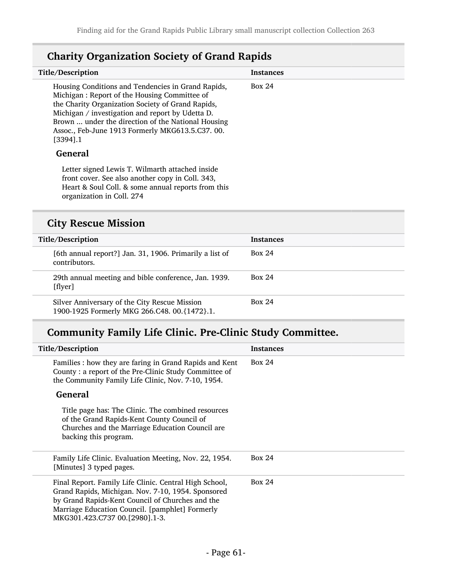| Title/Description                                                                                                                                                                                                                                                                                                                   | <b>Instances</b> |
|-------------------------------------------------------------------------------------------------------------------------------------------------------------------------------------------------------------------------------------------------------------------------------------------------------------------------------------|------------------|
| Housing Conditions and Tendencies in Grand Rapids,<br>Michigan: Report of the Housing Committee of<br>the Charity Organization Society of Grand Rapids,<br>Michigan / investigation and report by Udetta D.<br>Brown  under the direction of the National Housing<br>Assoc., Feb-June 1913 Formerly MKG613.5.C37.00.<br>$[3394]$ .1 | Box 24           |
| General                                                                                                                                                                                                                                                                                                                             |                  |
| Letter signed Lewis T. Wilmarth attached inside<br>front cover. See also another copy in Coll. 343,<br>Heart & Soul Coll. & some annual reports from this<br>organization in Coll. 274                                                                                                                                              |                  |
| <b>City Rescue Mission</b>                                                                                                                                                                                                                                                                                                          |                  |
| Title/Description                                                                                                                                                                                                                                                                                                                   | <b>Instances</b> |

# Charity Organization Society of Grand Rapids

| Title/Description                                                                             | <b>Instances</b> |
|-----------------------------------------------------------------------------------------------|------------------|
| [6th annual report?] Jan. 31, 1906. Primarily a list of<br>contributors.                      | <b>Box 24</b>    |
| 29th annual meeting and bible conference, Jan. 1939.<br>[flyer]                               | <b>Box 24</b>    |
| Silver Anniversary of the City Rescue Mission<br>1900-1925 Formerly MKG 266.C48. 00.{1472}.1. | Box 24           |

# Community Family Life Clinic. Pre-Clinic Study Committee.

| Title/Description                                                                                                                                                                                                                                     | <b>Instances</b> |
|-------------------------------------------------------------------------------------------------------------------------------------------------------------------------------------------------------------------------------------------------------|------------------|
| Families : how they are faring in Grand Rapids and Kent<br>County: a report of the Pre-Clinic Study Committee of<br>the Community Family Life Clinic, Nov. 7-10, 1954.                                                                                | Box 24           |
| General                                                                                                                                                                                                                                               |                  |
| Title page has: The Clinic. The combined resources<br>of the Grand Rapids-Kent County Council of<br>Churches and the Marriage Education Council are<br>backing this program.                                                                          |                  |
| Family Life Clinic. Evaluation Meeting, Nov. 22, 1954.<br>[Minutes] 3 typed pages.                                                                                                                                                                    | <b>Box 24</b>    |
| Final Report. Family Life Clinic. Central High School,<br>Grand Rapids, Michigan. Nov. 7-10, 1954. Sponsored<br>by Grand Rapids-Kent Council of Churches and the<br>Marriage Education Council. [pamphlet] Formerly<br>MKG301.423.C737 00.[2980].1-3. | <b>Box 24</b>    |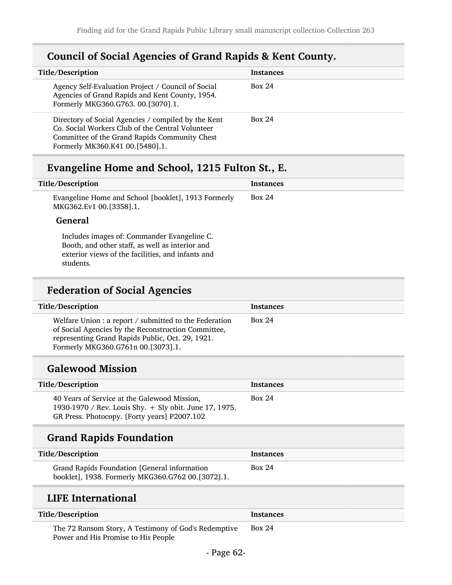## Council of Social Agencies of Grand Rapids & Kent County.

| Title/Description                                                                                                                                                                           | <b>Instances</b> |
|---------------------------------------------------------------------------------------------------------------------------------------------------------------------------------------------|------------------|
| Agency Self-Evaluation Project / Council of Social<br>Agencies of Grand Rapids and Kent County, 1954.<br>Formerly MKG360.G763. 00.[3070].1.                                                 | Box 24           |
| Directory of Social Agencies / compiled by the Kent<br>Co. Social Workers Club of the Central Volunteer<br>Committee of the Grand Rapids Community Chest<br>Formerly MK360.K41 00.[5480].1. | <b>Box 24</b>    |

## Evangeline Home and School, 1215 Fulton St., E.

| Title/Description                                                              | <b>Instances</b> |
|--------------------------------------------------------------------------------|------------------|
| Evangeline Home and School [booklet], 1913 Formerly<br>MKG362.Ev1 00.[3358].1. | Box 24           |
| <b>General</b>                                                                 |                  |
| Includes images of Commander Evangeline C                                      |                  |

Includes images of: Commander Evangeline C. Booth, and other staff, as well as interior and exterior views of the facilities, and infants and students.

# Federation of Social Agencies

| Title/Description                                                                                                                                                                                       | Instances |
|---------------------------------------------------------------------------------------------------------------------------------------------------------------------------------------------------------|-----------|
| Welfare Union : a report / submitted to the Federation<br>of Social Agencies by the Reconstruction Committee,<br>representing Grand Rapids Public, Oct. 29, 1921.<br>Formerly MKG360.G761n 00.[3073].1. | Box 24    |

## Galewood Mission

| <b>Title/Description</b>                                                                                                                               | <b>Instances</b> |
|--------------------------------------------------------------------------------------------------------------------------------------------------------|------------------|
| 40 Years of Service at the Galewood Mission,<br>1930-1970 / Rev. Louis Shy. + Sly obit. June 17, 1975.<br>GR Press. Photocopy. [Forty years] P2007.102 | Box 24           |

## Grand Rapids Foundation

Power and His Promise to His People

| Title/Description                                                                                 | <b>Instances</b> |
|---------------------------------------------------------------------------------------------------|------------------|
| Grand Rapids Foundation [General information<br>booklet], 1938. Formerly MKG360.G762 00.[3072].1. | Box 24           |

## LIFE International

| Title/Description                                    | <b>Instances</b> |
|------------------------------------------------------|------------------|
| The 72 Ransom Story, A Testimony of God's Redemptive | <b>Box 24</b>    |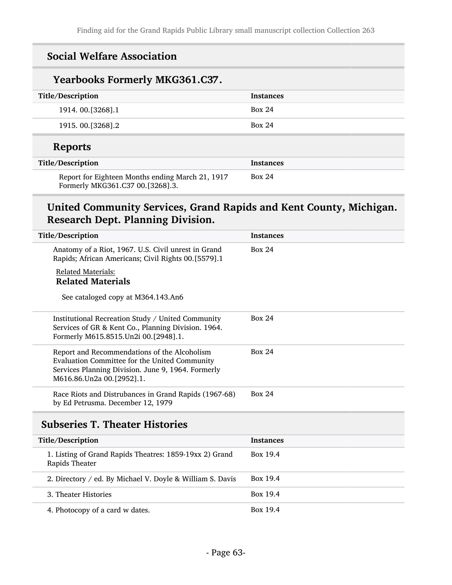| <b>Social Welfare Association</b>                                                    |                  |  |
|--------------------------------------------------------------------------------------|------------------|--|
| <b>Yearbooks Formerly MKG361.C37.</b>                                                |                  |  |
| Title/Description                                                                    | <b>Instances</b> |  |
| 1914. 00.[3268].1                                                                    | <b>Box 24</b>    |  |
| 1915. 00. [3268]. 2                                                                  | Box 24           |  |
| <b>Reports</b>                                                                       |                  |  |
| Title/Description                                                                    | <b>Instances</b> |  |
| Report for Eighteen Months ending March 21, 1917<br>Formerly MKG361.C37 00.[3268].3. | <b>Box 24</b>    |  |

## United Community Services, Grand Rapids and Kent County, Michigan. Research Dept. Planning Division.

| Title/Description                                                                                                                                                                | <b>Instances</b> |
|----------------------------------------------------------------------------------------------------------------------------------------------------------------------------------|------------------|
| Anatomy of a Riot, 1967. U.S. Civil unrest in Grand<br>Rapids; African Americans; Civil Rights 00.[5579].1                                                                       | <b>Box 24</b>    |
| <b>Related Materials:</b>                                                                                                                                                        |                  |
| <b>Related Materials</b>                                                                                                                                                         |                  |
| See cataloged copy at M364.143.An6                                                                                                                                               |                  |
| Institutional Recreation Study / United Community<br>Services of GR & Kent Co., Planning Division. 1964.<br>Formerly M615.8515.Un2i 00.[2948].1.                                 | <b>Box 24</b>    |
| Report and Recommendations of the Alcoholism<br>Evaluation Committee for the United Community<br>Services Planning Division. June 9, 1964. Formerly<br>M616.86.Un2a 00.[2952].1. | <b>Box 24</b>    |
| Race Riots and Distrubances in Grand Rapids (1967-68)<br>by Ed Petrusma. December 12, 1979                                                                                       | <b>Box 24</b>    |
| <b>Subseries T. Theater Histories</b>                                                                                                                                            |                  |
| Title/Description                                                                                                                                                                | <b>Instances</b> |
| 1. Listing of Grand Rapids Theatres: 1859-19xx 2) Grand<br>Rapids Theater                                                                                                        | Box 19.4         |
| 2. Directory / ed. By Michael V. Doyle & William S. Davis                                                                                                                        | Box 19.4         |
| 3. Theater Histories                                                                                                                                                             | Box 19.4         |
| 4. Photocopy of a card w dates.                                                                                                                                                  | Box 19.4         |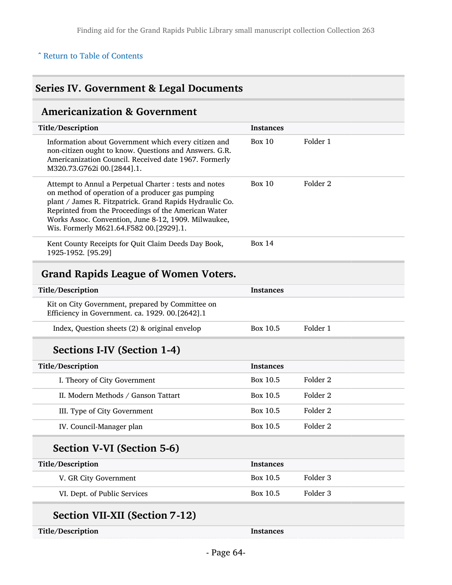### ^ [Return to Table of Contents](#page-1-0)

## Series IV. Government & Legal Documents

## Americanization & Government

| Title/Description                                                                                                                                                                                                                                                                                                                 | <b>Instances</b> |                     |  |
|-----------------------------------------------------------------------------------------------------------------------------------------------------------------------------------------------------------------------------------------------------------------------------------------------------------------------------------|------------------|---------------------|--|
| Information about Government which every citizen and<br>non-citizen ought to know. Questions and Answers. G.R.<br>Americanization Council. Received date 1967. Formerly<br>M320.73.G762i 00.[2844].1.                                                                                                                             | Box $10$         | Folder 1            |  |
| Attempt to Annul a Perpetual Charter : tests and notes<br>on method of operation of a producer gas pumping<br>plant / James R. Fitzpatrick. Grand Rapids Hydraulic Co.<br>Reprinted from the Proceedings of the American Water<br>Works Assoc. Convention, June 8-12, 1909. Milwaukee,<br>Wis. Formerly M621.64.F582 00.[2929].1. | Box 10           | Folder 2            |  |
| Kent County Receipts for Quit Claim Deeds Day Book,<br>1925-1952. [95.29]                                                                                                                                                                                                                                                         | <b>Box 14</b>    |                     |  |
| <b>Grand Rapids League of Women Voters.</b>                                                                                                                                                                                                                                                                                       |                  |                     |  |
|                                                                                                                                                                                                                                                                                                                                   |                  |                     |  |
| Title/Description                                                                                                                                                                                                                                                                                                                 | <b>Instances</b> |                     |  |
| Kit on City Government, prepared by Committee on<br>Efficiency in Government. ca. 1929. 00.[2642].1                                                                                                                                                                                                                               |                  |                     |  |
| Index, Question sheets (2) & original envelop                                                                                                                                                                                                                                                                                     | Box 10.5         | Folder 1            |  |
| Sections I-IV (Section 1-4)                                                                                                                                                                                                                                                                                                       |                  |                     |  |
| Title/Description                                                                                                                                                                                                                                                                                                                 | <b>Instances</b> |                     |  |
| I. Theory of City Government                                                                                                                                                                                                                                                                                                      | Box 10.5         | Folder <sub>2</sub> |  |
| II. Modern Methods / Ganson Tattart                                                                                                                                                                                                                                                                                               | Box 10.5         | Folder <sub>2</sub> |  |
| III. Type of City Government                                                                                                                                                                                                                                                                                                      | Box 10.5         | Folder <sub>2</sub> |  |
| IV. Council-Manager plan                                                                                                                                                                                                                                                                                                          | Box 10.5         | Folder <sub>2</sub> |  |

## Section V-VI (Section 5-6)

| Title/Description            | <b>Instances</b> |          |
|------------------------------|------------------|----------|
| V. GR City Government        | Box 10.5         | Folder 3 |
| VI. Dept. of Public Services | Box 10.5         | Folder 3 |
|                              |                  |          |

# Section VII-XII (Section 7-12)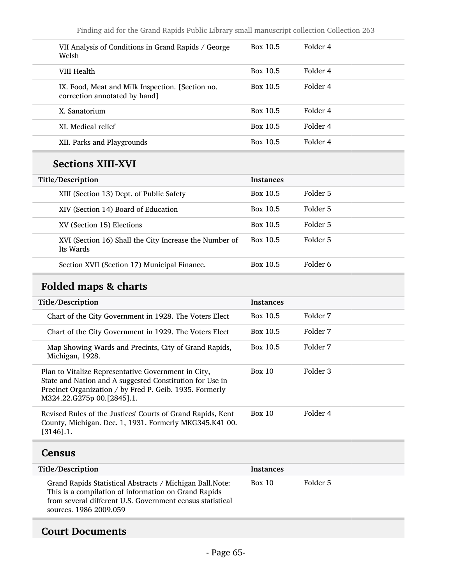| VII Analysis of Conditions in Grand Rapids / George<br>Welsh                      | Box 10.5 | Folder 4 |
|-----------------------------------------------------------------------------------|----------|----------|
| VIII Health                                                                       | Box 10.5 | Folder 4 |
| IX. Food, Meat and Milk Inspection. [Section no.<br>correction annotated by hand] | Box 10.5 | Folder 4 |
| X. Sanatorium                                                                     | Box 10.5 | Folder 4 |
| XI. Medical relief                                                                | Box 10.5 | Folder 4 |
| XII. Parks and Playgrounds                                                        | Box 10.5 | Folder 4 |

# Sections XIII-XVI

| Title/Description                                                   | <b>Instances</b> |          |
|---------------------------------------------------------------------|------------------|----------|
| XIII (Section 13) Dept. of Public Safety                            | Box 10.5         | Folder 5 |
| XIV (Section 14) Board of Education                                 | Box 10.5         | Folder 5 |
| XV (Section 15) Elections                                           | Box 10.5         | Folder 5 |
| XVI (Section 16) Shall the City Increase the Number of<br>Its Wards | Box 10.5         | Folder 5 |
| Section XVII (Section 17) Municipal Finance.                        | Box 10.5         | Folder 6 |

# Folded maps & charts

| Title/Description                                                                                                                                                                                        | <b>Instances</b> |          |
|----------------------------------------------------------------------------------------------------------------------------------------------------------------------------------------------------------|------------------|----------|
| Chart of the City Government in 1928. The Voters Elect                                                                                                                                                   | Box 10.5         | Folder 7 |
| Chart of the City Government in 1929. The Voters Elect                                                                                                                                                   | Box 10.5         | Folder 7 |
| Map Showing Wards and Precints, City of Grand Rapids,<br>Michigan, 1928.                                                                                                                                 | Box 10.5         | Folder 7 |
| Plan to Vitalize Representative Government in City,<br>State and Nation and A suggested Constitution for Use in<br>Precinct Organization / by Fred P. Geib. 1935. Formerly<br>M324.22.G275p 00.[2845].1. | Box 10           | Folder 3 |
| Revised Rules of the Justices' Courts of Grand Rapids, Kent<br>County, Michigan. Dec. 1, 1931. Formerly MKG345.K41 00.<br>$[3146]$ .1.                                                                   | Box 10           | Folder 4 |

### **Census**

| Title/Description                                                                                                                                                                                        | <b>Instances</b> |          |
|----------------------------------------------------------------------------------------------------------------------------------------------------------------------------------------------------------|------------------|----------|
| Grand Rapids Statistical Abstracts / Michigan Ball. Note:<br>This is a compilation of information on Grand Rapids<br>from several different U.S. Government census statistical<br>sources, 1986 2009.059 | Box 10           | Folder 5 |

## Court Documents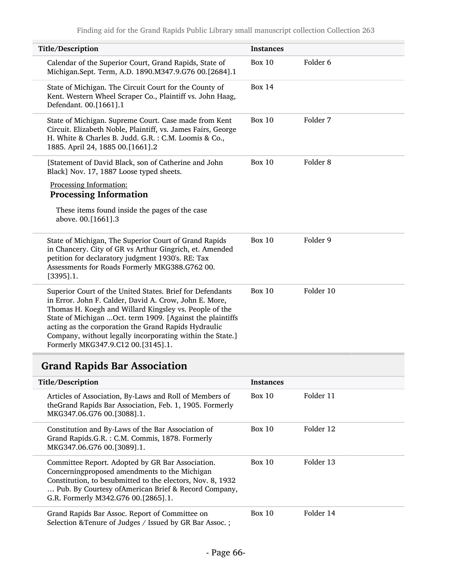| Title/Description                                                                                                                                                                                                                                                                                                                                                                                      | <b>Instances</b> |                     |
|--------------------------------------------------------------------------------------------------------------------------------------------------------------------------------------------------------------------------------------------------------------------------------------------------------------------------------------------------------------------------------------------------------|------------------|---------------------|
| Calendar of the Superior Court, Grand Rapids, State of<br>Michigan.Sept. Term, A.D. 1890.M347.9.G76 00.[2684].1                                                                                                                                                                                                                                                                                        | Box $10$         | Folder <sub>6</sub> |
| State of Michigan. The Circuit Court for the County of<br>Kent. Western Wheel Scraper Co., Plaintiff vs. John Haag,<br>Defendant. 00.[1661].1                                                                                                                                                                                                                                                          | <b>Box 14</b>    |                     |
| State of Michigan. Supreme Court. Case made from Kent<br>Circuit. Elizabeth Noble, Plaintiff, vs. James Fairs, George<br>H. White & Charles B. Judd. G.R.: C.M. Loomis & Co.,<br>1885. April 24, 1885 00.[1661].2                                                                                                                                                                                      | <b>Box 10</b>    | Folder 7            |
| [Statement of David Black, son of Catherine and John<br>Black] Nov. 17, 1887 Loose typed sheets.                                                                                                                                                                                                                                                                                                       | Box $10$         | Folder <sub>8</sub> |
| Processing Information:                                                                                                                                                                                                                                                                                                                                                                                |                  |                     |
| <b>Processing Information</b>                                                                                                                                                                                                                                                                                                                                                                          |                  |                     |
| These items found inside the pages of the case<br>above. 00.[1661].3                                                                                                                                                                                                                                                                                                                                   |                  |                     |
| State of Michigan, The Superior Court of Grand Rapids<br>in Chancery. City of GR vs Arthur Gingrich, et. Amended<br>petition for declaratory judgment 1930's. RE: Tax<br>Assessments for Roads Formerly MKG388.G762 00.<br>$[3395]$ .1.                                                                                                                                                                | <b>Box 10</b>    | Folder 9            |
| Superior Court of the United States. Brief for Defendants<br>in Error. John F. Calder, David A. Crow, John E. More,<br>Thomas H. Koegh and Willard Kingsley vs. People of the<br>State of Michigan  Oct. term 1909. [Against the plaintiffs<br>acting as the corporation the Grand Rapids Hydraulic<br>Company, without legally incorporating within the State.]<br>Formerly MKG347.9.C12 00.[3145].1. | <b>Box 10</b>    | Folder 10           |

# Grand Rapids Bar Association

| Title/Description                                                                                                                                                                                                                                              | <b>Instances</b> |           |
|----------------------------------------------------------------------------------------------------------------------------------------------------------------------------------------------------------------------------------------------------------------|------------------|-----------|
| Articles of Association, By-Laws and Roll of Members of<br>theGrand Rapids Bar Association, Feb. 1, 1905. Formerly<br>MKG347.06.G76 00.[3088].1.                                                                                                               | Box 10           | Folder 11 |
| Constitution and By-Laws of the Bar Association of<br>Grand Rapids.G.R.: C.M. Commis, 1878. Formerly<br>MKG347.06.G76 00.[3089].1.                                                                                                                             | Box 10           | Folder 12 |
| Committee Report. Adopted by GR Bar Association.<br>Concerningproposed amendments to the Michigan<br>Constitution, to besubmitted to the electors, Nov. 8, 1932<br>Pub. By Courtesy of American Brief & Record Company,<br>G.R. Formerly M342.G76 00.[2865].1. | Box 10           | Folder 13 |
| Grand Rapids Bar Assoc. Report of Committee on<br>Selection & Tenure of Judges / Issued by GR Bar Assoc.;                                                                                                                                                      | Box 10           | Folder 14 |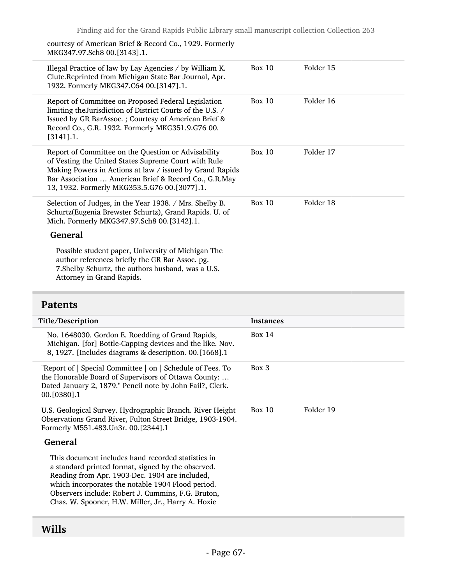courtesy of American Brief & Record Co., 1929. Formerly MKG347.97.Sch8 00.[3143].1.

| Illegal Practice of law by Lay Agencies / by William K.<br>Clute.Reprinted from Michigan State Bar Journal, Apr.<br>1932. Formerly MKG347.C64 00.[3147].1.                                                                                                                       | Box 10 | Folder 15 |
|----------------------------------------------------------------------------------------------------------------------------------------------------------------------------------------------------------------------------------------------------------------------------------|--------|-----------|
| Report of Committee on Proposed Federal Legislation<br>limiting the Jurisdiction of District Courts of the U.S. /<br>Issued by GR BarAssoc.; Courtesy of American Brief &<br>Record Co., G.R. 1932. Formerly MKG351.9.G76 00.<br>$[3141]$ .1.                                    | Box 10 | Folder 16 |
| Report of Committee on the Question or Advisability<br>of Vesting the United States Supreme Court with Rule<br>Making Powers in Actions at law / issued by Grand Rapids<br>Bar Association  American Brief & Record Co., G.R.May<br>13, 1932. Formerly MKG353.5.G76 00.[3077].1. | Box 10 | Folder 17 |
| Selection of Judges, in the Year 1938. / Mrs. Shelby B.<br>Schurtz(Eugenia Brewster Schurtz), Grand Rapids. U. of<br>Mich. Formerly MKG347.97.Sch8 00.[3142].1.                                                                                                                  | Box 10 | Folder 18 |
| <b>General</b>                                                                                                                                                                                                                                                                   |        |           |
| Possible student paper, University of Michigan The<br>author references briefly the GR Bar Assoc. pg.<br>7. Shelby Schurtz, the authors husband, was a U.S.<br>Attorney in Grand Rapids.                                                                                         |        |           |

### Patents

| Title/Description                                                                                                                                                                                                                                                                                                           | <b>Instances</b> |           |
|-----------------------------------------------------------------------------------------------------------------------------------------------------------------------------------------------------------------------------------------------------------------------------------------------------------------------------|------------------|-----------|
| No. 1648030. Gordon E. Roedding of Grand Rapids,<br>Michigan. [for] Bottle-Capping devices and the like. Nov.<br>8, 1927. [Includes diagrams & description. 00. [1668].1                                                                                                                                                    | Box 14           |           |
| "Report of $\vert$ Special Committee $\vert$ on $\vert$ Schedule of Fees. To<br>the Honorable Board of Supervisors of Ottawa County:<br>Dated January 2, 1879." Pencil note by John Fail?, Clerk.<br>00. [0380]. 1                                                                                                          | Box 3            |           |
| U.S. Geological Survey. Hydrographic Branch. River Height<br>Observations Grand River, Fulton Street Bridge, 1903-1904.<br>Formerly M551.483.Un3r. 00.[2344].1                                                                                                                                                              | Box 10           | Folder 19 |
| <b>General</b>                                                                                                                                                                                                                                                                                                              |                  |           |
| This document includes hand recorded statistics in<br>a standard printed format, signed by the observed.<br>Reading from Apr. 1903-Dec. 1904 are included,<br>which incorporates the notable 1904 Flood period.<br>Observers include: Robert J. Cummins, F.G. Bruton,<br>Chas. W. Spooner, H.W. Miller, Jr., Harry A. Hoxie |                  |           |

# Wills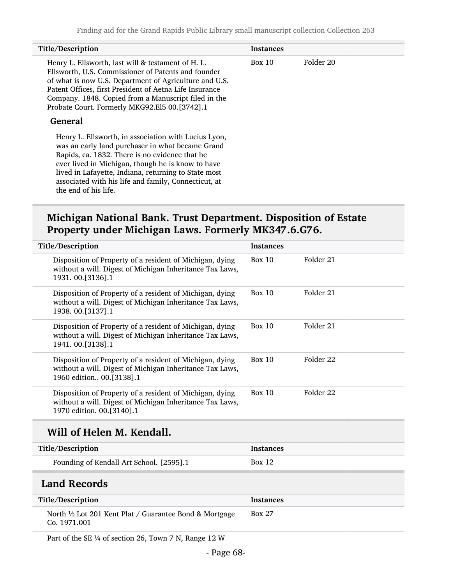| Title/Description                                                                                                                                                                                                                                                                                                                                       | <b>Instances</b> |           |
|---------------------------------------------------------------------------------------------------------------------------------------------------------------------------------------------------------------------------------------------------------------------------------------------------------------------------------------------------------|------------------|-----------|
| Henry L. Ellsworth, last will & testament of H. L.<br>Ellsworth, U.S. Commissioner of Patents and founder<br>of what is now U.S. Department of Agriculture and U.S.<br>Patent Offices, first President of Aetna Life Insurance<br>Company. 1848. Copied from a Manuscript filed in the<br>Probate Court. Formerly MKG92.El5 00.[3742].1<br>General      | Box 10           | Folder 20 |
| Henry L. Ellsworth, in association with Lucius Lyon,<br>was an early land purchaser in what became Grand<br>Rapids, ca. 1832. There is no evidence that he<br>ever lived in Michigan, though he is know to have<br>lived in Lafayette, Indiana, returning to State most<br>associated with his life and family, Connecticut, at<br>the end of his life. |                  |           |

# Michigan National Bank. Trust Department. Disposition of Estate Property under Michigan Laws. Formerly MK347.6.G76.

| Title/Description                                                                                                                                 | <b>Instances</b> |                      |
|---------------------------------------------------------------------------------------------------------------------------------------------------|------------------|----------------------|
| Disposition of Property of a resident of Michigan, dying<br>without a will. Digest of Michigan Inheritance Tax Laws,<br>1931.00.[3136].1          | Box $10$         | Folder 21            |
| Disposition of Property of a resident of Michigan, dying<br>without a will. Digest of Michigan Inheritance Tax Laws,<br>1938.00.[3137].1          | <b>Box 10</b>    | Folder 21            |
| Disposition of Property of a resident of Michigan, dying<br>without a will. Digest of Michigan Inheritance Tax Laws,<br>1941.00.[3138].1          | <b>Box 10</b>    | Folder 21            |
| Disposition of Property of a resident of Michigan, dying<br>without a will. Digest of Michigan Inheritance Tax Laws,<br>1960 edition 00.[3138].1  | Box $10$         | Folder <sub>22</sub> |
| Disposition of Property of a resident of Michigan, dying<br>without a will. Digest of Michigan Inheritance Tax Laws,<br>1970 edition. 00.[3140].1 | <b>Box 10</b>    | Folder <sub>22</sub> |
| Will of Helen M. Kendall.                                                                                                                         |                  |                      |
| Title/Description                                                                                                                                 | <b>Instances</b> |                      |
| Founding of Kendall Art School. [2595].1                                                                                                          | <b>Box 12</b>    |                      |
| <b>Land Records</b>                                                                                                                               |                  |                      |
| Title/Description                                                                                                                                 | <b>Instances</b> |                      |
| North <sup>1</sup> / <sub>2</sub> Lot 201 Kent Plat / Guarantee Bond & Mortgage<br>Co. 1971.001                                                   | <b>Box 27</b>    |                      |

Part of the SE 1/4 of section 26, Town 7 N, Range 12 W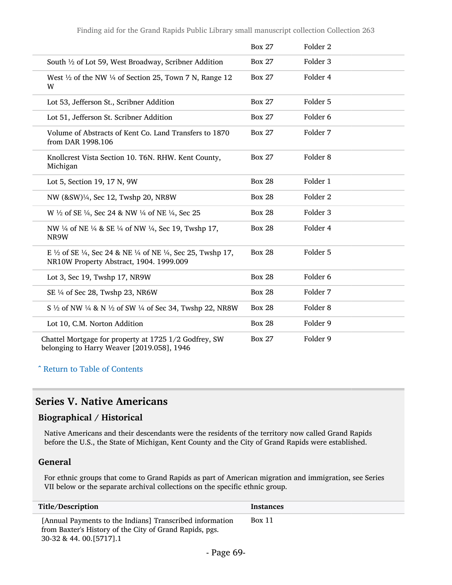|                                                                                                                                                             | <b>Box 27</b> | Folder 2            |  |
|-------------------------------------------------------------------------------------------------------------------------------------------------------------|---------------|---------------------|--|
| South 1/2 of Lot 59, West Broadway, Scribner Addition                                                                                                       | <b>Box 27</b> | Folder <sub>3</sub> |  |
| West $\frac{1}{2}$ of the NW $\frac{1}{4}$ of Section 25, Town 7 N, Range 12<br>W                                                                           | <b>Box 27</b> | Folder 4            |  |
| Lot 53, Jefferson St., Scribner Addition                                                                                                                    | <b>Box 27</b> | Folder <sub>5</sub> |  |
| Lot 51, Jefferson St. Scribner Addition                                                                                                                     | <b>Box 27</b> | Folder 6            |  |
| Volume of Abstracts of Kent Co. Land Transfers to 1870<br>from DAR 1998.106                                                                                 | <b>Box 27</b> | Folder 7            |  |
| Knollcrest Vista Section 10. T6N. RHW. Kent County,<br>Michigan                                                                                             | <b>Box 27</b> | Folder <sub>8</sub> |  |
| Lot 5, Section 19, 17 N, 9W                                                                                                                                 | <b>Box 28</b> | Folder 1            |  |
| NW (&SW)¼, Sec 12, Twshp 20, NR8W                                                                                                                           | <b>Box 28</b> | Folder <sub>2</sub> |  |
| W 1/2 of SE 1/4, Sec 24 & NW 1/4 of NE 1/4, Sec 25                                                                                                          | <b>Box 28</b> | Folder <sub>3</sub> |  |
| NW 1/4 of NE 1/4 & SE 1/4 of NW 1/4, Sec 19, Twshp 17,<br>NR9W                                                                                              | <b>Box 28</b> | Folder 4            |  |
| E $\frac{1}{2}$ of SE $\frac{1}{4}$ , Sec 24 & NE $\frac{1}{4}$ of NE $\frac{1}{4}$ , Sec 25, Twshp 17,<br>NR10W Property Abstract, 1904. 1999.009          | <b>Box 28</b> | Folder 5            |  |
| Lot 3, Sec 19, Twshp 17, NR9W                                                                                                                               | <b>Box 28</b> | Folder <sub>6</sub> |  |
| SE 1/4 of Sec 28, Twshp 23, NR6W                                                                                                                            | <b>Box 28</b> | Folder 7            |  |
| S <sup>1</sup> / <sub>2</sub> of NW <sup>1</sup> / <sub>4</sub> & N <sup>1</sup> / <sub>2</sub> of SW <sup>1</sup> / <sub>4</sub> of Sec 34, Twshp 22, NR8W | <b>Box 28</b> | Folder <sub>8</sub> |  |
| Lot 10, C.M. Norton Addition                                                                                                                                | <b>Box 28</b> | Folder 9            |  |
| Chattel Mortgage for property at 1725 1/2 Godfrey, SW<br>belonging to Harry Weaver [2019.058], 1946                                                         | <b>Box 27</b> | Folder 9            |  |

^ [Return to Table of Contents](#page-1-0)

### Series V. Native Americans

### Biographical / Historical

Native Americans and their descendants were the residents of the territory now called Grand Rapids before the U.S., the State of Michigan, Kent County and the City of Grand Rapids were established.

#### General

For ethnic groups that come to Grand Rapids as part of American migration and immigration, see Series VII below or the separate archival collections on the specific ethnic group.

| Title/Description                                                                                                                                | Instances     |
|--------------------------------------------------------------------------------------------------------------------------------------------------|---------------|
| [Annual Payments to the Indians] Transcribed information<br>from Baxter's History of the City of Grand Rapids, pgs.<br>30-32 & 44. 00. [5717]. 1 | <b>Box 11</b> |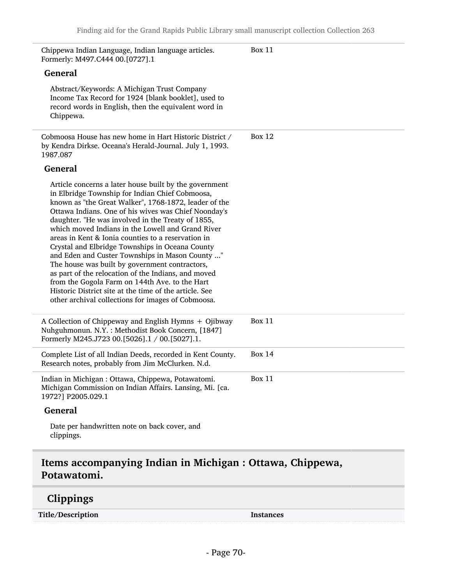| Chippewa Indian Language, Indian language articles.<br>Formerly: M497.C444 00.[0727].1                                                                                                                                                                                                                                                                                                                                                                                                                                                                                                                                                                                                                                                                                      | <b>Box 11</b> |
|-----------------------------------------------------------------------------------------------------------------------------------------------------------------------------------------------------------------------------------------------------------------------------------------------------------------------------------------------------------------------------------------------------------------------------------------------------------------------------------------------------------------------------------------------------------------------------------------------------------------------------------------------------------------------------------------------------------------------------------------------------------------------------|---------------|
| <b>General</b>                                                                                                                                                                                                                                                                                                                                                                                                                                                                                                                                                                                                                                                                                                                                                              |               |
| Abstract/Keywords: A Michigan Trust Company<br>Income Tax Record for 1924 [blank booklet], used to<br>record words in English, then the equivalent word in<br>Chippewa.                                                                                                                                                                                                                                                                                                                                                                                                                                                                                                                                                                                                     |               |
| Cobmoosa House has new home in Hart Historic District /<br>by Kendra Dirkse. Oceana's Herald-Journal. July 1, 1993.<br>1987.087                                                                                                                                                                                                                                                                                                                                                                                                                                                                                                                                                                                                                                             | <b>Box 12</b> |
| <b>General</b>                                                                                                                                                                                                                                                                                                                                                                                                                                                                                                                                                                                                                                                                                                                                                              |               |
| Article concerns a later house built by the government<br>in Elbridge Township for Indian Chief Cobmoosa,<br>known as "the Great Walker", 1768-1872, leader of the<br>Ottawa Indians. One of his wives was Chief Noonday's<br>daughter. "He was involved in the Treaty of 1855,<br>which moved Indians in the Lowell and Grand River<br>areas in Kent & Ionia counties to a reservation in<br>Crystal and Elbridge Townships in Oceana County<br>and Eden and Custer Townships in Mason County "<br>The house was built by government contractors,<br>as part of the relocation of the Indians, and moved<br>from the Gogola Farm on 144th Ave. to the Hart<br>Historic District site at the time of the article. See<br>other archival collections for images of Cobmoosa. |               |
| A Collection of Chippeway and English Hymns + Ojibway<br>Nuhguhmonun. N.Y.: Methodist Book Concern, [1847]<br>Formerly M245.J723 00.[5026].1 / 00.[5027].1.                                                                                                                                                                                                                                                                                                                                                                                                                                                                                                                                                                                                                 | <b>Box 11</b> |
| Complete List of all Indian Deeds, recorded in Kent County.<br>Research notes, probably from Jim McClurken. N.d.                                                                                                                                                                                                                                                                                                                                                                                                                                                                                                                                                                                                                                                            | <b>Box 14</b> |
| Indian in Michigan : Ottawa, Chippewa, Potawatomi.<br>Michigan Commission on Indian Affairs. Lansing, Mi. [ca.<br>1972?] P2005.029.1                                                                                                                                                                                                                                                                                                                                                                                                                                                                                                                                                                                                                                        | <b>Box 11</b> |
| General                                                                                                                                                                                                                                                                                                                                                                                                                                                                                                                                                                                                                                                                                                                                                                     |               |
| Date per handwritten note on back cover, and<br>clippings.                                                                                                                                                                                                                                                                                                                                                                                                                                                                                                                                                                                                                                                                                                                  |               |

## Items accompanying Indian in Michigan : Ottawa, Chippewa, Potawatomi.

# Clippings

Title/Description Instances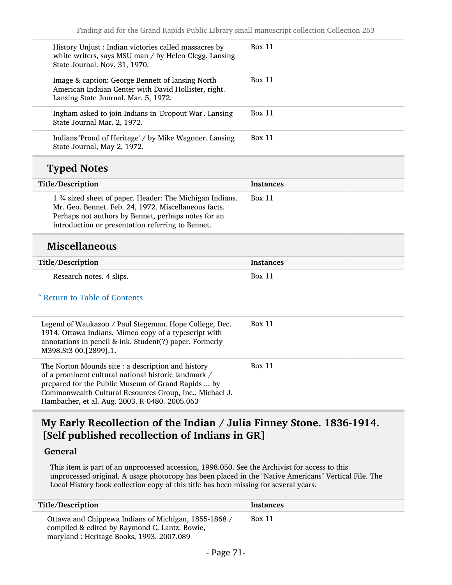| History Unjust : Indian victories called massacres by<br>white writers, says MSU man / by Helen Clegg. Lansing<br>State Journal. Nov. 31, 1970.                                                                                                       | Box 11           |
|-------------------------------------------------------------------------------------------------------------------------------------------------------------------------------------------------------------------------------------------------------|------------------|
| Image & caption: George Bennett of lansing North<br>American Indaian Center with David Hollister, right.<br>Lansing State Journal. Mar. 5, 1972.                                                                                                      | <b>Box 11</b>    |
| Ingham asked to join Indians in 'Dropout War'. Lansing<br>State Journal Mar. 2, 1972.                                                                                                                                                                 | Box 11           |
| Indians 'Proud of Heritage' / by Mike Wagoner. Lansing<br>State Journal, May 2, 1972.                                                                                                                                                                 | Box 11           |
| <b>Typed Notes</b>                                                                                                                                                                                                                                    |                  |
| Title/Description                                                                                                                                                                                                                                     | <b>Instances</b> |
| 1 <sup>3</sup> / <sub>4</sub> sized sheet of paper. Header: The Michigan Indians.<br>Mr. Geo. Bennet. Feb. 24, 1972. Miscellaneous facts.<br>Perhaps not authors by Bennet, perhaps notes for an<br>introduction or presentation referring to Bennet. | Box 11           |
|                                                                                                                                                                                                                                                       |                  |
| <b>Miscellaneous</b>                                                                                                                                                                                                                                  |                  |
| Title/Description                                                                                                                                                                                                                                     | <b>Instances</b> |
| Research notes. 4 slips.                                                                                                                                                                                                                              | Box 11           |
| ^ Return to Table of Contents                                                                                                                                                                                                                         |                  |
| Legend of Waukazoo / Paul Stegeman. Hope College, Dec.<br>1914. Ottawa Indians. Mimeo copy of a typescript with<br>annotations in pencil & ink. Student(?) paper. Formerly<br>M398.St3 00.[2899].1.                                                   | Box 11           |

### My Early Recollection of the Indian / Julia Finney Stone. 1836-1914. [Self published recollection of Indians in GR]

### General

This item is part of an unprocessed accession, 1998.050. See the Archivist for access to this unprocessed original. A usage photocopy has been placed in the "Native Americans" Vertical File. The Local History book collection copy of this title has been missing for several years.

| Title/Description                                                                                                                                 | Instances |
|---------------------------------------------------------------------------------------------------------------------------------------------------|-----------|
| Ottawa and Chippewa Indians of Michigan, 1855-1868 /<br>compiled & edited by Raymond C. Lantz. Bowie,<br>maryland: Heritage Books, 1993. 2007.089 | Box 11    |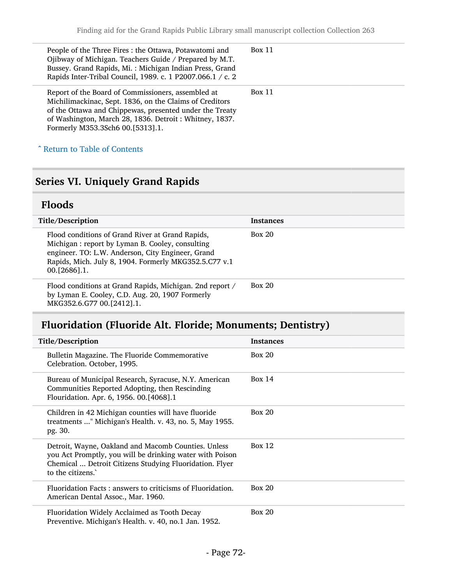| People of the Three Fires: the Ottawa, Potawatomi and<br>Ojibway of Michigan. Teachers Guide / Prepared by M.T.<br>Bussey. Grand Rapids, Mi.: Michigan Indian Press, Grand<br>Rapids Inter-Tribal Council, 1989. c. 1 P2007.066.1 / c. 2                               | Box 11 |
|------------------------------------------------------------------------------------------------------------------------------------------------------------------------------------------------------------------------------------------------------------------------|--------|
| Report of the Board of Commissioners, assembled at<br>Michilimackinac, Sept. 1836, on the Claims of Creditors<br>of the Ottawa and Chippewas, presented under the Treaty<br>of Washington, March 28, 1836. Detroit: Whitney, 1837.<br>Formerly M353.3Sch6 00.[5313].1. | Box 11 |

^ [Return to Table of Contents](#page-1-0)

# Series VI. Uniquely Grand Rapids

# Floods

| Title/Description                                                                                                                                                                                                                  | <b>Instances</b> |
|------------------------------------------------------------------------------------------------------------------------------------------------------------------------------------------------------------------------------------|------------------|
| Flood conditions of Grand River at Grand Rapids,<br>Michigan : report by Lyman B. Cooley, consulting<br>engineer. TO: L.W. Anderson, City Engineer, Grand<br>Rapids, Mich. July 8, 1904. Formerly MKG352.5.C77 v.1<br>00.126861.1. | Box 20           |
| Flood conditions at Grand Rapids, Michigan. 2nd report /<br>by Lyman E. Cooley, C.D. Aug. 20, 1907 Formerly<br>MKG352.6.G77 00.[2412].1.                                                                                           | Box 20           |

# Fluoridation (Fluoride Alt. Floride; Monuments; Dentistry)

| Title/Description                                                                                                                                                                              | <b>Instances</b> |
|------------------------------------------------------------------------------------------------------------------------------------------------------------------------------------------------|------------------|
| Bulletin Magazine. The Fluoride Commemorative<br>Celebration. October, 1995.                                                                                                                   | Box 20           |
| Bureau of Municipal Research, Syracuse, N.Y. American<br>Communities Reported Adopting, then Rescinding<br>Flouridation. Apr. 6, 1956. 00.[4068].1                                             | Box $14$         |
| Children in 42 Michigan counties will have fluoride<br>treatments " Michigan's Health. v. 43, no. 5, May 1955.<br>pg. 30.                                                                      | Box 20           |
| Detroit, Wayne, Oakland and Macomb Counties. Unless<br>you Act Promptly, you will be drinking water with Poison<br>Chemical  Detroit Citizens Studying Fluoridation. Flyer<br>to the citizens. | Box 12           |
| Fluoridation Facts: answers to criticisms of Fluoridation.<br>American Dental Assoc., Mar. 1960.                                                                                               | Box 20           |
| Fluoridation Widely Acclaimed as Tooth Decay<br>Preventive. Michigan's Health. v. 40, no.1 Jan. 1952.                                                                                          | Box 20           |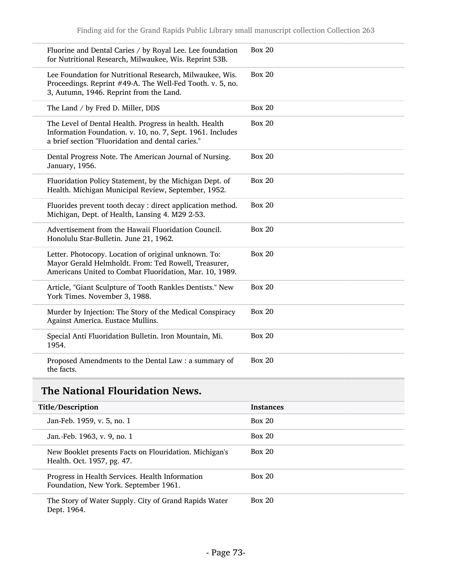| Fluorine and Dental Caries / by Royal Lee. Lee foundation<br>for Nutritional Research, Milwaukee, Wis. Reprint 53B.                                                       | <b>Box 20</b> |
|---------------------------------------------------------------------------------------------------------------------------------------------------------------------------|---------------|
| Lee Foundation for Nutritional Research, Milwaukee, Wis.<br>Proceedings. Reprint #49-A. The Well-Fed Tooth. v. 5, no.<br>3, Autumn, 1946. Reprint from the Land.          | <b>Box 20</b> |
| The Land / by Fred D. Miller, DDS                                                                                                                                         | <b>Box 20</b> |
| The Level of Dental Health. Progress in health. Health<br>Information Foundation. v. 10, no. 7, Sept. 1961. Includes<br>a brief section "Fluoridation and dental caries." | <b>Box 20</b> |
| Dental Progress Note. The American Journal of Nursing.<br>January, 1956.                                                                                                  | <b>Box 20</b> |
| Fluoridation Policy Statement, by the Michigan Dept. of<br>Health. Michigan Municipal Review, September, 1952.                                                            | <b>Box 20</b> |
| Fluorides prevent tooth decay : direct application method.<br>Michigan, Dept. of Health, Lansing 4. M29 2-53.                                                             | <b>Box 20</b> |
| Advertisement from the Hawaii Fluoridation Council.<br>Honolulu Star-Bulletin. June 21, 1962.                                                                             | <b>Box 20</b> |
| Letter. Photocopy. Location of original unknown. To:<br>Mayor Gerald Helmholdt. From: Ted Rowell, Treasurer,<br>Americans United to Combat Fluoridation, Mar. 10, 1989.   | <b>Box 20</b> |
| Article, "Giant Sculpture of Tooth Rankles Dentists." New<br>York Times. November 3, 1988.                                                                                | <b>Box 20</b> |
| Murder by Injection: The Story of the Medical Conspiracy<br>Against America. Eustace Mullins.                                                                             | <b>Box 20</b> |
| Special Anti Fluoridation Bulletin. Iron Mountain, Mi.<br>1954.                                                                                                           | <b>Box 20</b> |
| Proposed Amendments to the Dental Law: a summary of<br>the facts.                                                                                                         | <b>Box 20</b> |

# The National Flouridation News.

| Title/Description                                                                        | <b>Instances</b> |
|------------------------------------------------------------------------------------------|------------------|
| Jan-Feb. 1959, v. 5, no. 1                                                               | Box 20           |
| Jan.-Feb. 1963, v. 9, no. 1                                                              | Box 20           |
| New Booklet presents Facts on Flouridation. Michigan's<br>Health. Oct. 1957, pg. 47.     | Box 20           |
| Progress in Health Services. Health Information<br>Foundation, New York. September 1961. | Box 20           |
| The Story of Water Supply. City of Grand Rapids Water<br>Dept. 1964.                     | Box 20           |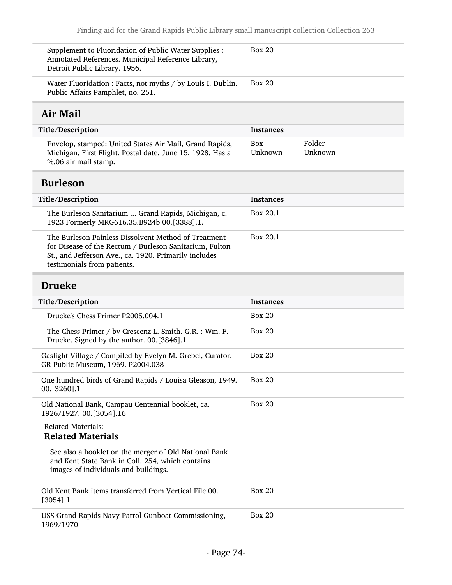| Supplement to Fluoridation of Public Water Supplies :<br>Annotated References. Municipal Reference Library,<br>Detroit Public Library. 1956.                                                            | <b>Box 20</b>         |                   |
|---------------------------------------------------------------------------------------------------------------------------------------------------------------------------------------------------------|-----------------------|-------------------|
| Water Fluoridation : Facts, not myths / by Louis I. Dublin.<br>Public Affairs Pamphlet, no. 251.                                                                                                        | <b>Box 20</b>         |                   |
| Air Mail                                                                                                                                                                                                |                       |                   |
| Title/Description                                                                                                                                                                                       | <b>Instances</b>      |                   |
| Envelop, stamped: United States Air Mail, Grand Rapids,<br>Michigan, First Flight. Postal date, June 15, 1928. Has a<br>%.06 air mail stamp.                                                            | <b>Box</b><br>Unknown | Folder<br>Unknown |
| <b>Burleson</b>                                                                                                                                                                                         |                       |                   |
| Title/Description                                                                                                                                                                                       | <b>Instances</b>      |                   |
| The Burleson Sanitarium  Grand Rapids, Michigan, c.<br>1923 Formerly MKG616.35.B924b 00.[3388].1.                                                                                                       | Box 20.1              |                   |
| The Burleson Painless Dissolvent Method of Treatment<br>for Disease of the Rectum / Burleson Sanitarium, Fulton<br>St., and Jefferson Ave., ca. 1920. Primarily includes<br>testimonials from patients. | Box 20.1              |                   |
| <b>Drueke</b>                                                                                                                                                                                           |                       |                   |
| Title/Description                                                                                                                                                                                       | <b>Instances</b>      |                   |
| Drueke's Chess Primer P2005.004.1                                                                                                                                                                       | <b>Box 20</b>         |                   |
| The Chess Primer / by Crescenz L. Smith. G.R. : Wm. F.<br>Drueke. Signed by the author. 00.[3846].1                                                                                                     | <b>Box 20</b>         |                   |
| Gaslight Village / Compiled by Evelyn M. Grebel, Curator.<br>GR Public Museum, 1969. P2004.038                                                                                                          | <b>Box 20</b>         |                   |
| One hundred birds of Grand Rapids / Louisa Gleason, 1949.<br>00.[3260].1                                                                                                                                | <b>Box 20</b>         |                   |
| Old National Bank, Campau Centennial booklet, ca.<br>1926/1927. 00.[3054].16                                                                                                                            | <b>Box 20</b>         |                   |
| <b>Related Materials:</b><br><b>Related Materials</b>                                                                                                                                                   |                       |                   |
| See also a booklet on the merger of Old National Bank<br>and Kent State Bank in Coll. 254, which contains<br>images of individuals and buildings.                                                       |                       |                   |
| Old Kent Bank items transferred from Vertical File 00.<br>$[3054]$ .1                                                                                                                                   | <b>Box 20</b>         |                   |
| USS Grand Rapids Navy Patrol Gunboat Commissioning,<br>1969/1970                                                                                                                                        | <b>Box 20</b>         |                   |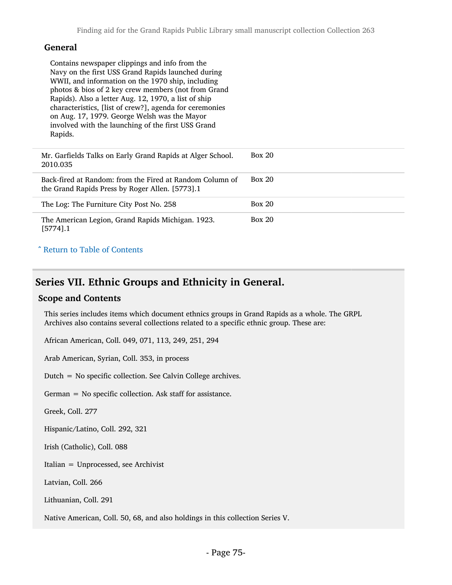#### General

Contains newspaper clippings and info from the Navy on the first USS Grand Rapids launched during WWII, and information on the 1970 ship, including photos & bios of 2 key crew members (not from Grand Rapids). Also a letter Aug. 12, 1970, a list of ship characteristics, [list of crew?], agenda for ceremonies on Aug. 17, 1979. George Welsh was the Mayor involved with the launching of the first USS Grand Rapids.

| Mr. Garfields Talks on Early Grand Rapids at Alger School.<br>2010.035                                      | Box 20        |
|-------------------------------------------------------------------------------------------------------------|---------------|
| Back-fired at Random: from the Fired at Random Column of<br>the Grand Rapids Press by Roger Allen. [5773].1 | Box 20        |
| The Log: The Furniture City Post No. 258                                                                    | <b>Box 20</b> |
| The American Legion, Grand Rapids Michigan. 1923.<br>$[5774]$ .1                                            | Box 20        |

#### ^ [Return to Table of Contents](#page-1-0)

## Series VII. Ethnic Groups and Ethnicity in General.

#### Scope and Contents

This series includes items which document ethnics groups in Grand Rapids as a whole. The GRPL Archives also contains several collections related to a specific ethnic group. These are:

African American, Coll. 049, 071, 113, 249, 251, 294

Arab American, Syrian, Coll. 353, in process

Dutch = No specific collection. See Calvin College archives.

German = No specific collection. Ask staff for assistance.

Greek, Coll. 277

Hispanic/Latino, Coll. 292, 321

Irish (Catholic), Coll. 088

Italian = Unprocessed, see Archivist

Latvian, Coll. 266

Lithuanian, Coll. 291

Native American, Coll. 50, 68, and also holdings in this collection Series V.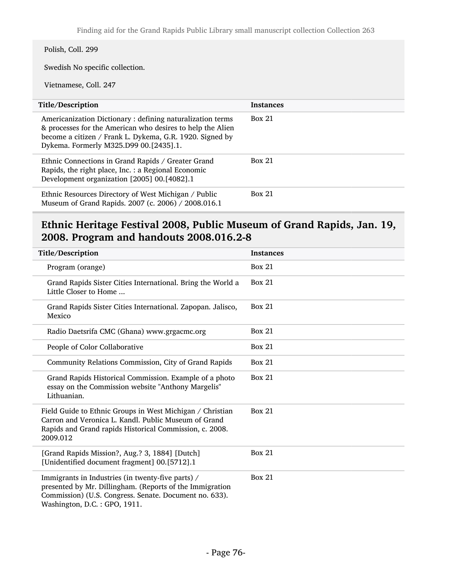### Polish, Coll. 299

Swedish No specific collection.

Vietnamese, Coll. 247

| Title/Description                                                                                                                                                                                                             | <b>Instances</b> |
|-------------------------------------------------------------------------------------------------------------------------------------------------------------------------------------------------------------------------------|------------------|
| Americanization Dictionary: defining naturalization terms<br>& processes for the American who desires to help the Alien<br>become a citizen / Frank L. Dykema, G.R. 1920. Signed by<br>Dykema. Formerly M325.D99 00.[2435].1. | Box 21           |
| Ethnic Connections in Grand Rapids / Greater Grand<br>Rapids, the right place, Inc. : a Regional Economic<br>Development organization [2005] 00.[4082].1                                                                      | <b>Box 21</b>    |
| Ethnic Resources Directory of West Michigan / Public<br>Museum of Grand Rapids. 2007 (c. 2006) / 2008.016.1                                                                                                                   | <b>Box 21</b>    |

# Ethnic Heritage Festival 2008, Public Museum of Grand Rapids, Jan. 19, 2008. Program and handouts 2008.016.2-8

| Title/Description                                                                                                                                                                                       | <b>Instances</b> |
|---------------------------------------------------------------------------------------------------------------------------------------------------------------------------------------------------------|------------------|
| Program (orange)                                                                                                                                                                                        | Box 21           |
| Grand Rapids Sister Cities International. Bring the World a<br>Little Closer to Home                                                                                                                    | Box 21           |
| Grand Rapids Sister Cities International. Zapopan. Jalisco,<br>Mexico                                                                                                                                   | Box 21           |
| Radio Daetsrifa CMC (Ghana) www.grgacmc.org                                                                                                                                                             | Box 21           |
| People of Color Collaborative                                                                                                                                                                           | Box 21           |
| Community Relations Commission, City of Grand Rapids                                                                                                                                                    | Box 21           |
| Grand Rapids Historical Commission. Example of a photo<br>essay on the Commission website "Anthony Margelis"<br>Lithuanian.                                                                             | <b>Box 21</b>    |
| Field Guide to Ethnic Groups in West Michigan / Christian<br>Carron and Veronica L. Kandl. Public Museum of Grand<br>Rapids and Grand rapids Historical Commission, c. 2008.<br>2009.012                | Box 21           |
| [Grand Rapids Mission?, Aug.? 3, 1884] [Dutch]<br>[Unidentified document fragment] 00.[5712].1                                                                                                          | <b>Box 21</b>    |
| Immigrants in Industries (in twenty-five parts) /<br>presented by Mr. Dillingham. (Reports of the Immigration<br>Commission) (U.S. Congress. Senate. Document no. 633).<br>Washington, D.C.: GPO, 1911. | <b>Box 21</b>    |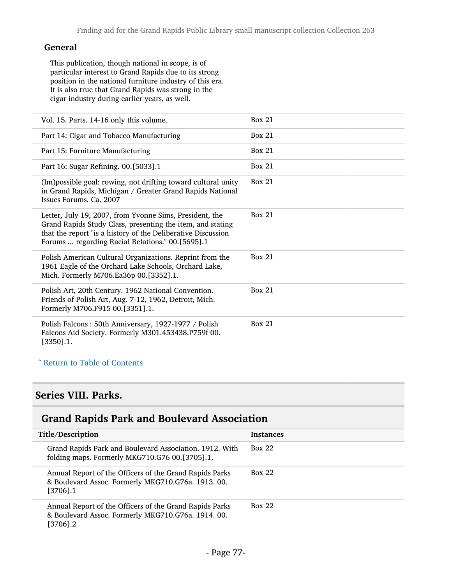#### General

This publication, though national in scope, is of particular interest to Grand Rapids due to its strong position in the national furniture industry of this era. It is also true that Grand Rapids was strong in the cigar industry during earlier years, as well.

| Vol. 15. Parts. 14-16 only this volume.                                                                                                                                                                                                   | Box 21 |
|-------------------------------------------------------------------------------------------------------------------------------------------------------------------------------------------------------------------------------------------|--------|
| Part 14: Cigar and Tobacco Manufacturing                                                                                                                                                                                                  | Box 21 |
| Part 15: Furniture Manufacturing                                                                                                                                                                                                          | Box 21 |
| Part 16: Sugar Refining. 00.[5033].1                                                                                                                                                                                                      | Box 21 |
| (Im) possible goal: rowing, not drifting toward cultural unity<br>in Grand Rapids, Michigan / Greater Grand Rapids National<br>Issues Forums, Ca. 2007                                                                                    | Box 21 |
| Letter, July 19, 2007, from Yvonne Sims, President, the<br>Grand Rapids Study Class, presenting the item, and stating<br>that the report "is a history of the Deliberative Discussion<br>Forums  regarding Racial Relations." 00.[5695].1 | Box 21 |
| Polish American Cultural Organizations. Reprint from the<br>1961 Eagle of the Orchard Lake Schools, Orchard Lake,<br>Mich. Formerly M706.Ea36p 00.[3352].1.                                                                               | Box 21 |
| Polish Art, 20th Century. 1962 National Convention.<br>Friends of Polish Art, Aug. 7-12, 1962, Detroit, Mich.<br>Formerly M706.F915 00.[3351].1.                                                                                          | Box 21 |
| Polish Falcons: 50th Anniversary, 1927-1977 / Polish<br>Falcons Aid Society. Formerly M301.453438.P759f 00.<br>$[3350]$ .1.                                                                                                               | Box 21 |

### ^ [Return to Table of Contents](#page-1-0)

## Series VIII. Parks.

## Grand Rapids Park and Boulevard Association

| Title/Description                                                                                                            | <b>Instances</b> |
|------------------------------------------------------------------------------------------------------------------------------|------------------|
| Grand Rapids Park and Boulevard Association. 1912. With<br>folding maps. Formerly MKG710.G76 00.[3705].1.                    | Box 22           |
| Annual Report of the Officers of the Grand Rapids Parks<br>& Boulevard Assoc. Formerly MKG710.G76a. 1913. 00.<br>$[3706]$ .1 | <b>Box 22</b>    |
| Annual Report of the Officers of the Grand Rapids Parks<br>& Boulevard Assoc. Formerly MKG710.G76a. 1914. 00.<br>[3706].2    | <b>Box 22</b>    |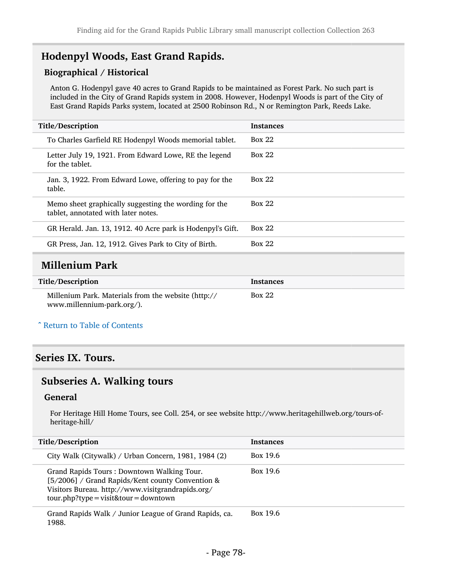# Hodenpyl Woods, East Grand Rapids.

### Biographical / Historical

Anton G. Hodenpyl gave 40 acres to Grand Rapids to be maintained as Forest Park. No such part is included in the City of Grand Rapids system in 2008. However, Hodenpyl Woods is part of the City of East Grand Rapids Parks system, located at 2500 Robinson Rd., N or Remington Park, Reeds Lake.

| Title/Description                                                                            | <b>Instances</b> |
|----------------------------------------------------------------------------------------------|------------------|
| To Charles Garfield RE Hodenpyl Woods memorial tablet.                                       | Box 22           |
| Letter July 19, 1921. From Edward Lowe, RE the legend<br>for the tablet.                     | <b>Box 22</b>    |
| Jan. 3, 1922. From Edward Lowe, offering to pay for the<br>table.                            | <b>Box 22</b>    |
| Memo sheet graphically suggesting the wording for the<br>tablet, annotated with later notes. | <b>Box 22</b>    |
| GR Herald. Jan. 13, 1912. 40 Acre park is Hodenpyl's Gift.                                   | Box 22           |
| GR Press, Jan. 12, 1912. Gives Park to City of Birth.                                        | Box 22           |
|                                                                                              |                  |

# Millenium Park

| Title/Description                                                                 | Instances |
|-----------------------------------------------------------------------------------|-----------|
| Millenium Park. Materials from the website (http://<br>www.millennium-park.org/). | Box 22    |

#### ^ [Return to Table of Contents](#page-1-0)

### Series IX. Tours.

### Subseries A. Walking tours

#### General

For Heritage Hill Home Tours, see Coll. 254, or see website http://www.heritagehillweb.org/tours-ofheritage-hill/

| Title/Description                                                                                                                                                                               | <b>Instances</b> |
|-------------------------------------------------------------------------------------------------------------------------------------------------------------------------------------------------|------------------|
| City Walk (Citywalk) / Urban Concern, 1981, 1984 (2)                                                                                                                                            | Box 19.6         |
| Grand Rapids Tours: Downtown Walking Tour.<br>[5/2006] / Grand Rapids/Kent county Convention &<br>Visitors Bureau. http://www.visitgrandrapids.org/<br>$tour.php?type = visit& tour = downtown$ | Box 19.6         |
| Grand Rapids Walk / Junior League of Grand Rapids, ca.<br>1988.                                                                                                                                 | Box 19.6         |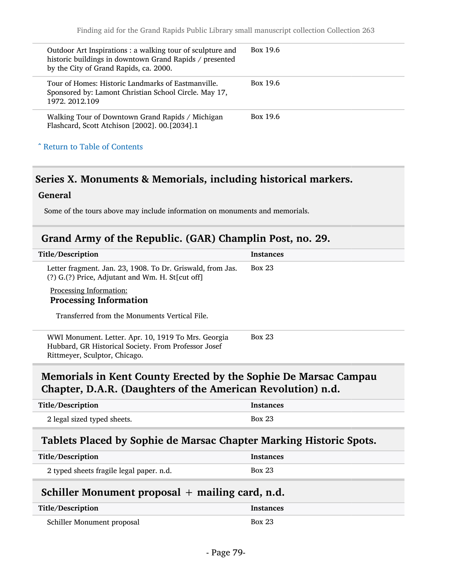| Outdoor Art Inspirations : a walking tour of sculpture and<br>historic buildings in downtown Grand Rapids / presented<br>by the City of Grand Rapids, ca. 2000. | Box 19.6 |
|-----------------------------------------------------------------------------------------------------------------------------------------------------------------|----------|
| Tour of Homes: Historic Landmarks of Eastmanville.<br>Sponsored by: Lamont Christian School Circle. May 17,<br>1972. 2012.109                                   | Box 19.6 |
| Walking Tour of Downtown Grand Rapids / Michigan<br>Flashcard, Scott Atchison [2002]. 00.[2034].1                                                               | Box 19.6 |
| ^ Return to Table of Contents                                                                                                                                   |          |

# Series X. Monuments & Memorials, including historical markers.

### **General**

Some of the tours above may include information on monuments and memorials.

## Grand Army of the Republic. (GAR) Champlin Post, no. 29.

| Title/Description                                                                                                                            | <b>Instances</b> |  |  |
|----------------------------------------------------------------------------------------------------------------------------------------------|------------------|--|--|
| Letter fragment. Jan. 23, 1908. To Dr. Griswald, from Jas.<br>(?) G.(?) Price, Adjutant and Wm. H. St[cut off]                               | <b>Box 23</b>    |  |  |
| Processing Information:                                                                                                                      |                  |  |  |
| <b>Processing Information</b>                                                                                                                |                  |  |  |
| Transferred from the Monuments Vertical File.                                                                                                |                  |  |  |
| WWI Monument. Letter. Apr. 10, 1919 To Mrs. Georgia<br>Hubbard, GR Historical Society. From Professor Josef<br>Rittmeyer, Sculptor, Chicago. | <b>Box 23</b>    |  |  |
| Memorials in Kent County Erected by the Sophie De Marsac Campau<br>Chapter, D.A.R. (Daughters of the American Revolution) n.d.               |                  |  |  |
|                                                                                                                                              |                  |  |  |
| Title/Description                                                                                                                            | <b>Instances</b> |  |  |
| 2 legal sized typed sheets.                                                                                                                  | <b>Box 23</b>    |  |  |
| Tablets Placed by Sophie de Marsac Chapter Marking Historic Spots.                                                                           |                  |  |  |
| Title/Description                                                                                                                            | <b>Instances</b> |  |  |
| 2 typed sheets fragile legal paper. n.d.                                                                                                     | <b>Box 23</b>    |  |  |
| Schiller Monument proposal $+$ mailing card, n.d.                                                                                            |                  |  |  |

| Schiller Monument proposal | יה - - - |
|----------------------------|----------|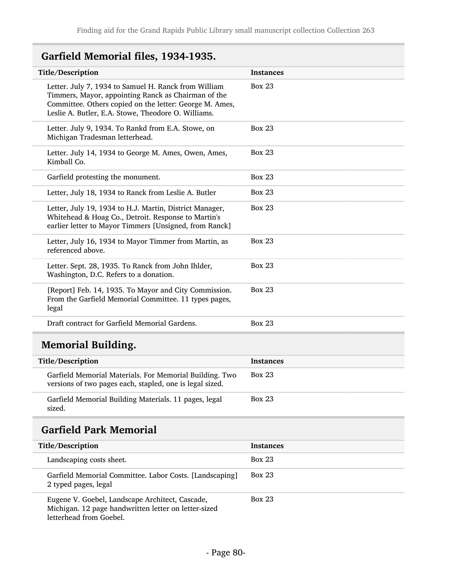# Garfield Memorial files, 1934-1935.

| <b>Title/Description</b>                                                                                                                                                                                                      | <b>Instances</b> |
|-------------------------------------------------------------------------------------------------------------------------------------------------------------------------------------------------------------------------------|------------------|
| Letter. July 7, 1934 to Samuel H. Ranck from William<br>Timmers, Mayor, appointing Ranck as Chairman of the<br>Committee. Others copied on the letter: George M. Ames,<br>Leslie A. Butler, E.A. Stowe, Theodore O. Williams. | <b>Box 23</b>    |
| Letter. July 9, 1934. To Rankd from E.A. Stowe, on<br>Michigan Tradesman letterhead.                                                                                                                                          | <b>Box 23</b>    |
| Letter. July 14, 1934 to George M. Ames, Owen, Ames,<br>Kimball Co.                                                                                                                                                           | <b>Box 23</b>    |
| Garfield protesting the monument.                                                                                                                                                                                             | <b>Box 23</b>    |
| Letter, July 18, 1934 to Ranck from Leslie A. Butler                                                                                                                                                                          | <b>Box 23</b>    |
| Letter, July 19, 1934 to H.J. Martin, District Manager,<br>Whitehead & Hoag Co., Detroit. Response to Martin's<br>earlier letter to Mayor Timmers [Unsigned, from Ranck]                                                      | <b>Box 23</b>    |
| Letter, July 16, 1934 to Mayor Timmer from Martin, as<br>referenced above.                                                                                                                                                    | <b>Box 23</b>    |
| Letter. Sept. 28, 1935. To Ranck from John Ihlder,<br>Washington, D.C. Refers to a donation.                                                                                                                                  | <b>Box 23</b>    |
| [Report] Feb. 14, 1935. To Mayor and City Commission.<br>From the Garfield Memorial Committee. 11 types pages,<br>legal                                                                                                       | <b>Box 23</b>    |
| Draft contract for Garfield Memorial Gardens.                                                                                                                                                                                 | <b>Box 23</b>    |
|                                                                                                                                                                                                                               |                  |

# Memorial Building.

| Title/Description                                                                                                   | <b>Instances</b> |
|---------------------------------------------------------------------------------------------------------------------|------------------|
| Garfield Memorial Materials. For Memorial Building. Two<br>versions of two pages each, stapled, one is legal sized. | <b>Box 23</b>    |
| Garfield Memorial Building Materials. 11 pages, legal<br>sized.                                                     | <b>Box 23</b>    |

# Garfield Park Memorial

| Title/Description                                                                                                                  | <b>Instances</b> |
|------------------------------------------------------------------------------------------------------------------------------------|------------------|
| Landscaping costs sheet.                                                                                                           | <b>Box 23</b>    |
| Garfield Memorial Committee. Labor Costs. [Landscaping]<br>2 typed pages, legal                                                    | <b>Box 23</b>    |
| Eugene V. Goebel, Landscape Architect, Cascade,<br>Michigan. 12 page handwritten letter on letter-sized<br>letterhead from Goebel. | <b>Box 23</b>    |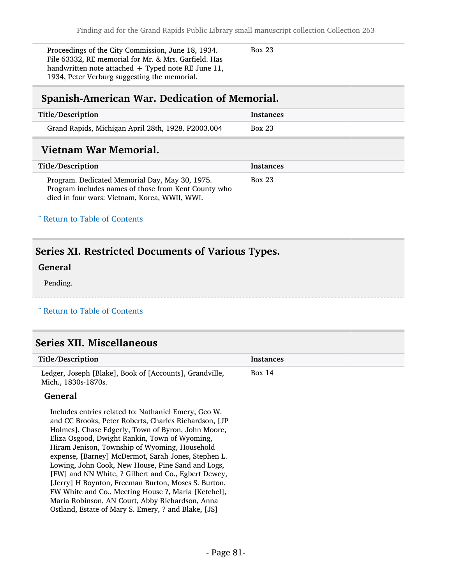Proceedings of the City Commission, June 18, 1934. File 63332, RE memorial for Mr. & Mrs. Garfield. Has handwritten note attached  $+$  Typed note RE June 11, 1934, Peter Verburg suggesting the memorial.

Box 23

## Spanish-American War. Dedication of Memorial.

| Title/Description                                  | Instances     |
|----------------------------------------------------|---------------|
| Grand Rapids, Michigan April 28th, 1928. P2003.004 | <b>Box 23</b> |
|                                                    |               |

## Vietnam War Memorial.

| Title/Description                                                                                                                                       | <b>Instances</b> |
|---------------------------------------------------------------------------------------------------------------------------------------------------------|------------------|
| Program. Dedicated Memorial Day, May 30, 1975.<br>Program includes names of those from Kent County who<br>died in four wars: Vietnam, Korea, WWII, WWI. | Box 23           |

#### ^ [Return to Table of Contents](#page-1-0)

# Series XI. Restricted Documents of Various Types.

#### General

Pending.

#### ^ [Return to Table of Contents](#page-1-0)

## Series XII. Miscellaneous

| Title/Description                                                              | <b>Instances</b> |
|--------------------------------------------------------------------------------|------------------|
| Ledger, Joseph [Blake], Book of [Accounts], Grandville,<br>Mich., 1830s-1870s. | Box 14           |
|                                                                                |                  |

#### General

Includes entries related to: Nathaniel Emery, Geo W. and CC Brooks, Peter Roberts, Charles Richardson, [JP Holmes], Chase Edgerly, Town of Byron, John Moore, Eliza Osgood, Dwight Rankin, Town of Wyoming, Hiram Jenison, Township of Wyoming, Household expense, [Barney] McDermot, Sarah Jones, Stephen L. Lowing, John Cook, New House, Pine Sand and Logs, [FW] and NN White, ? Gilbert and Co., Egbert Dewey, [Jerry] H Boynton, Freeman Burton, Moses S. Burton, FW White and Co., Meeting House ?, Maria [Ketchel], Maria Robinson, AN Court, Abby Richardson, Anna Ostland, Estate of Mary S. Emery, ? and Blake, [JS]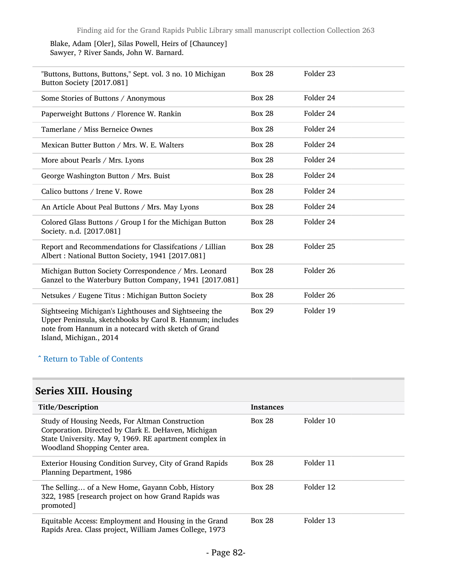#### Blake, Adam [Oler], Silas Powell, Heirs of [Chauncey] Sawyer, ? River Sands, John W. Barnard.

| "Buttons, Buttons, Buttons," Sept. vol. 3 no. 10 Michigan<br>Button Society [2017.081]                                                                                                                | <b>Box 28</b> | Folder 23            |
|-------------------------------------------------------------------------------------------------------------------------------------------------------------------------------------------------------|---------------|----------------------|
| Some Stories of Buttons / Anonymous                                                                                                                                                                   | <b>Box 28</b> | Folder 24            |
| Paperweight Buttons / Florence W. Rankin                                                                                                                                                              | <b>Box 28</b> | Folder 24            |
| Tamerlane / Miss Berneice Ownes                                                                                                                                                                       | <b>Box 28</b> | Folder 24            |
| Mexican Butter Button / Mrs. W. E. Walters                                                                                                                                                            | <b>Box 28</b> | Folder 24            |
| More about Pearls / Mrs. Lyons                                                                                                                                                                        | <b>Box 28</b> | Folder 24            |
| George Washington Button / Mrs. Buist                                                                                                                                                                 | <b>Box 28</b> | Folder 24            |
| Calico buttons / Irene V. Rowe                                                                                                                                                                        | <b>Box 28</b> | Folder 24            |
| An Article About Peal Buttons / Mrs. May Lyons                                                                                                                                                        | <b>Box 28</b> | Folder 24            |
| Colored Glass Buttons / Group I for the Michigan Button<br>Society. n.d. [2017.081]                                                                                                                   | <b>Box 28</b> | Folder 24            |
| Report and Recommendations for Classifcations / Lillian<br>Albert: National Button Society, 1941 [2017.081]                                                                                           | <b>Box 28</b> | Folder <sub>25</sub> |
| Michigan Button Society Correspondence / Mrs. Leonard<br>Ganzel to the Waterbury Button Company, 1941 [2017.081]                                                                                      | <b>Box 28</b> | Folder <sub>26</sub> |
| Netsukes / Eugene Titus : Michigan Button Society                                                                                                                                                     | <b>Box 28</b> | Folder 26            |
| Sightseeing Michigan's Lighthouses and Sightseeing the<br>Upper Peninsula, sketchbooks by Carol B. Hannum; includes<br>note from Hannum in a notecard with sketch of Grand<br>Island, Michigan., 2014 | <b>Box 29</b> | Folder 19            |

## ^ [Return to Table of Contents](#page-1-0)

# Series XIII. Housing

| Title/Description                                                                                                                                                                                  | <b>Instances</b> |           |
|----------------------------------------------------------------------------------------------------------------------------------------------------------------------------------------------------|------------------|-----------|
| Study of Housing Needs, For Altman Construction<br>Corporation. Directed by Clark E. DeHaven, Michigan<br>State University. May 9, 1969. RE apartment complex in<br>Woodland Shopping Center area. | <b>Box 28</b>    | Folder 10 |
| Exterior Housing Condition Survey, City of Grand Rapids<br>Planning Department, 1986                                                                                                               | <b>Box 28</b>    | Folder 11 |
| The Selling of a New Home, Gayann Cobb, History<br>322, 1985 [research project on how Grand Rapids was<br>promoted]                                                                                | <b>Box 28</b>    | Folder 12 |
| Equitable Access: Employment and Housing in the Grand<br>Rapids Area. Class project, William James College, 1973                                                                                   | <b>Box 28</b>    | Folder 13 |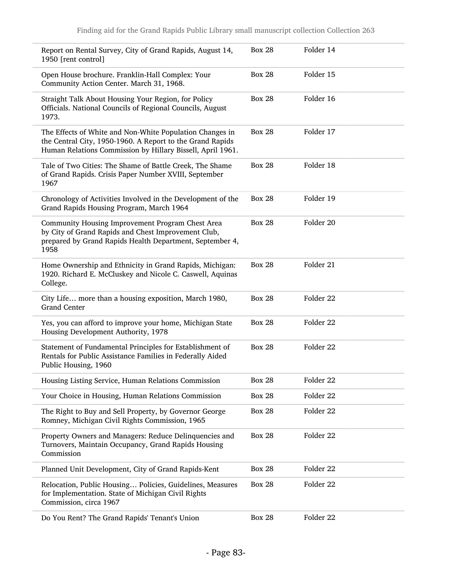| Report on Rental Survey, City of Grand Rapids, August 14,<br>1950 [rent control]                                                                                                    | <b>Box 28</b> | Folder 14 |
|-------------------------------------------------------------------------------------------------------------------------------------------------------------------------------------|---------------|-----------|
| Open House brochure. Franklin-Hall Complex: Your<br>Community Action Center. March 31, 1968.                                                                                        | <b>Box 28</b> | Folder 15 |
| Straight Talk About Housing Your Region, for Policy<br>Officials. National Councils of Regional Councils, August<br>1973.                                                           | <b>Box 28</b> | Folder 16 |
| The Effects of White and Non-White Population Changes in<br>the Central City, 1950-1960. A Report to the Grand Rapids<br>Human Relations Commission by Hillary Bissell, April 1961. | <b>Box 28</b> | Folder 17 |
| Tale of Two Cities: The Shame of Battle Creek, The Shame<br>of Grand Rapids. Crisis Paper Number XVIII, September<br>1967                                                           | <b>Box 28</b> | Folder 18 |
| Chronology of Activities Involved in the Development of the<br>Grand Rapids Housing Program, March 1964                                                                             | <b>Box 28</b> | Folder 19 |
| Community Housing Improvement Program Chest Area<br>by City of Grand Rapids and Chest Improvement Club,<br>prepared by Grand Rapids Health Department, September 4,<br>1958         | <b>Box 28</b> | Folder 20 |
| Home Ownership and Ethnicity in Grand Rapids, Michigan:<br>1920. Richard E. McCluskey and Nicole C. Caswell, Aquinas<br>College.                                                    | <b>Box 28</b> | Folder 21 |
| City Life more than a housing exposition, March 1980,<br><b>Grand Center</b>                                                                                                        | <b>Box 28</b> | Folder 22 |
| Yes, you can afford to improve your home, Michigan State<br>Housing Development Authority, 1978                                                                                     | <b>Box 28</b> | Folder 22 |
| Statement of Fundamental Principles for Establishment of<br>Rentals for Public Assistance Families in Federally Aided<br>Public Housing, 1960                                       | <b>Box 28</b> | Folder 22 |
| Housing Listing Service, Human Relations Commission                                                                                                                                 | <b>Box 28</b> | Folder 22 |
| Your Choice in Housing, Human Relations Commission                                                                                                                                  | <b>Box 28</b> | Folder 22 |
| The Right to Buy and Sell Property, by Governor George<br>Romney, Michigan Civil Rights Commission, 1965                                                                            | <b>Box 28</b> | Folder 22 |
| Property Owners and Managers: Reduce Delinquencies and<br>Turnovers, Maintain Occupancy, Grand Rapids Housing<br>Commission                                                         | <b>Box 28</b> | Folder 22 |
| Planned Unit Development, City of Grand Rapids-Kent                                                                                                                                 | <b>Box 28</b> | Folder 22 |
| Relocation, Public Housing Policies, Guidelines, Measures<br>for Implementation. State of Michigan Civil Rights<br>Commission, circa 1967                                           | <b>Box 28</b> | Folder 22 |
| Do You Rent? The Grand Rapids' Tenant's Union                                                                                                                                       | <b>Box 28</b> | Folder 22 |